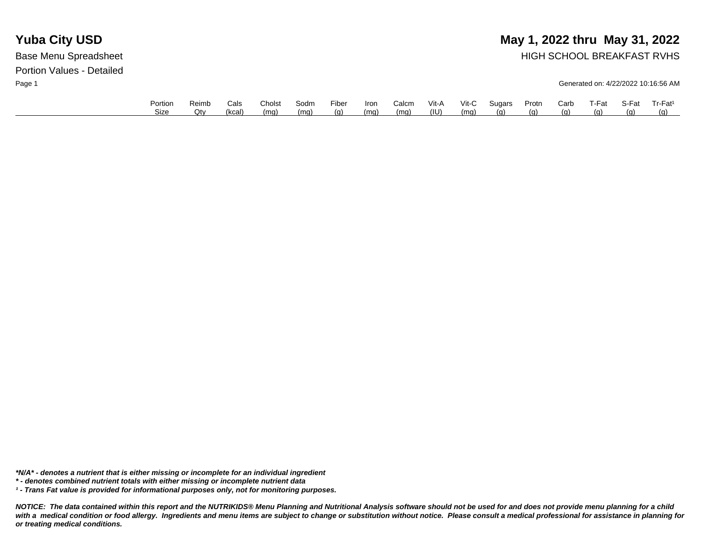# **Yuba City USD** May 1, 2022 thru May 31, 2022

Base Menu Spreadsheet **HIGH SCHOOL BREAKFAST RVHS** 

Page 1 Generated on: 4/22/2022 10:16:56 AM

|             | Cals   | Cholst | Sodm | Fiber | Iron | Calcm | Vit-A | Vit-C | Sugars | Protn | Carb | प-Fat | S-Fat | Tr-Fat <sup>1</sup> |
|-------------|--------|--------|------|-------|------|-------|-------|-------|--------|-------|------|-------|-------|---------------------|
| Size<br>Qtv | (kcal) | (mq)   | (mq) | (g)   | (mq) | (mq)  | (III) | (mq)  | (a)    | (g)   | (a)  | (വ)   | (g)   | (a)                 |

*\*N/A\* - denotes a nutrient that is either missing or incomplete for an individual ingredient*

*\* - denotes combined nutrient totals with either missing or incomplete nutrient data*

*¹ - Trans Fat value is provided for informational purposes only, not for monitoring purposes.*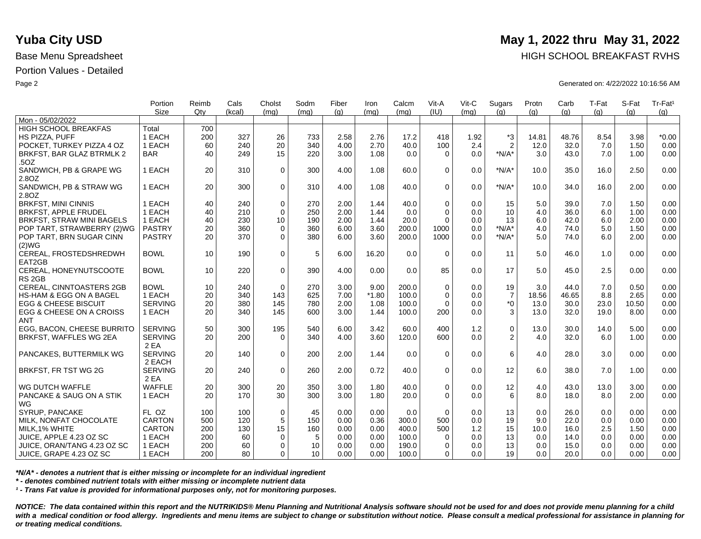|                                    | Portion<br><b>Size</b> | Reimb | Cals   | Cholst       | Sodm | Fiber | Iron    | Calcm | Vit-A<br>(IU) | Vit-C | Sugars         | Protn | Carb  | T-Fat | S-Fat | Tr-Fat <sup>1</sup> |
|------------------------------------|------------------------|-------|--------|--------------|------|-------|---------|-------|---------------|-------|----------------|-------|-------|-------|-------|---------------------|
| Mon - 05/02/2022                   |                        | Qtv   | (kcal) | (mq)         | (mq) | (q)   | (mq)    | (mq)  |               | (mq)  | (q)            | (a)   | (q)   | (q)   | (a)   | (q)                 |
| <b>HIGH SCHOOL BREAKFAS</b>        | Total                  | 700   |        |              |      |       |         |       |               |       |                |       |       |       |       |                     |
| HS PIZZA, PUFF                     | 1 EACH                 | 200   | 327    | 26           | 733  | 2.58  | 2.76    | 17.2  | 418           | 1.92  | $*3$           | 14.81 | 48.76 | 8.54  | 3.98  | $*0.00$             |
| POCKET. TURKEY PIZZA 4 OZ          | 1 EACH                 | 60    | 240    | 20           | 340  | 4.00  | 2.70    | 40.0  | 100           | 2.4   | $\overline{2}$ | 12.0  | 32.0  | 7.0   | 1.50  | 0.00                |
| BRKFST, BAR GLAZ BTRMLK 2          | <b>BAR</b>             | 40    | 249    | 15           | 220  | 3.00  | 1.08    | 0.0   | $\Omega$      | 0.0   | $*N/A*$        | 3.0   | 43.0  | 7.0   | 1.00  | 0.00                |
| .50Z                               |                        |       |        |              |      |       |         |       |               |       |                |       |       |       |       |                     |
| SANDWICH, PB & GRAPE WG            | 1 EACH                 | 20    | 310    | $\mathbf 0$  | 300  | 4.00  | 1.08    | 60.0  | $\mathbf 0$   | 0.0   | $*N/A*$        | 10.0  | 35.0  | 16.0  | 2.50  | 0.00                |
| 2.8OZ                              |                        |       |        |              |      |       |         |       |               |       |                |       |       |       |       |                     |
| SANDWICH, PB & STRAW WG            | 1 EACH                 | 20    | 300    | $\Omega$     | 310  | 4.00  | 1.08    | 40.0  | $\Omega$      | 0.0   | $*N/A*$        | 10.0  | 34.0  | 16.0  | 2.00  | 0.00                |
| 2.8OZ                              |                        |       |        |              |      |       |         |       |               |       |                |       |       |       |       |                     |
| <b>BRKFST, MINI CINNIS</b>         | 1 EACH                 | 40    | 240    | $\mathbf 0$  | 270  | 2.00  | 1.44    | 40.0  | $\mathbf 0$   | 0.0   | 15             | 5.0   | 39.0  | 7.0   | 1.50  | 0.00                |
| <b>BRKFST, APPLE FRUDEL</b>        | 1 EACH                 | 40    | 210    | $\mathbf 0$  | 250  | 2.00  | 1.44    | 0.0   | $\Omega$      | 0.0   | 10             | 4.0   | 36.0  | 6.0   | 1.00  | 0.00                |
| BRKFST, STRAW MINI BAGELS          | 1 EACH                 | 40    | 230    | 10           | 190  | 2.00  | 1.44    | 20.0  | $\Omega$      | 0.0   | 13             | 6.0   | 42.0  | 6.0   | 2.00  | 0.00                |
| POP TART, STRAWBERRY (2)WG         | <b>PASTRY</b>          | 20    | 360    | $\mathbf 0$  | 360  | 6.00  | 3.60    | 200.0 | 1000          | 0.0   | $*N/A*$        | 4.0   | 74.0  | 5.0   | 1.50  | 0.00                |
| POP TART, BRN SUGAR CINN           | <b>PASTRY</b>          | 20    | 370    | $\Omega$     | 380  | 6.00  | 3.60    | 200.0 | 1000          | 0.0   | $*N/A*$        | 5.0   | 74.0  | 6.0   | 2.00  | 0.00                |
| (2)WG                              |                        |       |        |              |      |       |         |       |               |       |                |       |       |       |       |                     |
| CEREAL, FROSTEDSHREDWH             | <b>BOWL</b>            | 10    | 190    | $\mathbf 0$  | 5    | 6.00  | 16.20   | 0.0   | $\Omega$      | 0.0   | 11             | 5.0   | 46.0  | 1.0   | 0.00  | 0.00                |
| EAT2GB                             |                        |       |        |              |      |       |         |       |               |       |                |       |       |       |       |                     |
| CEREAL, HONEYNUTSCOOTE             | <b>BOWL</b>            | 10    | 220    | $\Omega$     | 390  | 4.00  | 0.00    | 0.0   | 85            | 0.0   | 17             | 5.0   | 45.0  | 2.5   | 0.00  | 0.00                |
| RS <sub>2GB</sub>                  |                        |       |        |              |      |       |         |       |               |       |                |       |       |       |       |                     |
| CEREAL, CINNTOASTERS 2GB           | <b>BOWL</b>            | 10    | 240    | $\mathbf 0$  | 270  | 3.00  | 9.00    | 200.0 | $\mathbf 0$   | 0.0   | 19             | 3.0   | 44.0  | 7.0   | 0.50  | 0.00                |
| <b>HS-HAM &amp; EGG ON A BAGEL</b> | 1 EACH                 | 20    | 340    | 143          | 625  | 7.00  | $*1.80$ | 100.0 | $\Omega$      | 0.0   | $\overline{7}$ | 18.56 | 46.65 | 8.8   | 2.65  | 0.00                |
| <b>EGG &amp; CHEESE BISCUIT</b>    | <b>SERVING</b>         | 20    | 380    | 145          | 780  | 2.00  | 1.08    | 100.0 | $\Omega$      | 0.0   | $*_{0}$        | 13.0  | 30.0  | 23.0  | 10.50 | 0.00                |
| EGG & CHEESE ON A CROISS           | 1 EACH                 | 20    | 340    | 145          | 600  | 3.00  | 1.44    | 100.0 | 200           | 0.0   | 3              | 13.0  | 32.0  | 19.0  | 8.00  | 0.00                |
| <b>ANT</b>                         |                        |       |        |              |      |       |         |       |               |       |                |       |       |       |       |                     |
| EGG, BACON, CHEESE BURRITO         | <b>SERVING</b>         | 50    | 300    | 195          | 540  | 6.00  | 3.42    | 60.0  | 400           | 1.2   | $\mathbf 0$    | 13.0  | 30.0  | 14.0  | 5.00  | 0.00                |
| BRKFST, WAFFLES WG 2EA             | <b>SERVING</b>         | 20    | 200    | $\Omega$     | 340  | 4.00  | 3.60    | 120.0 | 600           | 0.0   | 2              | 4.0   | 32.0  | 6.0   | 1.00  | 0.00                |
|                                    | 2 EA                   |       |        |              |      |       |         |       |               |       |                |       |       |       |       |                     |
| PANCAKES, BUTTERMILK WG            | <b>SERVING</b>         | 20    | 140    | $\mathbf{0}$ | 200  | 2.00  | 1.44    | 0.0   | $\Omega$      | 0.0   | 6              | 4.0   | 28.0  | 3.0   | 0.00  | 0.00                |
|                                    | 2 EACH                 |       |        |              |      |       |         |       |               |       |                |       |       |       |       |                     |
| BRKFST, FR TST WG 2G               | <b>SERVING</b>         | 20    | 240    | $\mathbf 0$  | 260  | 2.00  | 0.72    | 40.0  | $\mathbf 0$   | 0.0   | 12             | 6.0   | 38.0  | 7.0   | 1.00  | 0.00                |
|                                    | 2 EA                   |       |        |              |      |       |         |       |               |       |                |       |       |       |       |                     |
| WG DUTCH WAFFLE                    | <b>WAFFLE</b>          | 20    | 300    | 20           | 350  | 3.00  | 1.80    | 40.0  | $\mathbf 0$   | 0.0   | 12             | 4.0   | 43.0  | 13.0  | 3.00  | 0.00                |
| PANCAKE & SAUG ON A STIK           | 1 EACH                 | 20    | 170    | 30           | 300  | 3.00  | 1.80    | 20.0  | $\Omega$      | 0.0   | 6              | 8.0   | 18.0  | 8.0   | 2.00  | 0.00                |
| WG                                 |                        |       |        |              |      |       |         |       |               |       |                |       |       |       |       |                     |
| SYRUP, PANCAKE                     | FL OZ                  | 100   | 100    | $\mathbf 0$  | 45   | 0.00  | 0.00    | 0.0   | $\Omega$      | 0.0   | 13             | 0.0   | 26.0  | 0.0   | 0.00  | 0.00                |
| MILK, NONFAT CHOCOLATE             | CARTON                 | 500   | 120    | 5            | 150  | 0.00  | 0.36    | 300.0 | 500           | 0.0   | 19             | 9.0   | 22.0  | 0.0   | 0.00  | 0.00                |
| MILK, 1% WHITE                     | <b>CARTON</b>          | 200   | 130    | 15           | 160  | 0.00  | 0.00    | 400.0 | 500           | 1.2   | 15             | 10.0  | 16.0  | 2.5   | 1.50  | 0.00                |
| JUICE, APPLE 4.23 OZ SC            | 1 EACH                 | 200   | 60     | $\mathbf 0$  | 5    | 0.00  | 0.00    | 100.0 | $\mathbf 0$   | 0.0   | 13             | 0.0   | 14.0  | 0.0   | 0.00  | 0.00                |
| JUICE, ORAN/TANG 4.23 OZ SC        | 1 EACH                 | 200   | 60     | $\Omega$     | 10   | 0.00  | 0.00    | 190.0 | $\Omega$      | 0.0   | 13             | 0.0   | 15.0  | 0.0   | 0.00  | 0.00                |
| ∣ JUICE, GRAPE 4.23 OZ SC          | 1 EACH                 | 200   | 80     | $\Omega$     | 10   | 0.00  | 0.00    | 100.0 | $\Omega$      | 0.0   | 19             | 0.0   | 20.0  | 0.0   | 0.00  | 0.00                |
|                                    |                        |       |        |              |      |       |         |       |               |       |                |       |       |       |       |                     |

*\*N/A\* - denotes a nutrient that is either missing or incomplete for an individual ingredient*

*\* - denotes combined nutrient totals with either missing or incomplete nutrient data*

*¹ - Trans Fat value is provided for informational purposes only, not for monitoring purposes.*

*NOTICE: The data contained within this report and the NUTRIKIDS® Menu Planning and Nutritional Analysis software should not be used for and does not provide menu planning for a child*  with a medical condition or food allergy. Ingredients and menu items are subject to change or substitution without notice. Please consult a medical professional for assistance in planning for *or treating medical conditions.*

## **Yuba City USD** May 1, 2022 thru May 31, 2022

Base Menu Spreadsheet **HIGH SCHOOL BREAKFAST RVHS** 

Page 2 Generated on: 4/22/2022 10:16:56 AM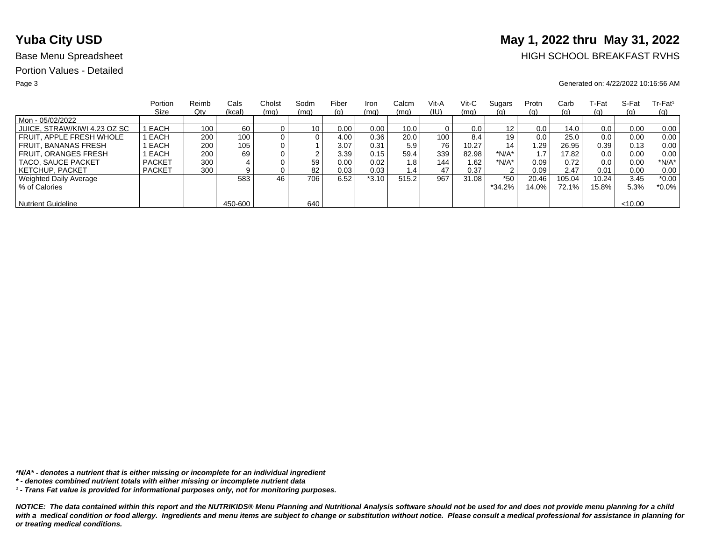# **Yuba City USD** May 1, 2022 thru May 31, 2022

## Base Menu Spreadsheet **HIGH SCHOOL BREAKFAST RVHS**

### Page 3 Generated on: 4/22/2022 10:16:56 AM

|                              | Portion       | Reimb | Cals    | Cholst | Sodm            | Fiber | Iron    | Calcm | Vit-A | Vit-C | Sugars   | Protn | Carb       | ⊺-Fat | S-Fat   | $Tr-Fat1$ |
|------------------------------|---------------|-------|---------|--------|-----------------|-------|---------|-------|-------|-------|----------|-------|------------|-------|---------|-----------|
|                              | Size          | Qty   | (kcal)  | (mq)   | (mq)            | (g)   | (mq)    | (mq)  | (IU)  | (mq)  | (g)      | (g)   | (g)        | (g)   | (q)     | (q)       |
| Mon - 05/02/2022             |               |       |         |        |                 |       |         |       |       |       |          |       |            |       |         |           |
| JUICE, STRAW/KIWI 4.23 OZ SC | I EACH        | 100   | 60      |        | 10 <sub>1</sub> | 0.00  | 0.00    | 10.0  |       | 0.0   | 12       | 0.0   | 14.0       | 0.0   | 0.00    | 0.00      |
| FRUIT. APPLE FRESH WHOLE     | EACH          | 200   | 100     |        | 0               | 4.00  | 0.36    | 20.0  | 100   | 8.4   | 19       | 0.0   | 25.0       | 0.0   | 0.00    | 0.00      |
| FRUIT. BANANAS FRESH         | EACH          | 200   | 105     |        |                 | 3.07  | 0.31    | 5.9   | 76    | 10.27 | 14       | .29   | 26.95      | 0.39  | 0.13    | 0.00      |
| <b>FRUIT, ORANGES FRESH</b>  | EACH          | 200   | 69      |        | ົ               | 3.39  | 0.15    | 59.4  | 339   | 82.98 | $*N/A*$  |       | 17.82      | 0.0   | 0.00    | 0.00      |
| TACO, SAUCE PACKET           | <b>PACKET</b> | 300   |         |        | 59              | 0.00  | 0.02    | 1.8   | 144   | 1.62  | *N/A*    | 0.09  | 0.72       | 0.0   | 0.00    | $*N/A*$   |
| <b>KETCHUP, PACKET</b>       | <b>PACKET</b> | 300   | 9       |        | 82              | 0.03  | 0.03    | 1.4   | 47    | 0.37  | 2        | 0.09  | 2.47       | 0.01  | 0.00    | 0.00      |
| Weighted Daily Average       |               |       | 583     | 46     | 706             | 6.52  | $*3.10$ | 515.2 | 967   | 31.08 | $*50$    | 20.46 | 105.04     | 10.24 | 3.45    | $*0.00$   |
| % of Calories                |               |       |         |        |                 |       |         |       |       |       | $*34.2%$ | 14.0% | $72.1\%$ . | 15.8% | 5.3%    | $*0.0\%$  |
|                              |               |       |         |        |                 |       |         |       |       |       |          |       |            |       |         |           |
| <b>Nutrient Guideline</b>    |               |       | 450-600 |        | 640             |       |         |       |       |       |          |       |            |       | < 10.00 |           |

*\*N/A\* - denotes a nutrient that is either missing or incomplete for an individual ingredient*

*¹ - Trans Fat value is provided for informational purposes only, not for monitoring purposes.*

*<sup>\* -</sup> denotes combined nutrient totals with either missing or incomplete nutrient data*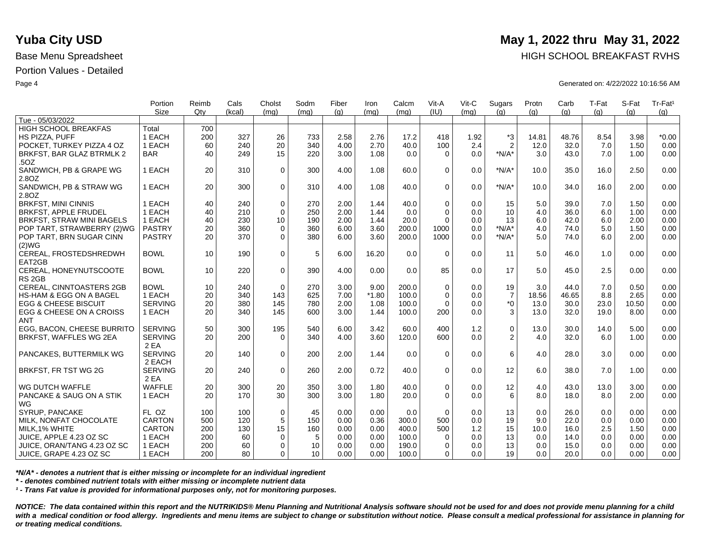|                                    | Portion<br>Size | Reimb<br>Qtv | Cals<br>(kcal) | Cholst      | Sodm | Fiber | Iron    | Calcm<br>(mq) | Vit-A<br>(IU) | Vit-C<br>(mq) | Sugars         | Protn<br>(a) | Carb  | T-Fat | S-Fat<br>(a) | Tr-Fat <sup>1</sup> |
|------------------------------------|-----------------|--------------|----------------|-------------|------|-------|---------|---------------|---------------|---------------|----------------|--------------|-------|-------|--------------|---------------------|
| Tue - 05/03/2022                   |                 |              |                | (mq)        | (mq) | (q)   | (mq)    |               |               |               | (q)            |              | (q)   | (q)   |              | (q)                 |
| <b>HIGH SCHOOL BREAKFAS</b>        | Total           | 700          |                |             |      |       |         |               |               |               |                |              |       |       |              |                     |
| HS PIZZA, PUFF                     | 1 EACH          | 200          | 327            | 26          | 733  | 2.58  | 2.76    | 17.2          | 418           | 1.92          | $*3$           | 14.81        | 48.76 | 8.54  | 3.98         | $*0.00$             |
| POCKET. TURKEY PIZZA 4 OZ          | 1 EACH          | 60           | 240            | 20          | 340  | 4.00  | 2.70    | 40.0          | 100           | 2.4           | $\overline{2}$ | 12.0         | 32.0  | 7.0   | 1.50         | 0.00                |
| BRKFST, BAR GLAZ BTRMLK 2          | <b>BAR</b>      | 40           | 249            | 15          | 220  | 3.00  | 1.08    | 0.0           | $\Omega$      | 0.0           | $*N/A*$        | 3.0          | 43.0  | 7.0   | 1.00         | 0.00                |
| .50Z                               |                 |              |                |             |      |       |         |               |               |               |                |              |       |       |              |                     |
| SANDWICH, PB & GRAPE WG            | 1 EACH          | 20           | 310            | $\mathbf 0$ | 300  | 4.00  | 1.08    | 60.0          | $\mathbf 0$   | 0.0           | $*N/A*$        | 10.0         | 35.0  | 16.0  | 2.50         | 0.00                |
| 2.8OZ                              |                 |              |                |             |      |       |         |               |               |               |                |              |       |       |              |                     |
| SANDWICH, PB & STRAW WG            | 1 EACH          | 20           | 300            | $\Omega$    | 310  | 4.00  | 1.08    | 40.0          | $\Omega$      | 0.0           | $*N/A*$        | 10.0         | 34.0  | 16.0  | 2.00         | 0.00                |
| 2.8OZ                              |                 |              |                |             |      |       |         |               |               |               |                |              |       |       |              |                     |
| <b>BRKFST, MINI CINNIS</b>         | 1 EACH          | 40           | 240            | $\mathbf 0$ | 270  | 2.00  | 1.44    | 40.0          | $\mathbf 0$   | 0.0           | 15             | 5.0          | 39.0  | 7.0   | 1.50         | 0.00                |
| <b>BRKFST, APPLE FRUDEL</b>        | 1 EACH          | 40           | 210            | $\mathbf 0$ | 250  | 2.00  | 1.44    | 0.0           | $\Omega$      | 0.0           | 10             | 4.0          | 36.0  | 6.0   | 1.00         | 0.00                |
| BRKFST, STRAW MINI BAGELS          | 1 EACH          | 40           | 230            | 10          | 190  | 2.00  | 1.44    | 20.0          | $\Omega$      | 0.0           | 13             | 6.0          | 42.0  | 6.0   | 2.00         | 0.00                |
| POP TART, STRAWBERRY (2)WG         | <b>PASTRY</b>   | 20           | 360            | $\mathbf 0$ | 360  | 6.00  | 3.60    | 200.0         | 1000          | 0.0           | $*N/A*$        | 4.0          | 74.0  | 5.0   | 1.50         | 0.00                |
| POP TART, BRN SUGAR CINN           | <b>PASTRY</b>   | 20           | 370            | $\Omega$    | 380  | 6.00  | 3.60    | 200.0         | 1000          | 0.0           | $*N/A*$        | 5.0          | 74.0  | 6.0   | 2.00         | 0.00                |
| (2)WG                              |                 |              |                |             |      |       |         |               |               |               |                |              |       |       |              |                     |
| CEREAL, FROSTEDSHREDWH             | <b>BOWL</b>     | 10           | 190            | $\mathbf 0$ | 5    | 6.00  | 16.20   | 0.0           | $\Omega$      | 0.0           | 11             | 5.0          | 46.0  | 1.0   | 0.00         | 0.00                |
| EAT2GB                             |                 |              |                |             |      |       |         |               |               |               |                |              |       |       |              |                     |
| CEREAL, HONEYNUTSCOOTE             | <b>BOWL</b>     | 10           | 220            | $\Omega$    | 390  | 4.00  | 0.00    | 0.0           | 85            | 0.0           | 17             | 5.0          | 45.0  | 2.5   | 0.00         | 0.00                |
| RS <sub>2GB</sub>                  |                 |              |                |             |      |       |         |               |               |               |                |              |       |       |              |                     |
| CEREAL, CINNTOASTERS 2GB           | <b>BOWL</b>     | 10           | 240            | $\mathbf 0$ | 270  | 3.00  | 9.00    | 200.0         | $\mathbf 0$   | 0.0           | 19             | 3.0          | 44.0  | 7.0   | 0.50         | 0.00                |
| <b>HS-HAM &amp; EGG ON A BAGEL</b> | 1 EACH          | 20           | 340            | 143         | 625  | 7.00  | $*1.80$ | 100.0         | $\Omega$      | 0.0           | $\overline{7}$ | 18.56        | 46.65 | 8.8   | 2.65         | 0.00                |
| <b>EGG &amp; CHEESE BISCUIT</b>    | <b>SERVING</b>  | 20           | 380            | 145         | 780  | 2.00  | 1.08    | 100.0         | $\Omega$      | 0.0           | $*_{0}$        | 13.0         | 30.0  | 23.0  | 10.50        | 0.00                |
| EGG & CHEESE ON A CROISS           | 1 EACH          | 20           | 340            | 145         | 600  | 3.00  | 1.44    | 100.0         | 200           | 0.0           | 3              | 13.0         | 32.0  | 19.0  | 8.00         | 0.00                |
| <b>ANT</b>                         |                 |              |                |             |      |       |         |               |               |               |                |              |       |       |              |                     |
| EGG, BACON, CHEESE BURRITO         | <b>SERVING</b>  | 50           | 300            | 195         | 540  | 6.00  | 3.42    | 60.0          | 400           | 1.2           | $\mathbf 0$    | 13.0         | 30.0  | 14.0  | 5.00         | 0.00                |
| BRKFST, WAFFLES WG 2EA             | <b>SERVING</b>  | 20           | 200            | $\Omega$    | 340  | 4.00  | 3.60    | 120.0         | 600           | 0.0           | 2              | 4.0          | 32.0  | 6.0   | 1.00         | 0.00                |
|                                    | 2 EA            |              |                |             |      |       |         |               |               |               |                |              |       |       |              |                     |
| PANCAKES, BUTTERMILK WG            | <b>SERVING</b>  | 20           | 140            | $\mathbf 0$ | 200  | 2.00  | 1.44    | 0.0           | $\Omega$      | 0.0           | 6              | 4.0          | 28.0  | 3.0   | 0.00         | 0.00                |
|                                    | 2 EACH          |              |                |             |      |       |         |               |               |               |                |              |       |       |              |                     |
| BRKFST, FR TST WG 2G               | <b>SERVING</b>  | 20           | 240            | $\mathbf 0$ | 260  | 2.00  | 0.72    | 40.0          | $\mathbf 0$   | 0.0           | 12             | 6.0          | 38.0  | 7.0   | 1.00         | 0.00                |
|                                    | 2 EA            |              |                |             |      |       |         |               |               |               |                |              |       |       |              |                     |
| WG DUTCH WAFFLE                    | <b>WAFFLE</b>   | 20           | 300            | 20          | 350  | 3.00  | 1.80    | 40.0          | $\mathbf 0$   | 0.0           | 12             | 4.0          | 43.0  | 13.0  | 3.00         | 0.00                |
| PANCAKE & SAUG ON A STIK           | 1 EACH          | 20           | 170            | 30          | 300  | 3.00  | 1.80    | 20.0          | $\Omega$      | 0.0           | 6              | 8.0          | 18.0  | 8.0   | 2.00         | 0.00                |
| WG                                 |                 |              |                |             |      |       |         |               |               |               |                |              |       |       |              |                     |
| SYRUP, PANCAKE                     | FL OZ           | 100          | 100            | $\mathbf 0$ | 45   | 0.00  | 0.00    | 0.0           | $\Omega$      | 0.0           | 13             | 0.0          | 26.0  | 0.0   | 0.00         | 0.00                |
| MILK, NONFAT CHOCOLATE             | CARTON          | 500          | 120            | 5           | 150  | 0.00  | 0.36    | 300.0         | 500           | 0.0           | 19             | 9.0          | 22.0  | 0.0   | 0.00         | 0.00                |
| MILK, 1% WHITE                     | <b>CARTON</b>   | 200          | 130            | 15          | 160  | 0.00  | 0.00    | 400.0         | 500           | 1.2           | 15             | 10.0         | 16.0  | 2.5   | 1.50         | 0.00                |
| JUICE, APPLE 4.23 OZ SC            | 1 EACH          | 200          | 60             | $\mathbf 0$ | 5    | 0.00  | 0.00    | 100.0         | $\mathbf 0$   | 0.0           | 13             | 0.0          | 14.0  | 0.0   | 0.00         | 0.00                |
| JUICE, ORAN/TANG 4.23 OZ SC        | 1 EACH          | 200          | 60             | $\Omega$    | 10   | 0.00  | 0.00    | 190.0         | $\Omega$      | 0.0           | 13             | 0.0          | 15.0  | 0.0   | 0.00         | 0.00                |
| ∣ JUICE, GRAPE 4.23 OZ SC          | 1 EACH          | 200          | 80             | $\Omega$    | 10   | 0.00  | 0.00    | 100.0         | $\Omega$      | 0.0           | 19             | 0.0          | 20.0  | 0.0   | 0.00         | 0.00                |
|                                    |                 |              |                |             |      |       |         |               |               |               |                |              |       |       |              |                     |

*\*N/A\* - denotes a nutrient that is either missing or incomplete for an individual ingredient*

*\* - denotes combined nutrient totals with either missing or incomplete nutrient data*

*¹ - Trans Fat value is provided for informational purposes only, not for monitoring purposes.*

*NOTICE: The data contained within this report and the NUTRIKIDS® Menu Planning and Nutritional Analysis software should not be used for and does not provide menu planning for a child*  with a medical condition or food allergy. Ingredients and menu items are subject to change or substitution without notice. Please consult a medical professional for assistance in planning for *or treating medical conditions.*

## **Yuba City USD** May 1, 2022 thru May 31, 2022

Base Menu Spreadsheet **HIGH SCHOOL BREAKFAST RVHS** 

Page 4 Generated on: 4/22/2022 10:16:56 AM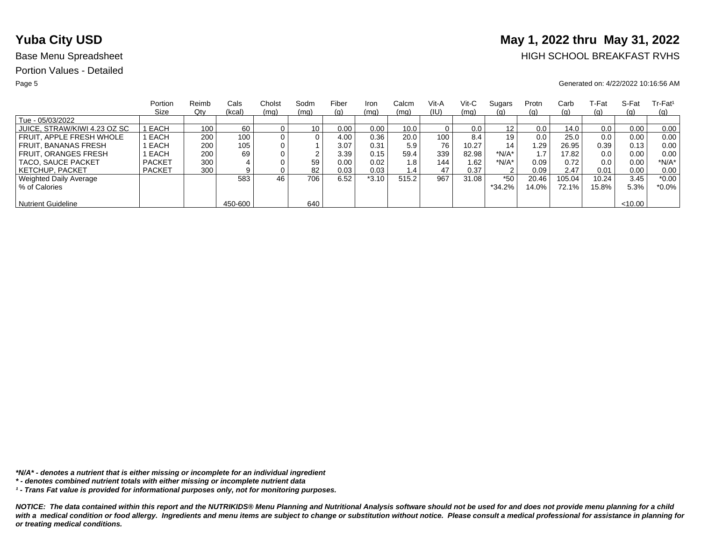# **Yuba City USD** May 1, 2022 thru May 31, 2022

## Base Menu Spreadsheet **HIGH SCHOOL BREAKFAST RVHS**

### Page 5 Generated on: 4/22/2022 10:16:56 AM

|                              | Portion       | Reimb | Cals    | Cholst | Sodm | Fiber | Iron    | Calcm | Vit-A | Vit-C | Sugars            | Protn | Carb       | ⊺-Fat | S-Fat   | $Tr-Fat1$  |
|------------------------------|---------------|-------|---------|--------|------|-------|---------|-------|-------|-------|-------------------|-------|------------|-------|---------|------------|
|                              | Size          | Qty   | (kcal)  | (mq)   | (mq) | (g)   | (mq)    | (mq)  | (IU)  | (mq)  | <u>(g)</u>        | (q)   | (g)        | (g)   | (q)     | <u>(g)</u> |
| Tue - 05/03/2022             |               |       |         |        |      |       |         |       |       |       |                   |       |            |       |         |            |
| JUICE, STRAW/KIWI 4.23 OZ SC | EACH          | 100   | 60      |        | 10   | 0.00  | 0.00    | 10.0  |       | 0.0   | $12 \overline{ }$ | 0.0   | 14.0       | 0.0   | 0.00    | 0.00       |
| FRUIT. APPLE FRESH WHOLE     | EACH          | 200   | 100     |        | 0    | 4.00  | 0.36    | 20.0  | 100   | 8.4   | 19                | 0.0   | 25.0       | 0.0   | 0.00    | 0.00       |
| FRUIT. BANANAS FRESH         | EACH          | 200   | 105     |        |      | 3.07  | 0.31    | 5.9   | 76    | 10.27 | 14                | '.29  | 26.95      | 0.39  | 0.13    | 0.00       |
| FRUIT. ORANGES FRESH         | EACH          | 200   | 69      |        | ົ    | 3.39  | 0.15    | 59.4  | 339   | 82.98 | $*N/A*$           |       | 17.82      | 0.0   | 0.00    | 0.00       |
| <b>TACO, SAUCE PACKET</b>    | <b>PACKET</b> | 300   |         |        | 59   | 0.00  | 0.02    | 1.8   | 144   | 1.62  | $*N/A*$           | 0.09  | 0.72       | 0.0   | 0.00    | $*N/A*$    |
| KETCHUP, PACKET              | <b>PACKET</b> | 300   |         |        | 82   | 0.03  | 0.03    | 1.4   | 47    | 0.37  | 2                 | 0.09  | 2.47       | 0.01  | 0.00    | 0.00       |
| Weighted Daily Average       |               |       | 583     | 46     | 706  | 6.52  | $*3.10$ | 515.2 | 967   | 31.08 | $*50$             | 20.46 | 105.04     | 10.24 | 3.45    | $*0.00$    |
| % of Calories                |               |       |         |        |      |       |         |       |       |       | $*34.2\%$         | 14.0% | $72.1\%$ . | 15.8% | 5.3%    | $*0.0\%$   |
|                              |               |       |         |        |      |       |         |       |       |       |                   |       |            |       |         |            |
| <b>Nutrient Guideline</b>    |               |       | 450-600 |        | 640  |       |         |       |       |       |                   |       |            |       | < 10.00 |            |

*\*N/A\* - denotes a nutrient that is either missing or incomplete for an individual ingredient*

*¹ - Trans Fat value is provided for informational purposes only, not for monitoring purposes.*

*<sup>\* -</sup> denotes combined nutrient totals with either missing or incomplete nutrient data*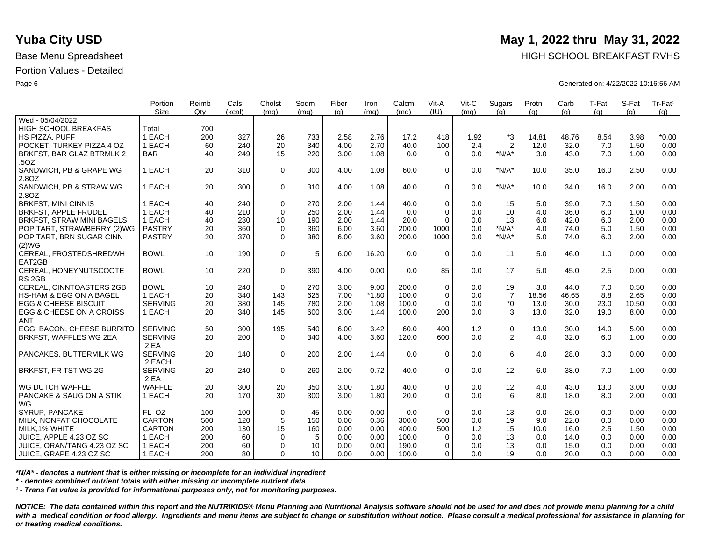|                                 | Portion        | Reimb | Cals   | Cholst      | Sodm | Fiber | Iron    | Calcm | Vit-A        | Vit-C | Sugars         | Protn | Carb  | T-Fat | S-Fat | Tr-Fat <sup>1</sup> |
|---------------------------------|----------------|-------|--------|-------------|------|-------|---------|-------|--------------|-------|----------------|-------|-------|-------|-------|---------------------|
|                                 | <b>Size</b>    | Qtv   | (kcal) | (mq)        | (mq) | (q)   | (mg)    | (mq)  | (III)        | (mq)  | (q)            | (q)   | (q)   | (q)   | (a)   | (g)                 |
| Wed - 05/04/2022                |                |       |        |             |      |       |         |       |              |       |                |       |       |       |       |                     |
| <b>HIGH SCHOOL BREAKFAS</b>     | Total          | 700   |        |             |      |       |         |       |              |       |                |       |       |       |       |                     |
| HS PIZZA, PUFF                  | 1 EACH         | 200   | 327    | 26          | 733  | 2.58  | 2.76    | 17.2  | 418          | 1.92  | *3             | 14.81 | 48.76 | 8.54  | 3.98  | $*0.00$             |
| POCKET. TURKEY PIZZA 4 OZ       | 1 EACH         | 60    | 240    | 20          | 340  | 4.00  | 2.70    | 40.0  | 100          | 2.4   | $\overline{2}$ | 12.0  | 32.0  | 7.0   | 1.50  | 0.00                |
| BRKFST, BAR GLAZ BTRMLK 2       | <b>BAR</b>     | 40    | 249    | 15          | 220  | 3.00  | 1.08    | 0.0   | $\Omega$     | 0.0   | $*N/A*$        | 3.0   | 43.0  | 7.0   | 1.00  | 0.00                |
| .50Z                            |                |       |        |             |      |       |         |       |              |       |                |       |       |       |       |                     |
| SANDWICH, PB & GRAPE WG         | 1 EACH         | 20    | 310    | $\mathbf 0$ | 300  | 4.00  | 1.08    | 60.0  | $\Omega$     | 0.0   | $*N/A*$        | 10.0  | 35.0  | 16.0  | 2.50  | 0.00                |
| 2.8OZ                           |                |       |        |             |      |       |         |       |              |       |                |       |       |       |       |                     |
| SANDWICH, PB & STRAW WG         | 1 EACH         | 20    | 300    | $\mathbf 0$ | 310  | 4.00  | 1.08    | 40.0  | $\Omega$     | 0.0   | $*N/A*$        | 10.0  | 34.0  | 16.0  | 2.00  | 0.00                |
| 2.8OZ                           |                |       |        |             |      |       |         |       |              |       |                |       |       |       |       |                     |
| <b>BRKFST, MINI CINNIS</b>      | 1 EACH         | 40    | 240    | $\mathbf 0$ | 270  | 2.00  | 1.44    | 40.0  | $\mathbf 0$  | 0.0   | 15             | 5.0   | 39.0  | 7.0   | 1.50  | 0.00                |
| <b>BRKFST, APPLE FRUDEL</b>     | 1 EACH         | 40    | 210    | $\Omega$    | 250  | 2.00  | 1.44    | 0.0   | $\Omega$     | 0.0   | 10             | 4.0   | 36.0  | 6.0   | 1.00  | 0.00                |
| BRKFST, STRAW MINI BAGELS       | 1 EACH         | 40    | 230    | 10          | 190  | 2.00  | 1.44    | 20.0  | $\Omega$     | 0.0   | 13             | 6.0   | 42.0  | 6.0   | 2.00  | 0.00                |
| POP TART, STRAWBERRY (2)WG      | <b>PASTRY</b>  | 20    | 360    | $\mathbf 0$ | 360  | 6.00  | 3.60    | 200.0 | 1000         | 0.0   | $*N/A*$        | 4.0   | 74.0  | 5.0   | 1.50  | 0.00                |
| POP TART, BRN SUGAR CINN        | <b>PASTRY</b>  | 20    | 370    | $\Omega$    | 380  | 6.00  | 3.60    | 200.0 | 1000         | 0.0   | $*N/A*$        | 5.0   | 74.0  | 6.0   | 2.00  | 0.00                |
| (2)WG                           |                |       |        |             |      |       |         |       |              |       |                |       |       |       |       |                     |
| CEREAL, FROSTEDSHREDWH          | <b>BOWL</b>    | 10    | 190    | $\mathbf 0$ | 5    | 6.00  | 16.20   | 0.0   | $\Omega$     | 0.0   | 11             | 5.0   | 46.0  | 1.0   | 0.00  | 0.00                |
| EAT2GB                          |                |       |        |             |      |       |         |       |              |       |                |       |       |       |       |                     |
| CEREAL, HONEYNUTSCOOTE          | <b>BOWL</b>    | 10    | 220    | $\mathbf 0$ | 390  | 4.00  | 0.00    | 0.0   | 85           | 0.0   | 17             | 5.0   | 45.0  | 2.5   | 0.00  | 0.00                |
| RS <sub>2GB</sub>               |                |       |        |             |      |       |         |       |              |       |                |       |       |       |       |                     |
| CEREAL, CINNTOASTERS 2GB        | <b>BOWL</b>    | 10    | 240    | $\Omega$    | 270  | 3.00  | 9.00    | 200.0 | $\mathbf 0$  | 0.0   | 19             | 3.0   | 44.0  | 7.0   | 0.50  | 0.00                |
| HS-HAM & EGG ON A BAGEL         | 1 EACH         | 20    | 340    | 143         | 625  | 7.00  | $*1.80$ | 100.0 | $\mathbf 0$  | 0.0   | $\overline{7}$ | 18.56 | 46.65 | 8.8   | 2.65  | 0.00                |
| <b>EGG &amp; CHEESE BISCUIT</b> | <b>SERVING</b> | 20    | 380    | 145         | 780  | 2.00  | 1.08    | 100.0 | $\Omega$     | 0.0   | $*_{0}$        | 13.0  | 30.0  | 23.0  | 10.50 | 0.00                |
| EGG & CHEESE ON A CROISS        | 1 EACH         | 20    | 340    | 145         | 600  | 3.00  | 1.44    | 100.0 | 200          | 0.0   | 3              | 13.0  | 32.0  | 19.0  | 8.00  | 0.00                |
| <b>ANT</b>                      |                |       |        |             |      |       |         |       |              |       |                |       |       |       |       |                     |
| EGG. BACON. CHEESE BURRITO      | <b>SERVING</b> | 50    | 300    | 195         | 540  | 6.00  | 3.42    | 60.0  | 400          | 1.2   | $\mathbf 0$    | 13.0  | 30.0  | 14.0  | 5.00  | 0.00                |
| BRKFST, WAFFLES WG 2EA          | <b>SERVING</b> | 20    | 200    | $\Omega$    | 340  | 4.00  | 3.60    | 120.0 | 600          | 0.0   | $\overline{2}$ | 4.0   | 32.0  | 6.0   | 1.00  | 0.00                |
|                                 | 2 EA           |       |        |             |      |       |         |       |              |       |                |       |       |       |       |                     |
| PANCAKES, BUTTERMILK WG         | <b>SERVING</b> | 20    | 140    | $\Omega$    | 200  | 2.00  | 1.44    | 0.0   | $\Omega$     | 0.0   | 6              | 4.0   | 28.0  | 3.0   | 0.00  | 0.00                |
|                                 | 2 EACH         |       |        |             |      |       |         |       |              |       |                |       |       |       |       |                     |
| BRKFST, FR TST WG 2G            | <b>SERVING</b> | 20    | 240    | $\mathbf 0$ | 260  | 2.00  | 0.72    | 40.0  | $\mathbf 0$  | 0.0   | 12             | 6.0   | 38.0  | 7.0   | 1.00  | 0.00                |
|                                 | 2 EA           |       |        |             |      |       |         |       |              |       |                |       |       |       |       |                     |
| WG DUTCH WAFFLE                 | <b>WAFFLE</b>  | 20    | 300    | 20          | 350  | 3.00  | 1.80    | 40.0  | $\mathbf 0$  | 0.0   | 12             | 4.0   | 43.0  | 13.0  | 3.00  | 0.00                |
| PANCAKE & SAUG ON A STIK        | 1 EACH         | 20    | 170    | 30          | 300  | 3.00  | 1.80    | 20.0  | $\Omega$     | 0.0   | 6              | 8.0   | 18.0  | 8.0   | 2.00  | 0.00                |
| WG                              |                |       |        |             |      |       |         |       |              |       |                |       |       |       |       |                     |
| SYRUP, PANCAKE                  | FL OZ          | 100   | 100    | $\mathbf 0$ | 45   | 0.00  | 0.00    | 0.0   | $\Omega$     | 0.0   | 13             | 0.0   | 26.0  | 0.0   | 0.00  | 0.00                |
| MILK, NONFAT CHOCOLATE          | <b>CARTON</b>  | 500   | 120    | $\sqrt{5}$  | 150  | 0.00  | 0.36    | 300.0 | 500          | 0.0   | 19             | 9.0   | 22.0  | 0.0   | 0.00  | 0.00                |
| MILK, 1% WHITE                  | <b>CARTON</b>  | 200   | 130    | 15          | 160  | 0.00  | 0.00    | 400.0 | 500          | 1.2   | 15             | 10.0  | 16.0  | 2.5   | 1.50  | 0.00                |
| JUICE, APPLE 4.23 OZ SC         | 1 EACH         | 200   | 60     | $\mathbf 0$ | 5    | 0.00  | 0.00    | 100.0 | $\mathbf{0}$ | 0.0   | 13             | 0.0   | 14.0  | 0.0   | 0.00  | 0.00                |
| JUICE, ORAN/TANG 4.23 OZ SC     | 1 EACH         | 200   | 60     | $\Omega$    | 10   | 0.00  | 0.00    | 190.0 | $\Omega$     | 0.0   | 13             | 0.0   | 15.0  | 0.0   | 0.00  | 0.00                |
| JUICE, GRAPE 4.23 OZ SC         | 1 EACH         | 200   | 80     | $\Omega$    | 10   | 0.00  | 0.00    | 100.0 | $\Omega$     | 0.0   | 19             | 0.0   | 20.0  | 0.0   | 0.00  | 0.00                |
|                                 |                |       |        |             |      |       |         |       |              |       |                |       |       |       |       |                     |

*\*N/A\* - denotes a nutrient that is either missing or incomplete for an individual ingredient*

*\* - denotes combined nutrient totals with either missing or incomplete nutrient data*

*¹ - Trans Fat value is provided for informational purposes only, not for monitoring purposes.*

*NOTICE: The data contained within this report and the NUTRIKIDS® Menu Planning and Nutritional Analysis software should not be used for and does not provide menu planning for a child*  with a medical condition or food allergy. Ingredients and menu items are subject to change or substitution without notice. Please consult a medical professional for assistance in planning for *or treating medical conditions.*

## **Yuba City USD** May 1, 2022 thru May 31, 2022

Base Menu Spreadsheet **HIGH SCHOOL BREAKFAST RVHS** 

Page 6 Generated on: 4/22/2022 10:16:56 AM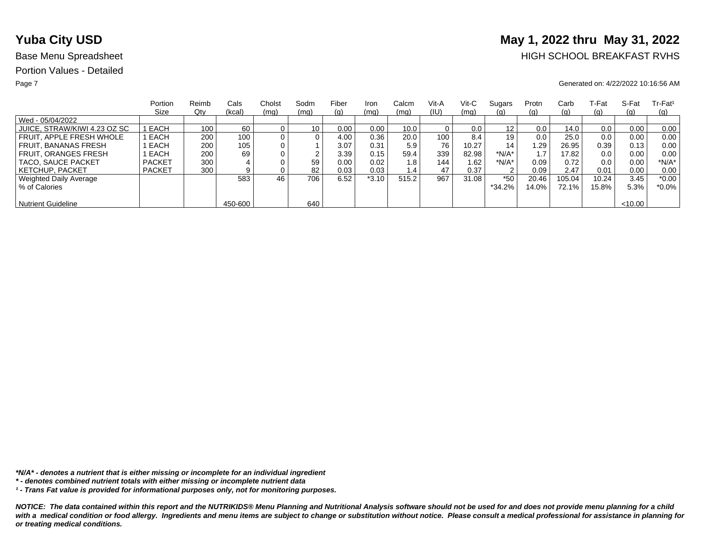# **Yuba City USD** May 1, 2022 thru May 31, 2022

## Base Menu Spreadsheet **HIGH SCHOOL BREAKFAST RVHS**

### Page 7 Generated on: 4/22/2022 10:16:56 AM

|                              | Portion       | Reimb | Cals    | Cholst | Sodm            | Fiber | Iron    | Calcm | Vit-A | Vit-C | Sugars   | Protn | Carb     | ⊺-Fat | S-Fat   | $Tr-Fat1$ |
|------------------------------|---------------|-------|---------|--------|-----------------|-------|---------|-------|-------|-------|----------|-------|----------|-------|---------|-----------|
|                              | Size          | Qty   | (kcal)  | (mq)   | (mq)            | (g)   | (mq)    | (mq)  | (IU)  | (mq)  | (g)      | (g)   | (g)      | (g)   | (q)     | (q)       |
| Wed - 05/04/2022             |               |       |         |        |                 |       |         |       |       |       |          |       |          |       |         |           |
| JUICE, STRAW/KIWI 4.23 OZ SC | I EACH        | 100   | 60      |        | 10 <sub>1</sub> | 0.00  | 0.00    | 10.0  |       | 0.0   | 12       | 0.0   | 14.0     | 0.0   | 0.00    | 0.00      |
| FRUIT. APPLE FRESH WHOLE     | EACH          | 200   | 100     |        | 0               | 4.00  | 0.36    | 20.0  | 100   | 8.4   | 19       | 0.0   | 25.0     | 0.0   | 0.00    | 0.00      |
| FRUIT. BANANAS FRESH         | EACH          | 200   | 105     |        |                 | 3.07  | 0.31    | 5.9   | 76    | 10.27 | 14       | .29   | 26.95    | 0.39  | 0.13    | 0.00      |
| <b>FRUIT, ORANGES FRESH</b>  | EACH          | 200   | 69      |        | ົ               | 3.39  | 0.15    | 59.4  | 339   | 82.98 | $*N/A*$  |       | 17.82    | 0.0   | 0.00    | 0.00      |
| TACO, SAUCE PACKET           | <b>PACKET</b> | 300   |         |        | 59              | 0.00  | 0.02    | 1.8   | 144   | 1.62  | *N/A*    | 0.09  | 0.72     | 0.0   | 0.00    | $*N/A*$   |
| <b>KETCHUP, PACKET</b>       | <b>PACKET</b> | 300   | 9       |        | 82              | 0.03  | 0.03    | 1.4   | 47    | 0.37  | 2        | 0.09  | 2.47     | 0.01  | 0.00    | 0.00      |
| Weighted Daily Average       |               |       | 583     | 46     | 706             | 6.52  | $*3.10$ | 515.2 | 967   | 31.08 | $*50$    | 20.46 | 105.04   | 10.24 | 3.45    | $*0.00$   |
| % of Calories                |               |       |         |        |                 |       |         |       |       |       | $*34.2%$ | 14.0% | $72.1\%$ | 15.8% | 5.3%    | $*0.0\%$  |
|                              |               |       |         |        |                 |       |         |       |       |       |          |       |          |       |         |           |
| <b>Nutrient Guideline</b>    |               |       | 450-600 |        | 640             |       |         |       |       |       |          |       |          |       | < 10.00 |           |

*\*N/A\* - denotes a nutrient that is either missing or incomplete for an individual ingredient*

*¹ - Trans Fat value is provided for informational purposes only, not for monitoring purposes.*

*<sup>\* -</sup> denotes combined nutrient totals with either missing or incomplete nutrient data*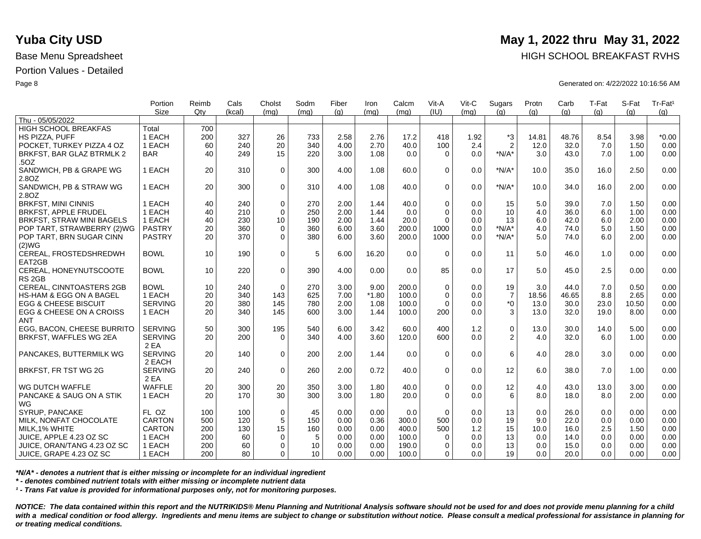|                                 | Portion        | Reimb | Cals   | Cholst      | Sodm | Fiber | Iron    | Calcm | Vit-A       | Vit-C | Sugars           | Protn | Carb  | T-Fat | S-Fat | Tr-Fat <sup>1</sup> |
|---------------------------------|----------------|-------|--------|-------------|------|-------|---------|-------|-------------|-------|------------------|-------|-------|-------|-------|---------------------|
|                                 | <b>Size</b>    | Qtv   | (kcal) | (mq)        | (mq) | (g)   | (mq)    | (mq)  | (III)       | (mq)  | (q)              | (q)   | (q)   | (q)   | (q)   | (g)                 |
| Thu - 05/05/2022                |                |       |        |             |      |       |         |       |             |       |                  |       |       |       |       |                     |
| <b>HIGH SCHOOL BREAKFAS</b>     | Total          | 700   |        |             |      |       |         |       |             |       |                  |       |       |       |       |                     |
| HS PIZZA, PUFF                  | 1 EACH         | 200   | 327    | 26          | 733  | 2.58  | 2.76    | 17.2  | 418         | 1.92  | $*3$             | 14.81 | 48.76 | 8.54  | 3.98  | $*0.00$             |
| POCKET. TURKEY PIZZA 4 OZ       | 1 EACH         | 60    | 240    | 20          | 340  | 4.00  | 2.70    | 40.0  | 100         | 2.4   | $\overline{2}$   | 12.0  | 32.0  | 7.0   | 1.50  | 0.00                |
| BRKFST, BAR GLAZ BTRMLK 2       | <b>BAR</b>     | 40    | 249    | 15          | 220  | 3.00  | 1.08    | 0.0   | $\Omega$    | 0.0   | $*N/A*$          | 3.0   | 43.0  | 7.0   | 1.00  | 0.00                |
| .50Z                            |                |       |        |             |      |       |         |       |             |       |                  |       |       |       |       |                     |
| SANDWICH, PB & GRAPE WG         | 1 EACH         | 20    | 310    | $\mathbf 0$ | 300  | 4.00  | 1.08    | 60.0  | $\Omega$    | 0.0   | $*N/A*$          | 10.0  | 35.0  | 16.0  | 2.50  | 0.00                |
| 2.8OZ                           |                |       |        |             |      |       |         |       |             |       |                  |       |       |       |       |                     |
| SANDWICH, PB & STRAW WG         | 1 EACH         | 20    | 300    | 0           | 310  | 4.00  | 1.08    | 40.0  | $\Omega$    | 0.0   | $*N/A*$          | 10.0  | 34.0  | 16.0  | 2.00  | 0.00                |
| 2.8OZ                           |                |       |        |             |      |       |         |       |             |       |                  |       |       |       |       |                     |
| <b>BRKFST, MINI CINNIS</b>      | 1 EACH         | 40    | 240    | $\mathbf 0$ | 270  | 2.00  | 1.44    | 40.0  | $\mathbf 0$ | 0.0   | 15               | 5.0   | 39.0  | 7.0   | 1.50  | 0.00                |
| <b>BRKFST, APPLE FRUDEL</b>     | 1 EACH         | 40    | 210    | $\Omega$    | 250  | 2.00  | 1.44    | 0.0   | $\Omega$    | 0.0   | 10               | 4.0   | 36.0  | 6.0   | 1.00  | 0.00                |
| BRKFST, STRAW MINI BAGELS       | 1 EACH         | 40    | 230    | 10          | 190  | 2.00  | 1.44    | 20.0  | $\Omega$    | 0.0   | 13               | 6.0   | 42.0  | 6.0   | 2.00  | 0.00                |
| POP TART, STRAWBERRY (2)WG      | <b>PASTRY</b>  | 20    | 360    | $\mathbf 0$ | 360  | 6.00  | 3.60    | 200.0 | 1000        | 0.0   | $*N/A*$          | 4.0   | 74.0  | 5.0   | 1.50  | 0.00                |
| POP TART, BRN SUGAR CINN        | <b>PASTRY</b>  | 20    | 370    | $\Omega$    | 380  | 6.00  | 3.60    | 200.0 | 1000        | 0.0   | $*N/A*$          | 5.0   | 74.0  | 6.0   | 2.00  | 0.00                |
| (2)WG                           |                |       |        |             |      |       |         |       |             |       |                  |       |       |       |       |                     |
| CEREAL, FROSTEDSHREDWH          | <b>BOWL</b>    | 10    | 190    | $\mathbf 0$ | 5    | 6.00  | 16.20   | 0.0   | $\Omega$    | 0.0   | 11               | 5.0   | 46.0  | 1.0   | 0.00  | 0.00                |
| EAT2GB                          |                |       |        |             |      |       |         |       |             |       |                  |       |       |       |       |                     |
| CEREAL, HONEYNUTSCOOTE          | <b>BOWL</b>    | 10    | 220    | 0           | 390  | 4.00  | 0.00    | 0.0   | 85          | 0.0   | 17               | 5.0   | 45.0  | 2.5   | 0.00  | 0.00                |
| RS <sub>2GB</sub>               |                |       |        |             |      |       |         |       |             |       |                  |       |       |       |       |                     |
| CEREAL, CINNTOASTERS 2GB        | <b>BOWL</b>    | 10    | 240    | $\Omega$    | 270  | 3.00  | 9.00    | 200.0 | $\mathbf 0$ | 0.0   | 19               | 3.0   | 44.0  | 7.0   | 0.50  | 0.00                |
| HS-HAM & EGG ON A BAGEL         | 1 EACH         | 20    | 340    | 143         | 625  | 7.00  | $*1.80$ | 100.0 | $\mathbf 0$ | 0.0   | $\overline{7}$   | 18.56 | 46.65 | 8.8   | 2.65  | 0.00                |
| <b>EGG &amp; CHEESE BISCUIT</b> | <b>SERVING</b> | 20    | 380    | 145         | 780  | 2.00  | 1.08    | 100.0 | $\Omega$    | 0.0   | $^*0$            | 13.0  | 30.0  | 23.0  | 10.50 | 0.00                |
| EGG & CHEESE ON A CROISS        | 1 EACH         | 20    | 340    | 145         | 600  | 3.00  | 1.44    | 100.0 | 200         | 0.0   | 3                | 13.0  | 32.0  | 19.0  | 8.00  | 0.00                |
| <b>ANT</b>                      |                |       |        |             |      |       |         |       |             |       |                  |       |       |       |       |                     |
| EGG. BACON. CHEESE BURRITO      | <b>SERVING</b> | 50    | 300    | 195         | 540  | 6.00  | 3.42    | 60.0  | 400         | 1.2   | $\boldsymbol{0}$ | 13.0  | 30.0  | 14.0  | 5.00  | 0.00                |
| BRKFST, WAFFLES WG 2EA          | <b>SERVING</b> | 20    | 200    | $\Omega$    | 340  | 4.00  | 3.60    | 120.0 | 600         | 0.0   | $\overline{2}$   | 4.0   | 32.0  | 6.0   | 1.00  | 0.00                |
|                                 | 2 EA           |       |        |             |      |       |         |       |             |       |                  |       |       |       |       |                     |
| PANCAKES, BUTTERMILK WG         | <b>SERVING</b> | 20    | 140    | $\Omega$    | 200  | 2.00  | 1.44    | 0.0   | $\Omega$    | 0.0   | 6                | 4.0   | 28.0  | 3.0   | 0.00  | 0.00                |
|                                 | 2 EACH         |       |        |             |      |       |         |       |             |       |                  |       |       |       |       |                     |
| BRKFST, FR TST WG 2G            | <b>SERVING</b> | 20    | 240    | $\mathbf 0$ | 260  | 2.00  | 0.72    | 40.0  | $\Omega$    | 0.0   | 12               | 6.0   | 38.0  | 7.0   | 1.00  | 0.00                |
|                                 | 2 EA           |       |        |             |      |       |         |       |             |       |                  |       |       |       |       |                     |
| WG DUTCH WAFFLE                 | <b>WAFFLE</b>  | 20    | 300    | 20          | 350  | 3.00  | 1.80    | 40.0  | $\mathbf 0$ | 0.0   | 12               | 4.0   | 43.0  | 13.0  | 3.00  | 0.00                |
| PANCAKE & SAUG ON A STIK        | 1 EACH         | 20    | 170    | 30          | 300  | 3.00  | 1.80    | 20.0  | $\Omega$    | 0.0   | 6                | 8.0   | 18.0  | 8.0   | 2.00  | 0.00                |
| WG                              |                |       |        |             |      |       |         |       |             |       |                  |       |       |       |       |                     |
| SYRUP, PANCAKE                  | FL OZ          | 100   | 100    | $\mathbf 0$ | 45   | 0.00  | 0.00    | 0.0   | $\Omega$    | 0.0   | 13               | 0.0   | 26.0  | 0.0   | 0.00  | 0.00                |
| MILK, NONFAT CHOCOLATE          | <b>CARTON</b>  | 500   | 120    | $\sqrt{5}$  | 150  | 0.00  | 0.36    | 300.0 | 500         | 0.0   | 19               | 9.0   | 22.0  | 0.0   | 0.00  | 0.00                |
| MILK, 1% WHITE                  | <b>CARTON</b>  | 200   | 130    | 15          | 160  | 0.00  | 0.00    | 400.0 | 500         | $1.2$ | 15               | 10.0  | 16.0  | 2.5   | 1.50  | 0.00                |
| JUICE, APPLE 4.23 OZ SC         | 1 EACH         | 200   | 60     | $\mathbf 0$ | 5    | 0.00  | 0.00    | 100.0 | $\mathbf 0$ | 0.0   | 13               | 0.0   | 14.0  | 0.0   | 0.00  | 0.00                |
|                                 |                |       | 60     | $\Omega$    | 10   |       | 0.00    |       |             |       |                  |       |       | 0.0   |       |                     |
| JUICE, ORAN/TANG 4.23 OZ SC     | 1 EACH         | 200   |        |             | 10   | 0.00  |         | 190.0 | $\Omega$    | 0.0   | 13               | 0.0   | 15.0  |       | 0.00  | 0.00                |
| JUICE, GRAPE 4.23 OZ SC         | 1 EACH         | 200   | 80     | $\Omega$    |      | 0.00  | 0.00    | 100.0 | $\Omega$    | 0.0   | 19               | 0.0   | 20.0  | 0.0   | 0.00  | 0.00                |

*\*N/A\* - denotes a nutrient that is either missing or incomplete for an individual ingredient*

*\* - denotes combined nutrient totals with either missing or incomplete nutrient data*

*¹ - Trans Fat value is provided for informational purposes only, not for monitoring purposes.*

*NOTICE: The data contained within this report and the NUTRIKIDS® Menu Planning and Nutritional Analysis software should not be used for and does not provide menu planning for a child*  with a medical condition or food allergy. Ingredients and menu items are subject to change or substitution without notice. Please consult a medical professional for assistance in planning for *or treating medical conditions.*

## **Yuba City USD** May 1, 2022 thru May 31, 2022

Base Menu Spreadsheet **HIGH SCHOOL BREAKFAST RVHS** 

Page 8 Generated on: 4/22/2022 10:16:56 AM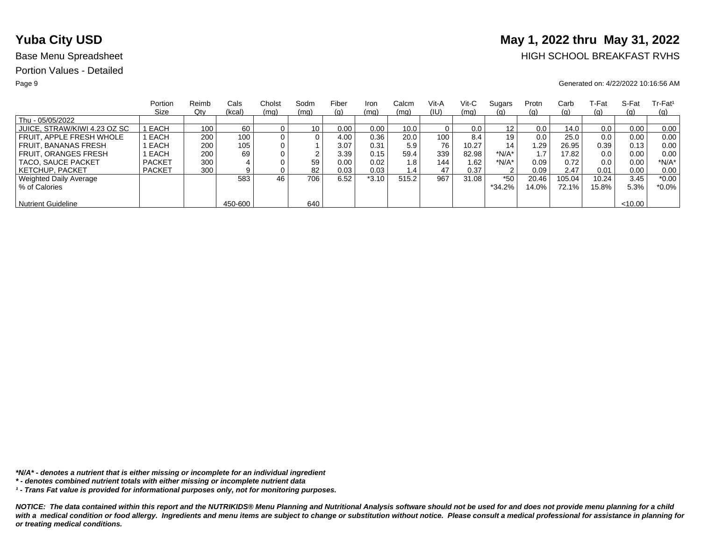# **Yuba City USD** May 1, 2022 thru May 31, 2022

## Base Menu Spreadsheet **HIGH SCHOOL BREAKFAST RVHS**

### Page 9 Generated on: 4/22/2022 10:16:56 AM

|                              | Portion       | Reimb | Cals    | Cholst   | Sodm | Fiber | Iron    | Calcm | Vit-A | $V$ it-C | Sugars   | Protn | Carb   | .-Fat | S-Fat   | $Tr-Fat1$ |
|------------------------------|---------------|-------|---------|----------|------|-------|---------|-------|-------|----------|----------|-------|--------|-------|---------|-----------|
|                              | Size          | Qty   | (kcal)  | (mg)     | (mq) | (g)   | (mq)    | (mq)  | (IU)  | (mq)     | (g)      | (q)   | (g)    | (g)   | (q)     | (q)       |
| Thu - 05/05/2022             |               |       |         |          |      |       |         |       |       |          |          |       |        |       |         |           |
| JUICE, STRAW/KIWI 4.23 OZ SC | EACH          | 100   | 60      |          | 10   | 0.00  | 0.00    | 10.0  |       | 0.0      | 12       | 0.0   | 14.0   | 0.0   | 0.00    | 0.00      |
| FRUIT. APPLE FRESH WHOLE     | EACH          | 200   | 100     | 0        |      | 4.00  | 0.36    | 20.0  | 100   | 8.4      | 19       | 0.0   | 25.0   | 0.0   | 0.00    | 0.00      |
| <b>FRUIT. BANANAS FRESH</b>  | EACH          | 200   | 105     | $\Omega$ |      | 3.07  | 0.31    | 5.9   | 76    | 10.27    | 14       | 1.29  | 26.95  | 0.39  | 0.13    | 0.00      |
| <b>FRUIT. ORANGES FRESH</b>  | EACH          | 200   | 69      |          | ົ    | 3.39  | 0.15    | 59.4  | 339   | 82.98    | $*N/A*$  |       | 17.82  | 0.0   | 0.00    | 0.00      |
| <b>TACO, SAUCE PACKET</b>    | <b>PACKET</b> | 300   |         |          | 59   | 0.00  | 0.02    | 1.8   | 144   | 1.62     | $*N/A*$  | 0.09  | 0.72   | 0.0   | 0.00    | $*N/A*$   |
| <b>KETCHUP, PACKET</b>       | <b>PACKET</b> | 300   |         |          | 82   | 0.03  | 0.03    | 1.4   | 47    | 0.37     | 2        | 0.09  | 2.47   | 0.01  | 0.00    | 0.00      |
| Weighted Daily Average       |               |       | 583     | 46       | 706  | 6.52  | $*3.10$ | 515.2 | 967   | 31.08    | $*50$    | 20.46 | 105.04 | 10.24 | 3.45    | $*0.00$   |
| % of Calories                |               |       |         |          |      |       |         |       |       |          | $*34.2%$ | 14.0% | 72.1%  | 15.8% | 5.3%    | $*0.0\%$  |
|                              |               |       |         |          |      |       |         |       |       |          |          |       |        |       |         |           |
| <b>Nutrient Guideline</b>    |               |       | 450-600 |          | 640  |       |         |       |       |          |          |       |        |       | < 10.00 |           |

*\*N/A\* - denotes a nutrient that is either missing or incomplete for an individual ingredient*

*¹ - Trans Fat value is provided for informational purposes only, not for monitoring purposes.*

*<sup>\* -</sup> denotes combined nutrient totals with either missing or incomplete nutrient data*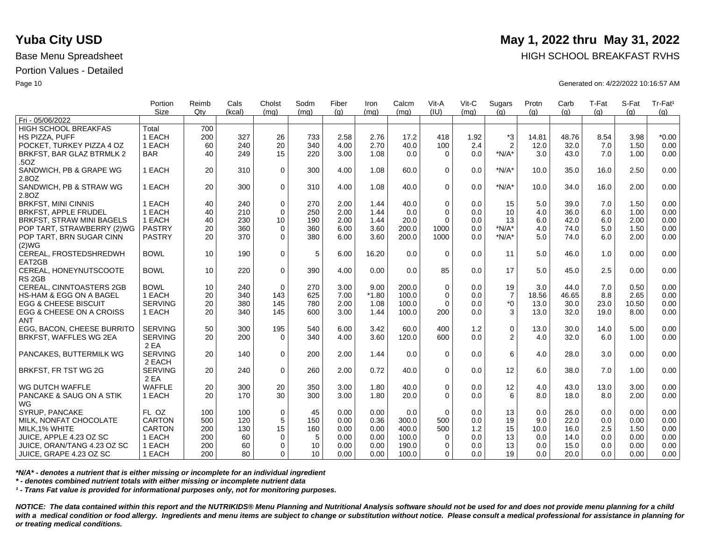|                                    | Portion<br><b>Size</b> | Reimb<br>Qtv | Cals<br>(kcal) | Cholst           | Sodm | Fiber | Iron    | Calcm | Vit-A<br>(IU) | Vit-C | Sugars         | Protn | Carb  | T-Fat | S-Fat | Tr-Fat <sup>1</sup> |
|------------------------------------|------------------------|--------------|----------------|------------------|------|-------|---------|-------|---------------|-------|----------------|-------|-------|-------|-------|---------------------|
| Fri - 05/06/2022                   |                        |              |                | (mq)             | (ma) | (q)   | (mq)    | (mq)  |               | (mq)  | (q)            | (q)   | (q)   | (g)   | (q)   | (g)                 |
| <b>HIGH SCHOOL BREAKFAS</b>        | Total                  | 700          |                |                  |      |       |         |       |               |       |                |       |       |       |       |                     |
| HS PIZZA, PUFF                     | 1 EACH                 | 200          | 327            | 26               | 733  | 2.58  | 2.76    | 17.2  | 418           | 1.92  | *3             | 14.81 | 48.76 | 8.54  | 3.98  | $*0.00$             |
| POCKET. TURKEY PIZZA 4 OZ          | 1 EACH                 | 60           | 240            | 20               | 340  | 4.00  | 2.70    | 40.0  | 100           | 2.4   | $\overline{2}$ | 12.0  | 32.0  | 7.0   | 1.50  | 0.00                |
| BRKFST, BAR GLAZ BTRMLK 2          | <b>BAR</b>             | 40           | 249            | 15               | 220  | 3.00  | 1.08    | 0.0   | $\Omega$      | 0.0   | $*N/A*$        | 3.0   | 43.0  | 7.0   | 1.00  | 0.00                |
| .50Z                               |                        |              |                |                  |      |       |         |       |               |       |                |       |       |       |       |                     |
| SANDWICH, PB & GRAPE WG            | 1 EACH                 | 20           | 310            | $\mathbf 0$      | 300  | 4.00  | 1.08    | 60.0  | $\Omega$      | 0.0   | $*N/A*$        | 10.0  | 35.0  | 16.0  | 2.50  | 0.00                |
| 2.8OZ                              |                        |              |                |                  |      |       |         |       |               |       |                |       |       |       |       |                     |
| SANDWICH, PB & STRAW WG            | 1 EACH                 | 20           | 300            | $\Omega$         | 310  | 4.00  | 1.08    | 40.0  | $\Omega$      | 0.0   | $*N/A*$        | 10.0  | 34.0  | 16.0  | 2.00  | 0.00                |
| 2.8OZ                              |                        |              |                |                  |      |       |         |       |               |       |                |       |       |       |       |                     |
| <b>BRKFST, MINI CINNIS</b>         | 1 EACH                 | 40           | 240            | $\mathbf 0$      | 270  | 2.00  | 1.44    | 40.0  | $\mathbf 0$   | 0.0   | 15             | 5.0   | 39.0  | 7.0   | 1.50  | 0.00                |
| <b>BRKFST, APPLE FRUDEL</b>        | 1 EACH                 | 40           | 210            | $\mathbf 0$      | 250  | 2.00  | 1.44    | 0.0   | $\Omega$      | 0.0   | 10             | 4.0   | 36.0  | 6.0   | 1.00  | 0.00                |
| <b>BRKFST, STRAW MINI BAGELS</b>   | 1 EACH                 | 40           | 230            | 10 <sup>10</sup> | 190  | 2.00  | 1.44    | 20.0  | $\Omega$      | 0.0   | 13             | 6.0   | 42.0  | 6.0   | 2.00  | 0.00                |
| POP TART, STRAWBERRY (2)WG         | <b>PASTRY</b>          | 20           | 360            | $\mathbf 0$      | 360  | 6.00  | 3.60    | 200.0 | 1000          | 0.0   | $*N/A*$        | 4.0   | 74.0  | 5.0   | 1.50  | 0.00                |
| POP TART, BRN SUGAR CINN           | <b>PASTRY</b>          | 20           | 370            | $\mathbf 0$      | 380  | 6.00  | 3.60    | 200.0 | 1000          | 0.0   | $*N/A*$        | 5.0   | 74.0  | 6.0   | 2.00  | 0.00                |
|                                    |                        |              |                |                  |      |       |         |       |               |       |                |       |       |       |       |                     |
| (2)WG<br>CEREAL, FROSTEDSHREDWH    | <b>BOWL</b>            | 10           | 190            | $\mathbf 0$      | 5    | 6.00  | 16.20   | 0.0   | $\Omega$      | 0.0   | 11             | 5.0   | 46.0  | 1.0   | 0.00  | 0.00                |
| EAT2GB                             |                        |              |                |                  |      |       |         |       |               |       |                |       |       |       |       |                     |
| CEREAL, HONEYNUTSCOOTE             | <b>BOWL</b>            | 10           | 220            | $\Omega$         | 390  | 4.00  | 0.00    | 0.0   | 85            | 0.0   | 17             | 5.0   | 45.0  | 2.5   | 0.00  | 0.00                |
| RS <sub>2GB</sub>                  |                        |              |                |                  |      |       |         |       |               |       |                |       |       |       |       |                     |
| CEREAL, CINNTOASTERS 2GB           | <b>BOWL</b>            | 10           | 240            | $\mathbf 0$      | 270  | 3.00  | 9.00    | 200.0 | $\mathbf 0$   | 0.0   | 19             | 3.0   | 44.0  | 7.0   | 0.50  | 0.00                |
| <b>HS-HAM &amp; EGG ON A BAGEL</b> | 1 EACH                 | 20           | 340            | 143              | 625  | 7.00  | $*1.80$ | 100.0 | $\Omega$      | 0.0   | $\overline{7}$ | 18.56 | 46.65 | 8.8   | 2.65  | 0.00                |
| <b>EGG &amp; CHEESE BISCUIT</b>    | <b>SERVING</b>         | 20           | 380            | 145              | 780  | 2.00  | 1.08    | 100.0 | $\Omega$      | 0.0   | $*_{0}$        | 13.0  | 30.0  | 23.0  | 10.50 | 0.00                |
| EGG & CHEESE ON A CROISS           | 1 EACH                 | 20           | 340            | 145              | 600  | 3.00  | 1.44    | 100.0 | 200           | 0.0   | 3              | 13.0  | 32.0  | 19.0  | 8.00  | 0.00                |
| <b>ANT</b>                         |                        |              |                |                  |      |       |         |       |               |       |                |       |       |       |       |                     |
| EGG, BACON, CHEESE BURRITO         | <b>SERVING</b>         | 50           | 300            | 195              | 540  | 6.00  | 3.42    | 60.0  | 400           | 1.2   | $\mathbf 0$    | 13.0  | 30.0  | 14.0  | 5.00  | 0.00                |
| BRKFST, WAFFLES WG 2EA             | <b>SERVING</b>         | 20           | 200            | $\Omega$         | 340  | 4.00  | 3.60    | 120.0 | 600           | 0.0   | 2              | 4.0   | 32.0  | 6.0   | 1.00  | 0.00                |
|                                    | 2 EA                   |              |                |                  |      |       |         |       |               |       |                |       |       |       |       |                     |
| PANCAKES, BUTTERMILK WG            | <b>SERVING</b>         | 20           | 140            | $\mathbf 0$      | 200  | 2.00  | 1.44    | 0.0   | $\Omega$      | 0.0   | 6              | 4.0   | 28.0  | 3.0   | 0.00  | 0.00                |
|                                    | 2 EACH                 |              |                |                  |      |       |         |       |               |       |                |       |       |       |       |                     |
| BRKFST, FR TST WG 2G               | <b>SERVING</b>         | 20           | 240            | $\mathbf 0$      | 260  | 2.00  | 0.72    | 40.0  | $\Omega$      | 0.0   | 12             | 6.0   |       | 7.0   | 1.00  | 0.00                |
|                                    | 2 EA                   |              |                |                  |      |       |         |       |               |       |                |       | 38.0  |       |       |                     |
| WG DUTCH WAFFLE                    | <b>WAFFLE</b>          | 20           | 300            | 20               | 350  | 3.00  | 1.80    | 40.0  | $\mathbf 0$   | 0.0   | 12             | 4.0   | 43.0  | 13.0  | 3.00  | 0.00                |
| PANCAKE & SAUG ON A STIK           | 1 EACH                 | 20           | 170            | 30               | 300  | 3.00  | 1.80    | 20.0  | $\Omega$      | 0.0   | 6              | 8.0   | 18.0  | 8.0   | 2.00  | 0.00                |
| WG                                 |                        |              |                |                  |      |       |         |       |               |       |                |       |       |       |       |                     |
| SYRUP, PANCAKE                     | FL OZ                  | 100          | 100            |                  | 45   |       | 0.00    | 0.0   | $\Omega$      |       | 13             | 0.0   |       | 0.0   | 0.00  | 0.00                |
|                                    | <b>CARTON</b>          |              | 120            | 0                | 150  | 0.00  | 0.36    |       |               | 0.0   |                | 9.0   | 26.0  | 0.0   | 0.00  | 0.00                |
| MILK, NONFAT CHOCOLATE             |                        | 500          |                | $\sqrt{5}$       |      | 0.00  |         | 300.0 | 500           | 0.0   | 19             |       | 22.0  |       |       |                     |
| MILK, 1% WHITE                     | <b>CARTON</b>          | 200          | 130            | 15               | 160  | 0.00  | 0.00    | 400.0 | 500           | 1.2   | 15             | 10.0  | 16.0  | 2.5   | 1.50  | 0.00                |
| JUICE, APPLE 4.23 OZ SC            | 1 EACH                 | 200          | 60             | 0                | 5    | 0.00  | 0.00    | 100.0 | 0             | 0.0   | 13             | 0.0   | 14.0  | 0.0   | 0.00  | 0.00                |
| JUICE, ORAN/TANG 4.23 OZ SC        | 1 EACH                 | 200          | 60             | 0                | 10   | 0.00  | 0.00    | 190.0 | $\Omega$      | 0.0   | 13             | 0.0   | 15.0  | 0.0   | 0.00  | 0.00                |
| ∣ JUICE, GRAPE 4.23 OZ SC          | 1 EACH                 | 200          | 80             | $\Omega$         | 10   | 0.00  | 0.00    | 100.0 | $\Omega$      | 0.0   | 19             | 0.0   | 20.0  | 0.0   | 0.00  | 0.00                |

*\*N/A\* - denotes a nutrient that is either missing or incomplete for an individual ingredient*

*\* - denotes combined nutrient totals with either missing or incomplete nutrient data*

*¹ - Trans Fat value is provided for informational purposes only, not for monitoring purposes.*

*NOTICE: The data contained within this report and the NUTRIKIDS® Menu Planning and Nutritional Analysis software should not be used for and does not provide menu planning for a child*  with a medical condition or food allergy. Ingredients and menu items are subject to change or substitution without notice. Please consult a medical professional for assistance in planning for *or treating medical conditions.*

## **Yuba City USD** May 1, 2022 thru May 31, 2022

Base Menu Spreadsheet **HIGH SCHOOL BREAKFAST RVHS** 

Page 10 Generated on: 4/22/2022 10:16:57 AM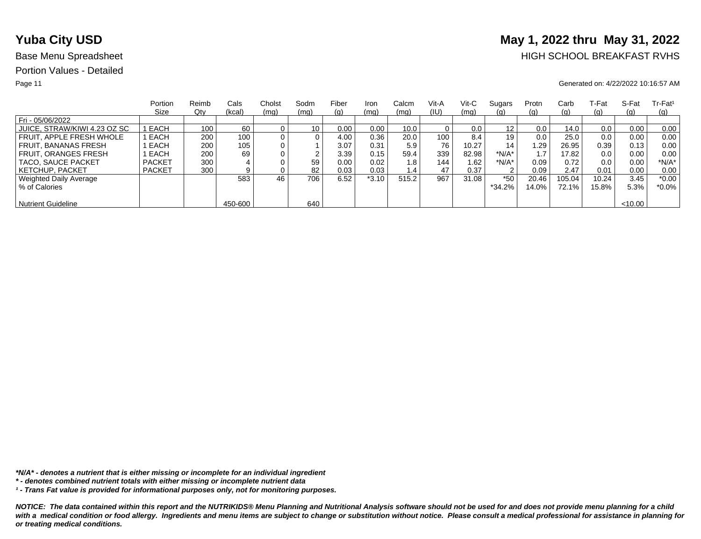# **Yuba City USD** May 1, 2022 thru May 31, 2022

## Base Menu Spreadsheet **HIGH SCHOOL BREAKFAST RVHS**

### Page 11 Generated on: 4/22/2022 10:16:57 AM

|                              | Portion       | Reimb | Cals    | Cholst | Sodm | Fiber | Iron    | Calcm | Vit-A | Vit-C | Sugars            | Protn | Carb     | T-Fat | S-Fat  | $Tr-Fat1$  |
|------------------------------|---------------|-------|---------|--------|------|-------|---------|-------|-------|-------|-------------------|-------|----------|-------|--------|------------|
|                              | Size          | Qty   | (kcal)  | (mq)   | (mq) | (g)   | (mq)    | (mq)  | (IU)  | (mq)  | <u>(g)</u>        | (q)   | (g)      | (g)   | (q)    | <u>(g)</u> |
| Fri - 05/06/2022             |               |       |         |        |      |       |         |       |       |       |                   |       |          |       |        |            |
| JUICE, STRAW/KIWI 4.23 OZ SC | EACH          | 100   | 60      |        | 10   | 0.00  | 0.00    | 10.0  |       | 0.0   | $12 \overline{ }$ | 0.0   | 14.0     | 0.0   | 0.00   | 0.00       |
| FRUIT. APPLE FRESH WHOLE     | EACH          | 200   | 100.    |        | 0    | 4.00  | 0.36    | 20.0  | 100   | 8.4   | 19                | 0.0   | 25.0     | 0.0   | 0.00   | 0.00       |
| <b>FRUIT, BANANAS FRESH</b>  | EACH          | 200   | 105     |        |      | 3.07  | 0.31    | 5.9   | 76    | 10.27 | 14                | 1.29  | 26.95    | 0.39  | 0.13   | 0.00       |
| <b>FRUIT, ORANGES FRESH</b>  | EACH          | 200   | 69      |        | ົ    | 3.39  | 0.15    | 59.4  | 339   | 82.98 | *N/A*             |       | 17.82    | 0.0   | 0.00   | 0.00       |
| TACO, SAUCE PACKET           | <b>PACKET</b> | 300   |         |        | 59   | 0.00  | 0.02    | 1.8   | 144   | 1.62  | *N/A*             | 0.09  | 0.72     | 0.0   | 0.00   | *N/A*      |
| <b>KETCHUP, PACKET</b>       | <b>PACKET</b> | 300   |         |        | 82   | 0.03  | 0.03    | 1.4   | 47    | 0.37  | $\sim$            | 0.09  | 2.47     | 0.01  | 0.00   | 0.00       |
| Weighted Daily Average       |               |       | 583     | 46     | 706  | 6.52  | $*3.10$ | 515.2 | 967   | 31.08 | $*50$             | 20.46 | 105.04   | 10.24 | 3.45   | $*0.00$    |
| % of Calories                |               |       |         |        |      |       |         |       |       |       | $*34.2%$          | 14.0% | $72.1\%$ | 15.8% | 5.3%   | $*0.0\%$   |
|                              |               |       |         |        |      |       |         |       |       |       |                   |       |          |       |        |            |
| <b>Nutrient Guideline</b>    |               |       | 450-600 |        | 640  |       |         |       |       |       |                   |       |          |       | <10.00 |            |

*\*N/A\* - denotes a nutrient that is either missing or incomplete for an individual ingredient*

*¹ - Trans Fat value is provided for informational purposes only, not for monitoring purposes.*

*<sup>\* -</sup> denotes combined nutrient totals with either missing or incomplete nutrient data*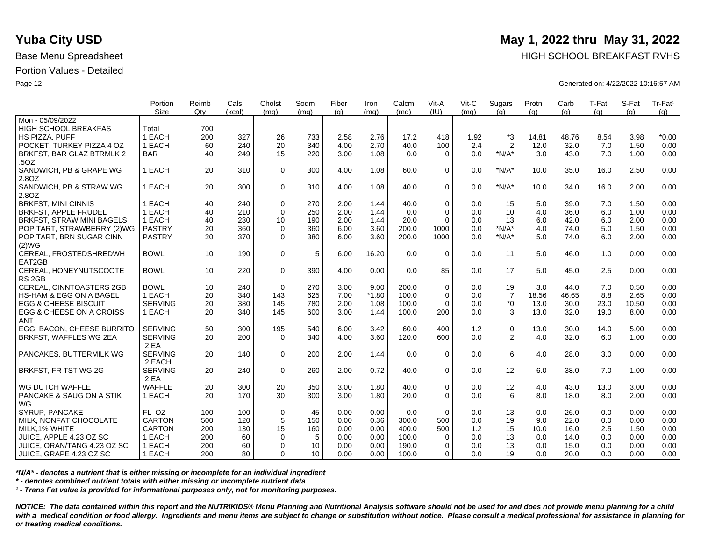|                                 | Portion        | Reimb | Cals   | Cholst      | Sodm | Fiber | Iron    | Calcm | Vit-A        | Vit-C | Sugars         | Protn | Carb  | T-Fat | S-Fat | Tr-Fat <sup>1</sup> |
|---------------------------------|----------------|-------|--------|-------------|------|-------|---------|-------|--------------|-------|----------------|-------|-------|-------|-------|---------------------|
|                                 | <b>Size</b>    | Qtv   | (kcal) | (mq)        | (mq) | (g)   | (mq)    | (mq)  | (III)        | (mq)  | (q)            | (q)   | (q)   | (q)   | (a)   | (g)                 |
| Mon - 05/09/2022                |                |       |        |             |      |       |         |       |              |       |                |       |       |       |       |                     |
| <b>HIGH SCHOOL BREAKFAS</b>     | Total          | 700   |        |             |      |       |         |       |              |       |                |       |       |       |       |                     |
| HS PIZZA. PUFF                  | 1 EACH         | 200   | 327    | 26          | 733  | 2.58  | 2.76    | 17.2  | 418          | 1.92  | *3             | 14.81 | 48.76 | 8.54  | 3.98  | $*0.00$             |
| POCKET. TURKEY PIZZA 4 OZ       | 1 EACH         | 60    | 240    | 20          | 340  | 4.00  | 2.70    | 40.0  | 100          | 2.4   | $\overline{2}$ | 12.0  | 32.0  | 7.0   | 1.50  | 0.00                |
| BRKFST, BAR GLAZ BTRMLK 2       | <b>BAR</b>     | 40    | 249    | 15          | 220  | 3.00  | 1.08    | 0.0   | $\Omega$     | 0.0   | $*N/A*$        | 3.0   | 43.0  | 7.0   | 1.00  | 0.00                |
| .50Z                            |                |       |        |             |      |       |         |       |              |       |                |       |       |       |       |                     |
| SANDWICH, PB & GRAPE WG         | 1 EACH         | 20    | 310    | $\mathbf 0$ | 300  | 4.00  | 1.08    | 60.0  | $\Omega$     | 0.0   | $*N/A*$        | 10.0  | 35.0  | 16.0  | 2.50  | 0.00                |
| 2.8OZ                           |                |       |        |             |      |       |         |       |              |       |                |       |       |       |       |                     |
| SANDWICH, PB & STRAW WG         | 1 EACH         | 20    | 300    | $\mathbf 0$ | 310  | 4.00  | 1.08    | 40.0  | $\Omega$     | 0.0   | $*N/A*$        | 10.0  | 34.0  | 16.0  | 2.00  | 0.00                |
| 2.8OZ                           |                |       |        |             |      |       |         |       |              |       |                |       |       |       |       |                     |
| <b>BRKFST, MINI CINNIS</b>      | 1 EACH         | 40    | 240    | $\mathbf 0$ | 270  | 2.00  | 1.44    | 40.0  | $\mathbf 0$  | 0.0   | 15             | 5.0   | 39.0  | 7.0   | 1.50  | 0.00                |
| <b>BRKFST, APPLE FRUDEL</b>     | 1 EACH         | 40    | 210    | $\Omega$    | 250  | 2.00  | 1.44    | 0.0   | $\Omega$     | 0.0   | 10             | 4.0   | 36.0  | 6.0   | 1.00  | 0.00                |
| BRKFST, STRAW MINI BAGELS       | 1 EACH         | 40    | 230    | 10          | 190  | 2.00  | 1.44    | 20.0  | $\Omega$     | 0.0   | 13             | 6.0   | 42.0  | 6.0   | 2.00  | 0.00                |
| POP TART, STRAWBERRY (2)WG      | <b>PASTRY</b>  | 20    | 360    | $\mathbf 0$ | 360  | 6.00  | 3.60    | 200.0 | 1000         | 0.0   | $*N/A*$        | 4.0   | 74.0  | 5.0   | 1.50  | 0.00                |
| POP TART, BRN SUGAR CINN        | <b>PASTRY</b>  | 20    | 370    | $\Omega$    | 380  | 6.00  | 3.60    | 200.0 | 1000         | 0.0   | $*N/A*$        | 5.0   | 74.0  | 6.0   | 2.00  | 0.00                |
| (2)WG                           |                |       |        |             |      |       |         |       |              |       |                |       |       |       |       |                     |
| CEREAL, FROSTEDSHREDWH          | <b>BOWL</b>    | 10    | 190    | $\mathbf 0$ | 5    | 6.00  | 16.20   | 0.0   | $\Omega$     | 0.0   | 11             | 5.0   | 46.0  | 1.0   | 0.00  | 0.00                |
| EAT2GB                          |                |       |        |             |      |       |         |       |              |       |                |       |       |       |       |                     |
| CEREAL, HONEYNUTSCOOTE          | <b>BOWL</b>    | 10    | 220    | $\mathbf 0$ | 390  | 4.00  | 0.00    | 0.0   | 85           | 0.0   | 17             | 5.0   | 45.0  | 2.5   | 0.00  | 0.00                |
| RS <sub>2GB</sub>               |                |       |        |             |      |       |         |       |              |       |                |       |       |       |       |                     |
| CEREAL, CINNTOASTERS 2GB        | <b>BOWL</b>    | 10    | 240    | $\Omega$    | 270  | 3.00  | 9.00    | 200.0 | $\mathbf 0$  | 0.0   | 19             | 3.0   | 44.0  | 7.0   | 0.50  | 0.00                |
| HS-HAM & EGG ON A BAGEL         | 1 EACH         | 20    | 340    | 143         | 625  | 7.00  | $*1.80$ | 100.0 | $\mathbf 0$  | 0.0   | $\overline{7}$ | 18.56 | 46.65 | 8.8   | 2.65  | 0.00                |
| <b>EGG &amp; CHEESE BISCUIT</b> | <b>SERVING</b> | 20    | 380    | 145         | 780  | 2.00  | 1.08    | 100.0 | $\Omega$     | 0.0   | $*_{0}$        | 13.0  | 30.0  | 23.0  | 10.50 | 0.00                |
| EGG & CHEESE ON A CROISS        | 1 EACH         | 20    | 340    | 145         | 600  | 3.00  | 1.44    | 100.0 | 200          | 0.0   | 3              | 13.0  | 32.0  | 19.0  | 8.00  | 0.00                |
| <b>ANT</b>                      |                |       |        |             |      |       |         |       |              |       |                |       |       |       |       |                     |
| EGG. BACON. CHEESE BURRITO      | <b>SERVING</b> | 50    | 300    | 195         | 540  | 6.00  | 3.42    | 60.0  | 400          | 1.2   | $\mathbf 0$    | 13.0  | 30.0  | 14.0  | 5.00  | 0.00                |
| BRKFST, WAFFLES WG 2EA          | <b>SERVING</b> | 20    | 200    | $\Omega$    | 340  | 4.00  | 3.60    | 120.0 | 600          | 0.0   | $\overline{2}$ | 4.0   | 32.0  | 6.0   | 1.00  | 0.00                |
|                                 | 2 EA           |       |        |             |      |       |         |       |              |       |                |       |       |       |       |                     |
| PANCAKES, BUTTERMILK WG         | <b>SERVING</b> | 20    | 140    | $\Omega$    | 200  | 2.00  | 1.44    | 0.0   | $\Omega$     | 0.0   | 6              | 4.0   | 28.0  | 3.0   | 0.00  | 0.00                |
|                                 | 2 EACH         |       |        |             |      |       |         |       |              |       |                |       |       |       |       |                     |
| BRKFST, FR TST WG 2G            | <b>SERVING</b> | 20    | 240    | $\mathbf 0$ | 260  | 2.00  | 0.72    | 40.0  | $\Omega$     | 0.0   | 12             | 6.0   | 38.0  | 7.0   | 1.00  | 0.00                |
|                                 | 2 EA           |       |        |             |      |       |         |       |              |       |                |       |       |       |       |                     |
| WG DUTCH WAFFLE                 | <b>WAFFLE</b>  | 20    | 300    | 20          | 350  | 3.00  | 1.80    | 40.0  | $\mathbf 0$  | 0.0   | 12             | 4.0   | 43.0  | 13.0  | 3.00  | 0.00                |
| PANCAKE & SAUG ON A STIK        | 1 EACH         | 20    | 170    | 30          | 300  | 3.00  | 1.80    | 20.0  | $\Omega$     | 0.0   | 6              | 8.0   | 18.0  | 8.0   | 2.00  | 0.00                |
| WG                              |                |       |        |             |      |       |         |       |              |       |                |       |       |       |       |                     |
| SYRUP, PANCAKE                  | FL OZ          | 100   | 100    | $\mathbf 0$ | 45   | 0.00  | 0.00    | 0.0   | $\Omega$     | 0.0   | 13             | 0.0   | 26.0  | 0.0   | 0.00  | 0.00                |
| MILK, NONFAT CHOCOLATE          | <b>CARTON</b>  | 500   | 120    | 5           | 150  | 0.00  | 0.36    | 300.0 | 500          | 0.0   | 19             | 9.0   | 22.0  | 0.0   | 0.00  | 0.00                |
| MILK, 1% WHITE                  | <b>CARTON</b>  | 200   | 130    | 15          | 160  | 0.00  | 0.00    | 400.0 | 500          | 1.2   | 15             | 10.0  | 16.0  | 2.5   | 1.50  | 0.00                |
| JUICE, APPLE 4.23 OZ SC         | 1 EACH         | 200   | 60     | 0           | 5    | 0.00  | 0.00    | 100.0 | $\mathbf{0}$ | 0.0   | 13             | 0.0   | 14.0  | 0.0   | 0.00  | 0.00                |
|                                 | 1 EACH         | 200   | 60     | $\Omega$    | 10   | 0.00  | 0.00    |       | $\Omega$     | 0.0   | 13             | 0.0   |       | 0.0   |       | 0.00                |
| JUICE, ORAN/TANG 4.23 OZ SC     |                |       |        |             | 10   |       |         | 190.0 |              |       |                |       | 15.0  |       | 0.00  |                     |
| JUICE, GRAPE 4.23 OZ SC         | 1 EACH         | 200   | 80     | $\Omega$    |      | 0.00  | 0.00    | 100.0 | 0            | 0.0   | 19             | 0.0   | 20.0  | 0.0   | 0.00  | 0.00                |

*\*N/A\* - denotes a nutrient that is either missing or incomplete for an individual ingredient*

*\* - denotes combined nutrient totals with either missing or incomplete nutrient data*

*¹ - Trans Fat value is provided for informational purposes only, not for monitoring purposes.*

*NOTICE: The data contained within this report and the NUTRIKIDS® Menu Planning and Nutritional Analysis software should not be used for and does not provide menu planning for a child*  with a medical condition or food allergy. Ingredients and menu items are subject to change or substitution without notice. Please consult a medical professional for assistance in planning for *or treating medical conditions.*

## **Yuba City USD** May 1, 2022 thru May 31, 2022

Base Menu Spreadsheet **HIGH SCHOOL BREAKFAST RVHS** 

Page 12 Generated on: 4/22/2022 10:16:57 AM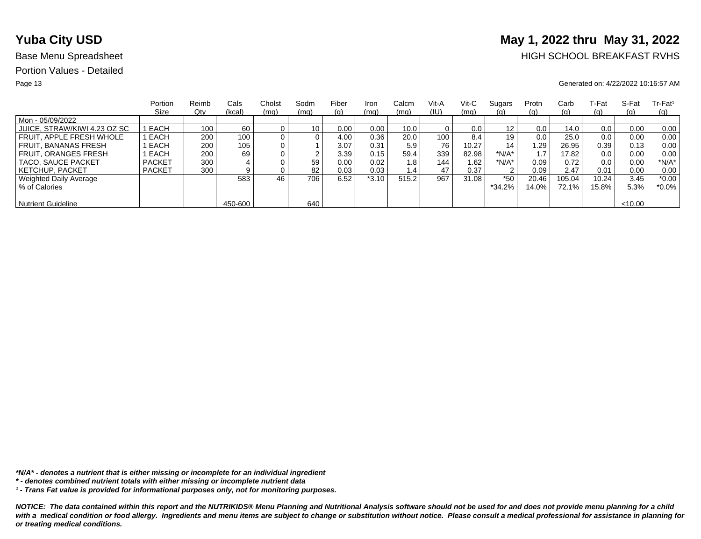# **Yuba City USD** May 1, 2022 thru May 31, 2022

## Base Menu Spreadsheet **HIGH SCHOOL BREAKFAST RVHS**

### Page 13 Generated on: 4/22/2022 10:16:57 AM

|                              | Portion       | Reimb | Cals    | Cholst | Sodm            | Fiber | Iron    | Calcm | Vit-A | Vit-C | Sugars   | Protn | Carb     | ⊺-Fat | S-Fat   | $Tr-Fat1$ |
|------------------------------|---------------|-------|---------|--------|-----------------|-------|---------|-------|-------|-------|----------|-------|----------|-------|---------|-----------|
|                              | Size          | Qty   | (kcal)  | (mq)   | (mq)            | (g)   | (mq)    | (mq)  | (IU)  | (mq)  | (g)      | (g)   | (g)      | (g)   | (q)     | (q)       |
| Mon - 05/09/2022             |               |       |         |        |                 |       |         |       |       |       |          |       |          |       |         |           |
| JUICE, STRAW/KIWI 4.23 OZ SC | I EACH        | 100   | 60      |        | 10 <sub>1</sub> | 0.00  | 0.00    | 10.0  |       | 0.0   | 12       | 0.0   | 14.0     | 0.0   | 0.00    | 0.00      |
| FRUIT. APPLE FRESH WHOLE     | EACH          | 200   | 100     |        | 0               | 4.00  | 0.36    | 20.0  | 100   | 8.4   | 19       | 0.0   | 25.0     | 0.0   | 0.00    | 0.00      |
| FRUIT. BANANAS FRESH         | EACH          | 200   | 105     |        |                 | 3.07  | 0.31    | 5.9   | 76    | 10.27 | 14       | .29   | 26.95    | 0.39  | 0.13    | 0.00      |
| <b>FRUIT, ORANGES FRESH</b>  | EACH          | 200   | 69      |        | ົ               | 3.39  | 0.15    | 59.4  | 339   | 82.98 | $*N/A*$  |       | 17.82    | 0.0   | 0.00    | 0.00      |
| TACO, SAUCE PACKET           | <b>PACKET</b> | 300   |         |        | 59              | 0.00  | 0.02    | 1.8   | 144   | 1.62  | *N/A*    | 0.09  | 0.72     | 0.0   | 0.00    | $*N/A*$   |
| <b>KETCHUP, PACKET</b>       | <b>PACKET</b> | 300   | 9       |        | 82              | 0.03  | 0.03    | 1.4   | 47    | 0.37  | 2        | 0.09  | 2.47     | 0.01  | 0.00    | 0.00      |
| Weighted Daily Average       |               |       | 583     | 46     | 706             | 6.52  | $*3.10$ | 515.2 | 967   | 31.08 | $*50$    | 20.46 | 105.04   | 10.24 | 3.45    | $*0.00$   |
| % of Calories                |               |       |         |        |                 |       |         |       |       |       | $*34.2%$ | 14.0% | $72.1\%$ | 15.8% | 5.3%    | $*0.0\%$  |
|                              |               |       |         |        |                 |       |         |       |       |       |          |       |          |       |         |           |
| <b>Nutrient Guideline</b>    |               |       | 450-600 |        | 640             |       |         |       |       |       |          |       |          |       | < 10.00 |           |

*\*N/A\* - denotes a nutrient that is either missing or incomplete for an individual ingredient*

*¹ - Trans Fat value is provided for informational purposes only, not for monitoring purposes.*

*<sup>\* -</sup> denotes combined nutrient totals with either missing or incomplete nutrient data*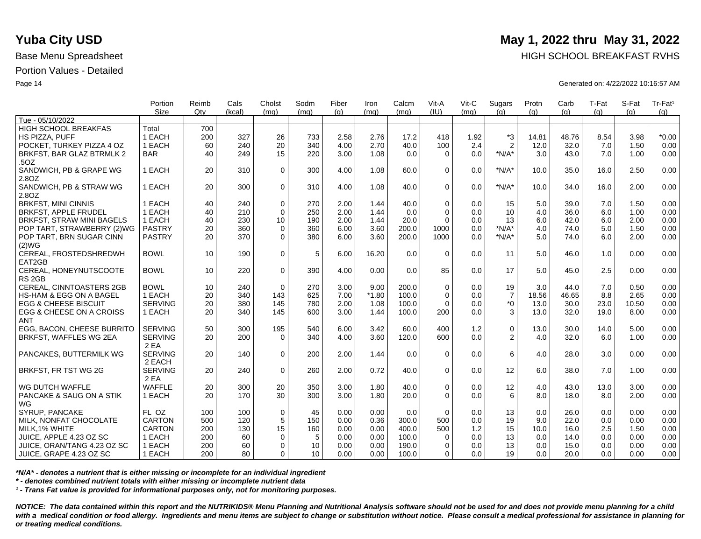|                                  | Portion        | Reimb | Cals   | Cholst      | Sodm | Fiber | Iron    | Calcm | Vit-A       | Vit-C | Sugars         | Protn | Carb  | T-Fat | S-Fat | Tr-Fat <sup>1</sup> |
|----------------------------------|----------------|-------|--------|-------------|------|-------|---------|-------|-------------|-------|----------------|-------|-------|-------|-------|---------------------|
|                                  | <b>Size</b>    | Qtv   | (kcal) | (mq)        | (mq) | (q)   | (mq)    | (mq)  | (IU)        | (mq)  | (q)            | (q)   | (q)   | (q)   | (a)   | (g)                 |
| Tue - 05/10/2022                 |                |       |        |             |      |       |         |       |             |       |                |       |       |       |       |                     |
| <b>HIGH SCHOOL BREAKFAS</b>      | Total          | 700   |        |             |      |       |         |       |             |       |                |       |       |       |       |                     |
| HS PIZZA, PUFF                   | 1 EACH         | 200   | 327    | 26          | 733  | 2.58  | 2.76    | 17.2  | 418         | 1.92  | *3             | 14.81 | 48.76 | 8.54  | 3.98  | $*0.00$             |
| POCKET. TURKEY PIZZA 4 OZ        | 1 EACH         | 60    | 240    | 20          | 340  | 4.00  | 2.70    | 40.0  | 100         | 2.4   | $\overline{2}$ | 12.0  | 32.0  | 7.0   | 1.50  | 0.00                |
| BRKFST, BAR GLAZ BTRMLK 2        | <b>BAR</b>     | 40    | 249    | 15          | 220  | 3.00  | 1.08    | 0.0   | $\Omega$    | 0.0   | $*N/A*$        | 3.0   | 43.0  | 7.0   | 1.00  | 0.00                |
| .50Z                             |                |       |        |             |      |       |         |       |             |       |                |       |       |       |       |                     |
| SANDWICH, PB & GRAPE WG          | 1 EACH         | 20    | 310    | $\mathbf 0$ | 300  | 4.00  | 1.08    | 60.0  | $\Omega$    | 0.0   | $*N/A*$        | 10.0  | 35.0  | 16.0  | 2.50  | 0.00                |
| 2.8OZ                            |                |       |        |             |      |       |         |       |             |       |                |       |       |       |       |                     |
| SANDWICH, PB & STRAW WG          | 1 EACH         | 20    | 300    | $\mathbf 0$ | 310  | 4.00  | 1.08    | 40.0  | $\Omega$    | 0.0   | $*N/A*$        | 10.0  | 34.0  | 16.0  | 2.00  | 0.00                |
| 2.8OZ                            |                |       |        |             |      |       |         |       |             |       |                |       |       |       |       |                     |
| <b>BRKFST, MINI CINNIS</b>       | 1 EACH         | 40    | 240    | $\mathbf 0$ | 270  | 2.00  | 1.44    | 40.0  | $\mathbf 0$ | 0.0   | 15             | 5.0   | 39.0  | 7.0   | 1.50  | 0.00                |
| <b>BRKFST, APPLE FRUDEL</b>      | 1 EACH         | 40    | 210    | $\Omega$    | 250  | 2.00  | 1.44    | 0.0   | $\Omega$    | 0.0   | 10             | 4.0   | 36.0  | 6.0   | 1.00  | 0.00                |
| <b>BRKFST, STRAW MINI BAGELS</b> | 1 EACH         | 40    | 230    | 10          | 190  | 2.00  | 1.44    | 20.0  | $\Omega$    | 0.0   | 13             | 6.0   | 42.0  | 6.0   | 2.00  | 0.00                |
| POP TART, STRAWBERRY (2)WG       | <b>PASTRY</b>  | 20    | 360    | $\mathbf 0$ | 360  | 6.00  | 3.60    | 200.0 | 1000        | 0.0   | $*N/A*$        | 4.0   | 74.0  | 5.0   | 1.50  | 0.00                |
| POP TART, BRN SUGAR CINN         | <b>PASTRY</b>  | 20    | 370    | $\mathbf 0$ | 380  | 6.00  | 3.60    | 200.0 | 1000        | 0.0   | $*N/A*$        | 5.0   | 74.0  | 6.0   | 2.00  | 0.00                |
| (2)WG                            |                |       |        |             |      |       |         |       |             |       |                |       |       |       |       |                     |
| CEREAL, FROSTEDSHREDWH           | <b>BOWL</b>    | 10    | 190    | $\mathbf 0$ | 5    | 6.00  | 16.20   | 0.0   | $\Omega$    | 0.0   | 11             | 5.0   | 46.0  | 1.0   | 0.00  | 0.00                |
| EAT2GB                           |                |       |        |             |      |       |         |       |             |       |                |       |       |       |       |                     |
| CEREAL, HONEYNUTSCOOTE           | <b>BOWL</b>    | 10    | 220    | $\Omega$    | 390  | 4.00  | 0.00    | 0.0   | 85          | 0.0   | 17             | 5.0   | 45.0  | 2.5   | 0.00  | 0.00                |
| RS <sub>2GB</sub>                |                |       |        |             |      |       |         |       |             |       |                |       |       |       |       |                     |
| CEREAL, CINNTOASTERS 2GB         | <b>BOWL</b>    | 10    | 240    | $\mathbf 0$ | 270  | 3.00  | 9.00    | 200.0 | $\mathbf 0$ | 0.0   | 19             | 3.0   | 44.0  | 7.0   | 0.50  | 0.00                |
| HS-HAM & EGG ON A BAGEL          | 1 EACH         | 20    | 340    | 143         | 625  | 7.00  | $*1.80$ | 100.0 | $\Omega$    | 0.0   | $\overline{7}$ | 18.56 | 46.65 | 8.8   | 2.65  | 0.00                |
| <b>EGG &amp; CHEESE BISCUIT</b>  | <b>SERVING</b> | 20    | 380    | 145         | 780  | 2.00  | 1.08    | 100.0 | $\Omega$    | 0.0   | $^*0$          | 13.0  | 30.0  | 23.0  | 10.50 | 0.00                |
| EGG & CHEESE ON A CROISS         | 1 EACH         | 20    | 340    | 145         | 600  | 3.00  | 1.44    | 100.0 | 200         | 0.0   | 3              | 13.0  | 32.0  | 19.0  | 8.00  | 0.00                |
| <b>ANT</b>                       |                |       |        |             |      |       |         |       |             |       |                |       |       |       |       |                     |
| EGG, BACON, CHEESE BURRITO       | <b>SERVING</b> | 50    | 300    | 195         | 540  | 6.00  | 3.42    | 60.0  | 400         | 1.2   | $\pmb{0}$      | 13.0  | 30.0  | 14.0  | 5.00  | 0.00                |
| BRKFST, WAFFLES WG 2EA           | <b>SERVING</b> | 20    | 200    | $\Omega$    | 340  | 4.00  | 3.60    | 120.0 | 600         | 0.0   | 2              | 4.0   | 32.0  | 6.0   | 1.00  | 0.00                |
|                                  | 2 EA           |       |        |             |      |       |         |       |             |       |                |       |       |       |       |                     |
| PANCAKES, BUTTERMILK WG          | <b>SERVING</b> | 20    | 140    | $\mathbf 0$ | 200  | 2.00  | 1.44    | 0.0   | $\Omega$    | 0.0   | 6              | 4.0   | 28.0  | 3.0   | 0.00  | 0.00                |
|                                  | 2 EACH         |       |        |             |      |       |         |       |             |       |                |       |       |       |       |                     |
| BRKFST, FR TST WG 2G             | <b>SERVING</b> | 20    | 240    | $\mathbf 0$ | 260  | 2.00  | 0.72    | 40.0  | $\Omega$    | 0.0   | 12             | 6.0   | 38.0  | 7.0   | 1.00  | 0.00                |
|                                  | 2 EA           |       |        |             |      |       |         |       |             |       |                |       |       |       |       |                     |
| WG DUTCH WAFFLE                  | <b>WAFFLE</b>  | 20    | 300    | 20          | 350  | 3.00  | 1.80    | 40.0  | $\mathbf 0$ | 0.0   | 12             | 4.0   | 43.0  | 13.0  | 3.00  | 0.00                |
| PANCAKE & SAUG ON A STIK         | 1 EACH         | 20    | 170    | 30          | 300  | 3.00  | 1.80    | 20.0  | $\Omega$    | 0.0   | 6              | 8.0   | 18.0  | 8.0   | 2.00  | 0.00                |
| WG                               |                |       |        |             |      |       |         |       |             |       |                |       |       |       |       |                     |
| SYRUP, PANCAKE                   | FL OZ          | 100   | 100    | $\mathbf 0$ | 45   | 0.00  | 0.00    | 0.0   | $\Omega$    | 0.0   | 13             | 0.0   | 26.0  | 0.0   | 0.00  | 0.00                |
| MILK, NONFAT CHOCOLATE           | <b>CARTON</b>  | 500   | 120    | $\sqrt{5}$  | 150  | 0.00  | 0.36    | 300.0 | 500         | 0.0   | 19             | 9.0   | 22.0  | 0.0   | 0.00  | 0.00                |
| MILK, 1% WHITE                   | <b>CARTON</b>  | 200   | 130    | 15          | 160  | 0.00  | 0.00    | 400.0 | 500         | 1.2   | 15             | 10.0  | 16.0  | 2.5   | 1.50  | 0.00                |
| JUICE, APPLE 4.23 OZ SC          | 1 EACH         | 200   | 60     | $\mathbf 0$ | 5    | 0.00  | 0.00    | 100.0 | $\Omega$    | 0.0   | 13             | 0.0   | 14.0  | 0.0   | 0.00  | 0.00                |
| JUICE, ORAN/TANG 4.23 OZ SC      | 1 EACH         | 200   | 60     | 0           | 10   | 0.00  | 0.00    | 190.0 | $\Omega$    | 0.0   | 13             | 0.0   | 15.0  | 0.0   | 0.00  | 0.00                |
| JUICE, GRAPE 4.23 OZ SC          | 1 EACH         | 200   | 80     | 0           | 10   | 0.00  | 0.00    | 100.0 | $\Omega$    | 0.0   | 19             | 0.0   | 20.0  | 0.0   | 0.00  | 0.00                |
|                                  |                |       |        |             |      |       |         |       |             |       |                |       |       |       |       |                     |

*\*N/A\* - denotes a nutrient that is either missing or incomplete for an individual ingredient*

*\* - denotes combined nutrient totals with either missing or incomplete nutrient data*

*¹ - Trans Fat value is provided for informational purposes only, not for monitoring purposes.*

*NOTICE: The data contained within this report and the NUTRIKIDS® Menu Planning and Nutritional Analysis software should not be used for and does not provide menu planning for a child*  with a medical condition or food allergy. Ingredients and menu items are subject to change or substitution without notice. Please consult a medical professional for assistance in planning for *or treating medical conditions.*

## **Yuba City USD** May 1, 2022 thru May 31, 2022

Base Menu Spreadsheet **HIGH SCHOOL BREAKFAST RVHS** 

Page 14 Generated on: 4/22/2022 10:16:57 AM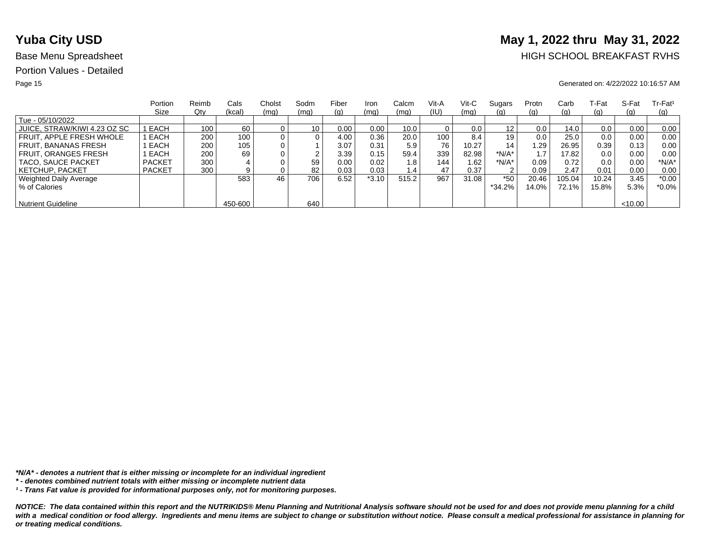# **Yuba City USD** May 1, 2022 thru May 31, 2022

## Base Menu Spreadsheet **HIGH SCHOOL BREAKFAST RVHS**

### Page 15 Generated on: 4/22/2022 10:16:57 AM

|                              | Portion       | Reimb | Cals    | Cholst | Sodm            | Fiber | Iron    | Calcm | Vit-A | Vit-C | Sugars   | Protn | Carb     | ⊺-Fat | S-Fat   | $Tr-Fat1$ |
|------------------------------|---------------|-------|---------|--------|-----------------|-------|---------|-------|-------|-------|----------|-------|----------|-------|---------|-----------|
|                              | Size          | Qty   | (kcal)  | (mq)   | (mq)            | (g)   | (mq)    | (mq)  | (IU)  | (mq)  | (g)      | (g)   | (g)      | (g)   | (q)     | (q)       |
| Tue - 05/10/2022             |               |       |         |        |                 |       |         |       |       |       |          |       |          |       |         |           |
| JUICE, STRAW/KIWI 4.23 OZ SC | I EACH        | 100   | 60      |        | 10 <sub>1</sub> | 0.00  | 0.00    | 10.0  |       | 0.0   | 12       | 0.0   | 14.0     | 0.0   | 0.00    | 0.00      |
| FRUIT. APPLE FRESH WHOLE     | EACH          | 200   | 100     |        | 0               | 4.00  | 0.36    | 20.0  | 100   | 8.4   | 19       | 0.0   | 25.0     | 0.0   | 0.00    | 0.00      |
| FRUIT. BANANAS FRESH         | EACH          | 200   | 105     |        |                 | 3.07  | 0.31    | 5.9   | 76    | 10.27 | 14       | .29   | 26.95    | 0.39  | 0.13    | 0.00      |
| <b>FRUIT, ORANGES FRESH</b>  | EACH          | 200   | 69      |        | ົ               | 3.39  | 0.15    | 59.4  | 339   | 82.98 | $*N/A*$  |       | 17.82    | 0.0   | 0.00    | 0.00      |
| TACO, SAUCE PACKET           | <b>PACKET</b> | 300   |         |        | 59              | 0.00  | 0.02    | 1.8   | 144   | 1.62  | *N/A*    | 0.09  | 0.72     | 0.0   | 0.00    | $*N/A*$   |
| <b>KETCHUP, PACKET</b>       | <b>PACKET</b> | 300   | 9       |        | 82              | 0.03  | 0.03    | 1.4   | 47    | 0.37  | 2        | 0.09  | 2.47     | 0.01  | 0.00    | 0.00      |
| Weighted Daily Average       |               |       | 583     | 46     | 706             | 6.52  | $*3.10$ | 515.2 | 967   | 31.08 | $*50$    | 20.46 | 105.04   | 10.24 | 3.45    | $*0.00$   |
| % of Calories                |               |       |         |        |                 |       |         |       |       |       | $*34.2%$ | 14.0% | $72.1\%$ | 15.8% | 5.3%    | $*0.0\%$  |
|                              |               |       |         |        |                 |       |         |       |       |       |          |       |          |       |         |           |
| <b>Nutrient Guideline</b>    |               |       | 450-600 |        | 640             |       |         |       |       |       |          |       |          |       | < 10.00 |           |

*\*N/A\* - denotes a nutrient that is either missing or incomplete for an individual ingredient*

*¹ - Trans Fat value is provided for informational purposes only, not for monitoring purposes.*

*<sup>\* -</sup> denotes combined nutrient totals with either missing or incomplete nutrient data*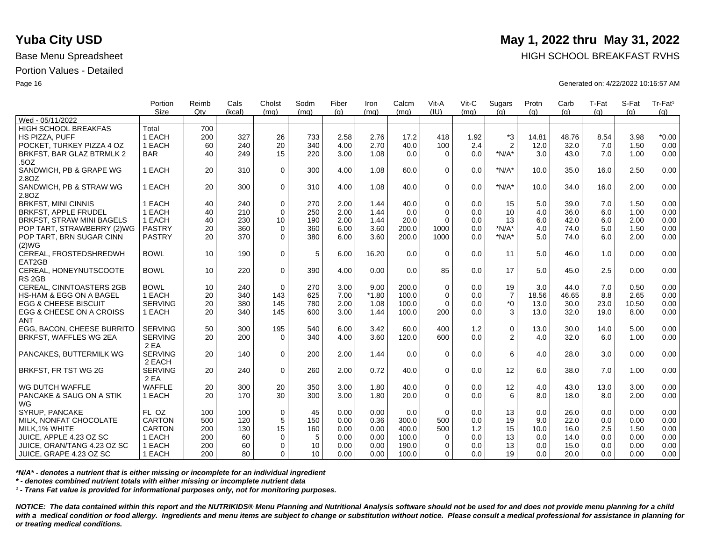|                                 | Portion<br><b>Size</b> | Reimb<br>Qty | Cals<br>(kcal) | Cholst<br>(mq) | Sodm<br>(mq)    | Fiber<br>(q) | Iron<br>(mq) | Calcm<br>(mq) | Vit-A<br>(IU) | Vit-C<br>(mq) | Sugars<br>(q)    | Protn<br>(q) | Carb<br>(q) | T-Fat<br>(q) | S-Fat<br>(q) | Tr-Fat <sup>1</sup><br>(g) |
|---------------------------------|------------------------|--------------|----------------|----------------|-----------------|--------------|--------------|---------------|---------------|---------------|------------------|--------------|-------------|--------------|--------------|----------------------------|
| Wed - 05/11/2022                |                        |              |                |                |                 |              |              |               |               |               |                  |              |             |              |              |                            |
| HIGH SCHOOL BREAKFAS            | Total                  | 700          |                |                |                 |              |              |               |               |               |                  |              |             |              |              |                            |
| HS PIZZA, PUFF                  | 1 EACH                 | 200          | 327            | 26             | 733             | 2.58         | 2.76         | 17.2          | 418           | 1.92          | *3               | 14.81        | 48.76       | 8.54         | 3.98         | $*0.00$                    |
| POCKET. TURKEY PIZZA 4 OZ       | 1 EACH                 | 60           | 240            | 20             | 340             | 4.00         | 2.70         | 40.0          | 100           | 2.4           | $\overline{2}$   | 12.0         | 32.0        | 7.0          | 1.50         | 0.00                       |
| BRKFST, BAR GLAZ BTRMLK 2       | <b>BAR</b>             | 40           | 249            | 15             | 220             | 3.00         | 1.08         | 0.0           | $\Omega$      | 0.0           | $*N/A*$          | 3.0          | 43.0        | 7.0          | 1.00         | 0.00                       |
| .50Z                            |                        |              |                |                |                 |              |              |               |               |               |                  |              |             |              |              |                            |
| SANDWICH, PB & GRAPE WG         | 1 EACH                 | 20           | 310            | $\mathbf 0$    | 300             | 4.00         | 1.08         | 60.0          | $\Omega$      | 0.0           | $*N/A*$          | 10.0         | 35.0        | 16.0         | 2.50         | 0.00                       |
| 2.8OZ                           |                        |              |                |                |                 |              |              |               |               |               |                  |              |             |              |              |                            |
| SANDWICH, PB & STRAW WG         | 1 EACH                 | 20           | 300            | $\mathbf 0$    | 310             | 4.00         | 1.08         | 40.0          | $\Omega$      | 0.0           | $*N/A*$          | 10.0         | 34.0        | 16.0         | 2.00         | 0.00                       |
| 2.8OZ                           |                        |              |                |                |                 |              |              |               |               |               |                  |              |             |              |              |                            |
| <b>BRKFST, MINI CINNIS</b>      | 1 EACH                 | 40           | 240            | $\mathbf 0$    | 270             | 2.00         | 1.44         | 40.0          | $\mathbf 0$   | 0.0           | 15               | 5.0          | 39.0        | 7.0          | 1.50         | 0.00                       |
| <b>BRKFST, APPLE FRUDEL</b>     | 1 EACH                 | 40           | 210            | $\mathbf 0$    | 250             | 2.00         | 1.44         | 0.0           | $\Omega$      | 0.0           | 10               | 4.0          | 36.0        | 6.0          | 1.00         | 0.00                       |
| BRKFST, STRAW MINI BAGELS       | 1 EACH                 | 40           | 230            | 10             | 190             | 2.00         | 1.44         | 20.0          | $\Omega$      | 0.0           | 13               | 6.0          | 42.0        | 6.0          | 2.00         | 0.00                       |
| POP TART, STRAWBERRY (2)WG      | <b>PASTRY</b>          | 20           | 360            | $\mathbf 0$    | 360             | 6.00         | 3.60         | 200.0         | 1000          | 0.0           | $*N/A*$          | 4.0          | 74.0        | 5.0          | 1.50         | 0.00                       |
| POP TART, BRN SUGAR CINN        | <b>PASTRY</b>          | 20           | 370            | $\mathbf 0$    | 380             | 6.00         | 3.60         | 200.0         | 1000          | 0.0           | $*N/A*$          | 5.0          | 74.0        | 6.0          | 2.00         | 0.00                       |
| (2)WG                           |                        |              |                |                |                 |              |              |               |               |               |                  |              |             |              |              |                            |
| CEREAL, FROSTEDSHREDWH          | <b>BOWL</b>            | 10           | 190            | $\mathbf 0$    | 5               | 6.00         | 16.20        | 0.0           | $\Omega$      | 0.0           | 11               | 5.0          | 46.0        | 1.0          | 0.00         | 0.00                       |
| EAT2GB                          |                        |              |                |                |                 |              |              |               |               |               |                  |              |             |              |              |                            |
| CEREAL, HONEYNUTSCOOTE          | <b>BOWL</b>            | 10           | 220            | $\Omega$       | 390             | 4.00         | 0.00         | 0.0           | 85            | 0.0           | 17               | 5.0          | 45.0        | 2.5          | 0.00         | 0.00                       |
| RS <sub>2GB</sub>               |                        |              |                |                |                 |              |              |               |               |               |                  |              |             |              |              |                            |
| CEREAL, CINNTOASTERS 2GB        | <b>BOWL</b>            | 10           | 240            | $\mathbf 0$    | 270             | 3.00         | 9.00         | 200.0         | $\mathbf 0$   | 0.0           | 19               | 3.0          | 44.0        | 7.0          | 0.50         | 0.00                       |
| HS-HAM & EGG ON A BAGEL         | 1 EACH                 | 20           | 340            | 143            | 625             | 7.00         | $*1.80$      | 100.0         | $\Omega$      | 0.0           | $\boldsymbol{7}$ | 18.56        | 46.65       | 8.8          | 2.65         | 0.00                       |
| <b>EGG &amp; CHEESE BISCUIT</b> | <b>SERVING</b>         | 20           | 380            | 145            | 780             | 2.00         | 1.08         | 100.0         | $\Omega$      | 0.0           | $*_{0}$          | 13.0         | 30.0        | 23.0         | 10.50        | 0.00                       |
| EGG & CHEESE ON A CROISS        | 1 EACH                 | 20           | 340            | 145            | 600             | 3.00         | 1.44         | 100.0         | 200           | 0.0           | 3                | 13.0         | 32.0        | 19.0         | 8.00         | 0.00                       |
| <b>ANT</b>                      |                        |              |                |                |                 |              |              |               |               |               |                  |              |             |              |              |                            |
| EGG, BACON, CHEESE BURRITO      | <b>SERVING</b>         | 50           | 300            | 195            | 540             | 6.00         | 3.42         | 60.0          | 400           | 1.2           | $\pmb{0}$        | 13.0         | 30.0        | 14.0         | 5.00         | 0.00                       |
| BRKFST, WAFFLES WG 2EA          | <b>SERVING</b>         | 20           | 200            | $\Omega$       | 340             | 4.00         | 3.60         | 120.0         | 600           | 0.0           | 2                | 4.0          | 32.0        | 6.0          | 1.00         | 0.00                       |
|                                 | 2 EA                   |              |                |                |                 |              |              |               |               |               |                  |              |             |              |              |                            |
| PANCAKES, BUTTERMILK WG         | <b>SERVING</b>         | 20           | 140            | $\mathbf 0$    | 200             | 2.00         | 1.44         | 0.0           | $\Omega$      | 0.0           | 6                | 4.0          | 28.0        | 3.0          | 0.00         | 0.00                       |
|                                 | 2 EACH                 |              |                |                |                 |              |              |               |               |               |                  |              |             |              |              |                            |
| BRKFST, FR TST WG 2G            | <b>SERVING</b>         | 20           | 240            | $\mathbf 0$    | 260             | 2.00         | 0.72         | 40.0          | $\Omega$      | 0.0           | 12               | 6.0          | 38.0        | 7.0          | 1.00         | 0.00                       |
|                                 | 2 EA                   |              |                |                |                 |              |              |               |               |               |                  |              |             |              |              |                            |
| WG DUTCH WAFFLE                 | <b>WAFFLE</b>          | 20           | 300            | 20             | 350             | 3.00         | 1.80         | 40.0          | $\mathbf 0$   | 0.0           | 12               | 4.0          | 43.0        | 13.0         | 3.00         | 0.00                       |
| PANCAKE & SAUG ON A STIK        | 1 EACH                 | 20           | 170            | 30             | 300             | 3.00         | 1.80         | 20.0          | $\Omega$      | 0.0           | 6                | 8.0          | 18.0        | 8.0          | 2.00         | 0.00                       |
| WG                              |                        |              |                |                |                 |              |              |               |               |               |                  |              |             |              |              |                            |
| SYRUP, PANCAKE                  | FL OZ                  | 100          | 100            | $\mathbf 0$    | 45              | 0.00         | 0.00         | 0.0           | $\Omega$      | 0.0           | 13               | 0.0          | 26.0        | 0.0          | 0.00         | 0.00                       |
| MILK, NONFAT CHOCOLATE          | <b>CARTON</b>          | 500          | 120            | 5              | 150             | 0.00         | 0.36         | 300.0         | 500           | 0.0           | 19               | 9.0          | 22.0        | 0.0          | 0.00         | 0.00                       |
| MILK.1% WHITE                   | <b>CARTON</b>          | 200          | 130            | 15             | 160             | 0.00         | 0.00         | 400.0         | 500           | 1.2           | 15               | 10.0         | 16.0        | 2.5          | 1.50         | 0.00                       |
| JUICE, APPLE 4.23 OZ SC         | 1 EACH                 | 200          | 60             | 0              | 5               | 0.00         | 0.00         | 100.0         | 0             | 0.0           | 13               | 0.0          | 14.0        | 0.0          | 0.00         | 0.00                       |
| JUICE, ORAN/TANG 4.23 OZ SC     | 1 EACH                 | 200          | 60             | $\mathbf 0$    | 10              | 0.00         | 0.00         | 190.0         | $\Omega$      | 0.0           | 13               | 0.0          | 15.0        | 0.0          | 0.00         | 0.00                       |
| JUICE, GRAPE 4.23 OZ SC         | 1 EACH                 | 200          | 80             | $\Omega$       | 10 <sup>1</sup> | 0.00         | 0.00         | 100.0         | $\Omega$      | 0.0           | 19               | 0.0          | 20.0        | 0.0          | 0.00         | 0.00                       |

*\*N/A\* - denotes a nutrient that is either missing or incomplete for an individual ingredient*

*\* - denotes combined nutrient totals with either missing or incomplete nutrient data*

*¹ - Trans Fat value is provided for informational purposes only, not for monitoring purposes.*

*NOTICE: The data contained within this report and the NUTRIKIDS® Menu Planning and Nutritional Analysis software should not be used for and does not provide menu planning for a child*  with a medical condition or food allergy. Ingredients and menu items are subject to change or substitution without notice. Please consult a medical professional for assistance in planning for *or treating medical conditions.*

## **Yuba City USD** May 1, 2022 thru May 31, 2022

Base Menu Spreadsheet **HIGH SCHOOL BREAKFAST RVHS** 

Page 16 Generated on: 4/22/2022 10:16:57 AM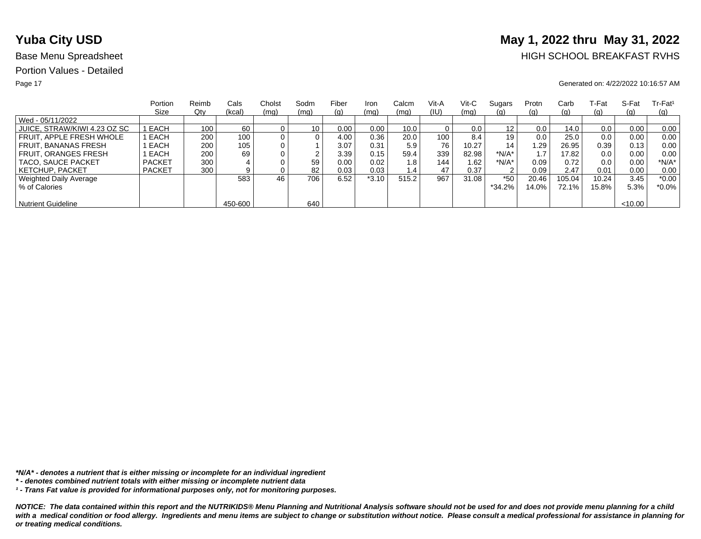# **Yuba City USD** May 1, 2022 thru May 31, 2022

## Base Menu Spreadsheet **HIGH SCHOOL BREAKFAST RVHS**

### Page 17 Generated on: 4/22/2022 10:16:57 AM

|                              | Portion       | Reimb | Cals    | Cholst         | Sodm | Fiber | Iron    | Calcm         | Vit-A            | Vit-C | Sugars  | Protn | Carb     | ⊺-Fat | S-Fat  | $Tr-Fat1$  |
|------------------------------|---------------|-------|---------|----------------|------|-------|---------|---------------|------------------|-------|---------|-------|----------|-------|--------|------------|
|                              | Size          | Qty   | (kcal)  | (mq)           | (mq) | (g)   | (mq)    | (mq)          | (IU)             | (mq)  | (g)     | (q)   | (g)      | (g)   | (q)    | <u>(g)</u> |
| Wed - 05/11/2022             |               |       |         |                |      |       |         |               |                  |       |         |       |          |       |        |            |
| JUICE, STRAW/KIWI 4.23 OZ SC | EACH          | 100   | 60      |                | 10   | 0.00  | 0.00    | 10.0          |                  | 0.0   | 12      | 0.0   | 14.0     | 0.0   | 0.00   | 0.00       |
| FRUIT. APPLE FRESH WHOLE     | EACH          | 200   | 100     | 0 <sub>1</sub> | 0    | 4.00  | 0.36    | 20.0          | 100 <sub>1</sub> | 8.4   | 19      | 0.0   | 25.0     | 0.0   | 0.00   | 0.00       |
| <b>FRUIT, BANANAS FRESH</b>  | EACH          | 200   | 105     |                |      | 3.07  | 0.31    | 5.9           | 76               | 10.27 | 14      | 29. ا | 26.95    | 0.39  | 0.13   | 0.00       |
| FRUIT, ORANGES FRESH         | EACH          | 200   | 69      |                |      | 3.39  | 0.15    | 59.4          | 339              | 82.98 | $*N/A*$ |       | 17.82    | 0.0   | 0.00   | 0.00       |
| TACO, SAUCE PACKET           | <b>PACKET</b> | 300   |         |                | 59   | 0.00  | 0.02    | 1.8           | 144              | 1.62  | $*N/A*$ | 0.09  | 0.72     | 0.0   | 0.00   | $*N/A*$    |
| KETCHUP. PACKET              | <b>PACKET</b> | 300   |         |                | 82   | 0.03  | 0.03    | $1.4^{\circ}$ | 47               | 0.37  | っ       | 0.09  | 2.47     | 0.01  | 0.00   | 0.00       |
| Weighted Daily Average       |               |       | 583     | 46             | 706  | 6.52  | $*3.10$ | 515.2         | 967              | 31.08 | $*50$   | 20.46 | 105.04   | 10.24 | 3.45   | $*0.00$    |
| % of Calories                |               |       |         |                |      |       |         |               |                  |       | *34.2%  | 14.0% | $72.1\%$ | 15.8% | 5.3%   | *0.0%      |
|                              |               |       |         |                |      |       |         |               |                  |       |         |       |          |       |        |            |
| <b>Nutrient Guideline</b>    |               |       | 450-600 |                | 640  |       |         |               |                  |       |         |       |          |       | <10.00 |            |

*\*N/A\* - denotes a nutrient that is either missing or incomplete for an individual ingredient*

*¹ - Trans Fat value is provided for informational purposes only, not for monitoring purposes.*

*<sup>\* -</sup> denotes combined nutrient totals with either missing or incomplete nutrient data*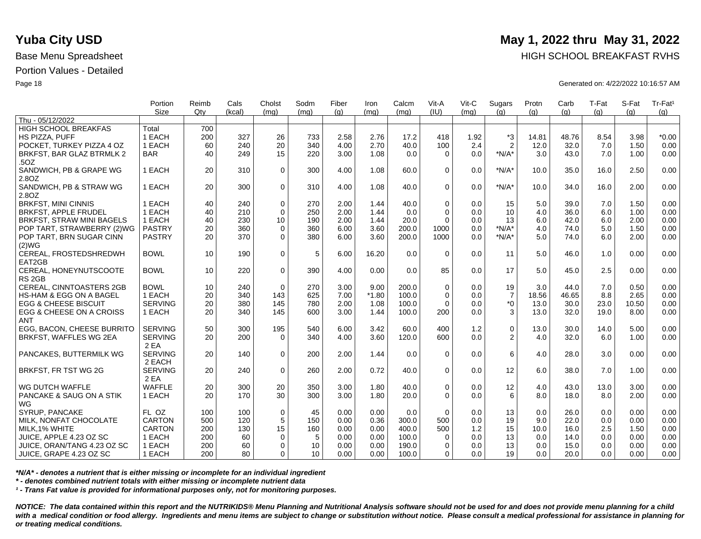|                                    | Portion        | Reimb | Cals   | Cholst      | Sodm | Fiber | Iron    | Calcm | Vit-A       | Vit-C | Sugars         | Protn | Carb  | T-Fat | S-Fat | Tr-Fat <sup>1</sup> |
|------------------------------------|----------------|-------|--------|-------------|------|-------|---------|-------|-------------|-------|----------------|-------|-------|-------|-------|---------------------|
|                                    | <b>Size</b>    | Qtv   | (kcal) | (mq)        | (mq) | (q)   | (mq)    | (mq)  | (IU)        | (mq)  | (q)            | (q)   | (q)   | (q)   | (a)   | (g)                 |
| Thu - 05/12/2022                   |                |       |        |             |      |       |         |       |             |       |                |       |       |       |       |                     |
| <b>HIGH SCHOOL BREAKFAS</b>        | Total          | 700   |        |             |      |       |         |       |             |       |                |       |       |       |       |                     |
| HS PIZZA, PUFF                     | 1 EACH         | 200   | 327    | 26          | 733  | 2.58  | 2.76    | 17.2  | 418         | 1.92  | $*3$           | 14.81 | 48.76 | 8.54  | 3.98  | $*0.00$             |
| POCKET, TURKEY PIZZA 4 OZ          | 1 EACH         | 60    | 240    | 20          | 340  | 4.00  | 2.70    | 40.0  | 100         | 2.4   | $\overline{2}$ | 12.0  | 32.0  | 7.0   | 1.50  | 0.00                |
| BRKFST, BAR GLAZ BTRMLK 2          | <b>BAR</b>     | 40    | 249    | 15          | 220  | 3.00  | 1.08    | 0.0   | $\Omega$    | 0.0   | $*N/A*$        | 3.0   | 43.0  | 7.0   | 1.00  | 0.00                |
| .50Z                               |                |       |        |             |      |       |         |       |             |       |                |       |       |       |       |                     |
| SANDWICH, PB & GRAPE WG            | 1 EACH         | 20    | 310    | $\mathbf 0$ | 300  | 4.00  | 1.08    | 60.0  | $\Omega$    | 0.0   | $*N/A*$        | 10.0  | 35.0  | 16.0  | 2.50  | 0.00                |
| 2.8OZ                              |                |       |        |             |      |       |         |       |             |       |                |       |       |       |       |                     |
| SANDWICH, PB & STRAW WG            | 1 EACH         | 20    | 300    | $\Omega$    | 310  | 4.00  | 1.08    | 40.0  | $\Omega$    | 0.0   | $*N/A*$        | 10.0  | 34.0  | 16.0  | 2.00  | 0.00                |
| 2.80Z                              |                |       |        |             |      |       |         |       |             |       |                |       |       |       |       |                     |
| <b>BRKFST, MINI CINNIS</b>         | 1 EACH         | 40    | 240    | $\mathbf 0$ | 270  | 2.00  | 1.44    | 40.0  | $\Omega$    | 0.0   | 15             | 5.0   | 39.0  | 7.0   | 1.50  | 0.00                |
| <b>BRKFST, APPLE FRUDEL</b>        | 1 EACH         | 40    | 210    | $\Omega$    | 250  | 2.00  | 1.44    | 0.0   | $\Omega$    | 0.0   | 10             | 4.0   | 36.0  | 6.0   | 1.00  | 0.00                |
| <b>BRKFST, STRAW MINI BAGELS</b>   | 1 EACH         | 40    | 230    | 10          | 190  | 2.00  | 1.44    | 20.0  | $\Omega$    | 0.0   | 13             | 6.0   | 42.0  | 6.0   | 2.00  | 0.00                |
| POP TART, STRAWBERRY (2)WG         | <b>PASTRY</b>  | 20    | 360    | $\mathbf 0$ | 360  | 6.00  | 3.60    | 200.0 | 1000        | 0.0   | $*N/A*$        | 4.0   | 74.0  | 5.0   | 1.50  | 0.00                |
| POP TART, BRN SUGAR CINN           | <b>PASTRY</b>  | 20    | 370    | $\Omega$    | 380  | 6.00  | 3.60    | 200.0 | 1000        | 0.0   | $*N/A*$        | 5.0   | 74.0  | 6.0   | 2.00  | 0.00                |
| (2)WG                              |                |       |        |             |      |       |         |       |             |       |                |       |       |       |       |                     |
| CEREAL, FROSTEDSHREDWH             | <b>BOWL</b>    | 10    | 190    | $\mathbf 0$ | 5    | 6.00  | 16.20   | 0.0   | $\Omega$    | 0.0   | 11             | 5.0   | 46.0  | 1.0   | 0.00  | 0.00                |
| EAT2GB                             |                |       |        |             |      |       |         |       |             |       |                |       |       |       |       |                     |
| CEREAL, HONEYNUTSCOOTE             | <b>BOWL</b>    | 10    | 220    | $\mathbf 0$ | 390  | 4.00  | 0.00    | 0.0   | 85          | 0.0   | 17             | 5.0   | 45.0  | 2.5   | 0.00  | 0.00                |
| RS <sub>2GB</sub>                  |                |       |        |             |      |       |         |       |             |       |                |       |       |       |       |                     |
| <b>CEREAL, CINNTOASTERS 2GB</b>    | <b>BOWL</b>    | 10    | 240    | $\Omega$    | 270  | 3.00  | 9.00    | 200.0 | $\Omega$    | 0.0   | 19             | 3.0   | 44.0  | 7.0   | 0.50  | 0.00                |
| <b>HS-HAM &amp; EGG ON A BAGEL</b> | 1 EACH         | 20    | 340    | 143         | 625  | 7.00  | $*1.80$ | 100.0 | $\mathbf 0$ | 0.0   | $\overline{7}$ | 18.56 | 46.65 | 8.8   | 2.65  | 0.00                |
| <b>EGG &amp; CHEESE BISCUIT</b>    | <b>SERVING</b> | 20    | 380    | 145         | 780  | 2.00  | 1.08    | 100.0 | $\Omega$    | 0.0   | $^*0$          | 13.0  | 30.0  | 23.0  | 10.50 | 0.00                |
| EGG & CHEESE ON A CROISS           | 1 EACH         | 20    | 340    | 145         | 600  | 3.00  | 1.44    | 100.0 | 200         | 0.0   | 3              | 13.0  | 32.0  | 19.0  | 8.00  | 0.00                |
| <b>ANT</b>                         |                |       |        |             |      |       |         |       |             |       |                |       |       |       |       |                     |
| EGG. BACON. CHEESE BURRITO         | <b>SERVING</b> | 50    | 300    | 195         | 540  | 6.00  | 3.42    | 60.0  | 400         | 1.2   | $\mathsf 0$    | 13.0  | 30.0  | 14.0  | 5.00  | 0.00                |
| BRKFST, WAFFLES WG 2EA             | <b>SERVING</b> | 20    | 200    | $\Omega$    | 340  | 4.00  | 3.60    | 120.0 | 600         | 0.0   | 2              | 4.0   | 32.0  | 6.0   | 1.00  | 0.00                |
|                                    | 2 EA           |       |        |             |      |       |         |       |             |       |                |       |       |       |       |                     |
| PANCAKES, BUTTERMILK WG            | <b>SERVING</b> | 20    | 140    | $\Omega$    | 200  | 2.00  | 1.44    | 0.0   | $\Omega$    | 0.0   | 6              | 4.0   | 28.0  | 3.0   | 0.00  | 0.00                |
|                                    | 2 EACH         |       |        |             |      |       |         |       |             |       |                |       |       |       |       |                     |
| BRKFST, FR TST WG 2G               | <b>SERVING</b> | 20    | 240    | $\mathbf 0$ | 260  | 2.00  | 0.72    | 40.0  | $\mathbf 0$ | 0.0   | 12             | 6.0   | 38.0  | 7.0   | 1.00  | 0.00                |
|                                    | 2 EA           |       |        |             |      |       |         |       |             |       |                |       |       |       |       |                     |
| WG DUTCH WAFFLE                    | <b>WAFFLE</b>  | 20    | 300    | 20          | 350  | 3.00  | 1.80    | 40.0  | $\mathbf 0$ | 0.0   | 12             | 4.0   | 43.0  | 13.0  | 3.00  | 0.00                |
| PANCAKE & SAUG ON A STIK           | 1 EACH         | 20    | 170    | 30          | 300  | 3.00  | 1.80    | 20.0  | $\Omega$    | 0.0   | 6              | 8.0   | 18.0  | 8.0   | 2.00  | 0.00                |
| WG                                 |                |       |        |             |      |       |         |       |             |       |                |       |       |       |       |                     |
| SYRUP, PANCAKE                     | FL OZ          | 100   | 100    | $\mathbf 0$ | 45   | 0.00  | 0.00    | 0.0   | $\Omega$    | 0.0   | 13             | 0.0   | 26.0  | 0.0   | 0.00  | 0.00                |
| MILK, NONFAT CHOCOLATE             | <b>CARTON</b>  | 500   | 120    | $\sqrt{5}$  | 150  | 0.00  | 0.36    | 300.0 | 500         | 0.0   | 19             | 9.0   | 22.0  | 0.0   | 0.00  | 0.00                |
| MILK, 1% WHITE                     | <b>CARTON</b>  | 200   | 130    | 15          | 160  | 0.00  | 0.00    | 400.0 | 500         | 1.2   | 15             | 10.0  | 16.0  | 2.5   | 1.50  | 0.00                |
| JUICE, APPLE 4.23 OZ SC            | 1 EACH         |       | 60     |             |      | 0.00  | 0.00    |       |             |       |                | 0.0   | 14.0  | 0.0   | 0.00  |                     |
|                                    |                | 200   |        | 0           | 5    |       |         | 100.0 | $\Omega$    | 0.0   | 13             |       |       |       |       | 0.00                |
| JUICE, ORAN/TANG 4.23 OZ SC        | 1 EACH         | 200   | 60     | $\mathbf 0$ | 10   | 0.00  | 0.00    | 190.0 | $\Omega$    | 0.0   | 13             | 0.0   | 15.0  | 0.0   | 0.00  | 0.00                |
| ∣ JUICE, GRAPE 4.23 OZ SC          | 1 EACH         | 200   | 80     | 0           | 10   | 0.00  | 0.00    | 100.0 | $\Omega$    | 0.0   | 19             | 0.0   | 20.0  | 0.0   | 0.00  | 0.00                |

*\*N/A\* - denotes a nutrient that is either missing or incomplete for an individual ingredient*

*\* - denotes combined nutrient totals with either missing or incomplete nutrient data*

*¹ - Trans Fat value is provided for informational purposes only, not for monitoring purposes.*

*NOTICE: The data contained within this report and the NUTRIKIDS® Menu Planning and Nutritional Analysis software should not be used for and does not provide menu planning for a child*  with a medical condition or food allergy. Ingredients and menu items are subject to change or substitution without notice. Please consult a medical professional for assistance in planning for *or treating medical conditions.*

## **Yuba City USD** May 1, 2022 thru May 31, 2022

Base Menu Spreadsheet **HIGH SCHOOL BREAKFAST RVHS** 

Page 18 Generated on: 4/22/2022 10:16:57 AM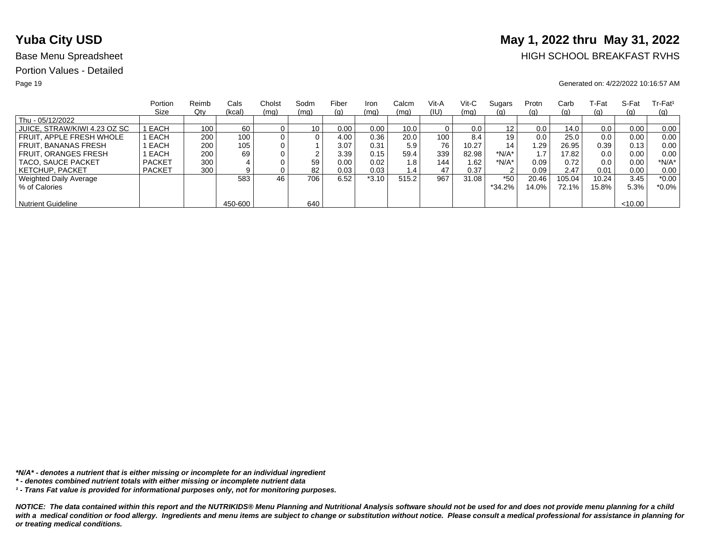# **Yuba City USD** May 1, 2022 thru May 31, 2022

## Base Menu Spreadsheet **HIGH SCHOOL BREAKFAST RVHS**

### Page 19 Generated on: 4/22/2022 10:16:57 AM

|                              | Portion       | Reimb | Cals    | Cholst | Sodm            | Fiber | Iron    | Calcm | Vit-A | Vit-C | Sugars   | Protn | Carb     | ⊺-Fat | S-Fat   | $Tr-Fat1$ |
|------------------------------|---------------|-------|---------|--------|-----------------|-------|---------|-------|-------|-------|----------|-------|----------|-------|---------|-----------|
|                              | Size          | Qty   | (kcal)  | (mq)   | (mq)            | (g)   | (mq)    | (mq)  | (IU)  | (mq)  | (g)      | (g)   | (g)      | (g)   | (q)     | (q)       |
| Thu - 05/12/2022             |               |       |         |        |                 |       |         |       |       |       |          |       |          |       |         |           |
| JUICE, STRAW/KIWI 4.23 OZ SC | I EACH        | 100   | 60      |        | 10 <sub>1</sub> | 0.00  | 0.00    | 10.0  |       | 0.0   | 12       | 0.0   | 14.0     | 0.0   | 0.00    | 0.00      |
| FRUIT. APPLE FRESH WHOLE     | EACH          | 200   | 100     |        | 0               | 4.00  | 0.36    | 20.0  | 100   | 8.4   | 19       | 0.0   | 25.0     | 0.0   | 0.00    | 0.00      |
| FRUIT. BANANAS FRESH         | EACH          | 200   | 105     |        |                 | 3.07  | 0.31    | 5.9   | 76    | 10.27 | 14       | .29   | 26.95    | 0.39  | 0.13    | 0.00      |
| <b>FRUIT, ORANGES FRESH</b>  | EACH          | 200   | 69      |        | ົ               | 3.39  | 0.15    | 59.4  | 339   | 82.98 | $*N/A*$  |       | 17.82    | 0.0   | 0.00    | 0.00      |
| TACO, SAUCE PACKET           | <b>PACKET</b> | 300   |         |        | 59              | 0.00  | 0.02    | 1.8   | 144   | 1.62  | *N/A*    | 0.09  | 0.72     | 0.0   | 0.00    | $*N/A*$   |
| <b>KETCHUP, PACKET</b>       | <b>PACKET</b> | 300   | 9       |        | 82              | 0.03  | 0.03    | 1.4   | 47    | 0.37  | 2        | 0.09  | 2.47     | 0.01  | 0.00    | 0.00      |
| Weighted Daily Average       |               |       | 583     | 46     | 706             | 6.52  | $*3.10$ | 515.2 | 967   | 31.08 | $*50$    | 20.46 | 105.04   | 10.24 | 3.45    | $*0.00$   |
| % of Calories                |               |       |         |        |                 |       |         |       |       |       | $*34.2%$ | 14.0% | $72.1\%$ | 15.8% | 5.3%    | $*0.0\%$  |
|                              |               |       |         |        |                 |       |         |       |       |       |          |       |          |       |         |           |
| <b>Nutrient Guideline</b>    |               |       | 450-600 |        | 640             |       |         |       |       |       |          |       |          |       | < 10.00 |           |

*\*N/A\* - denotes a nutrient that is either missing or incomplete for an individual ingredient*

*¹ - Trans Fat value is provided for informational purposes only, not for monitoring purposes.*

*<sup>\* -</sup> denotes combined nutrient totals with either missing or incomplete nutrient data*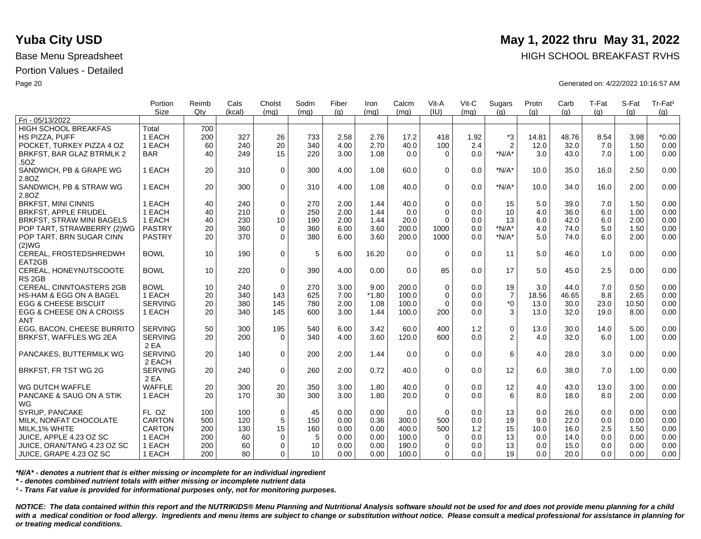|                                    | Portion        | Reimb | Cals   | Cholst      | Sodm | Fiber | Iron    | Calcm | Vit-A       | Vit-C | Sugars         | Protn | Carb  | T-Fat | S-Fat | Tr-Fat <sup>1</sup> |
|------------------------------------|----------------|-------|--------|-------------|------|-------|---------|-------|-------------|-------|----------------|-------|-------|-------|-------|---------------------|
| Fri - 05/13/2022                   | <b>Size</b>    | Qtv   | (kcal) | (mq)        | (ma) | (q)   | (mq)    | (mq)  | (IU)        | (mq)  | (q)            | (q)   | (q)   | (q)   | (a)   | (g)                 |
|                                    |                |       |        |             |      |       |         |       |             |       |                |       |       |       |       |                     |
| HIGH SCHOOL BREAKFAS               | Total          | 700   |        |             |      |       |         |       |             |       |                |       |       |       |       |                     |
| <b>HS PIZZA, PUFF</b>              | 1 EACH         | 200   | 327    | 26          | 733  | 2.58  | 2.76    | 17.2  | 418         | 1.92  | $*3$           | 14.81 | 48.76 | 8.54  | 3.98  | $*0.00$             |
| POCKET. TURKEY PIZZA 4 OZ          | 1 EACH         | 60    | 240    | 20          | 340  | 4.00  | 2.70    | 40.0  | 100         | 2.4   | $\overline{2}$ | 12.0  | 32.0  | 7.0   | 1.50  | 0.00                |
| BRKFST, BAR GLAZ BTRMLK 2          | <b>BAR</b>     | 40    | 249    | 15          | 220  | 3.00  | 1.08    | 0.0   | $\Omega$    | 0.0   | $*N/A*$        | 3.0   | 43.0  | 7.0   | 1.00  | 0.00                |
| .50Z                               |                |       |        |             |      |       |         |       |             |       |                |       |       |       |       |                     |
| SANDWICH, PB & GRAPE WG            | 1 EACH         | 20    | 310    | $\mathbf 0$ | 300  | 4.00  | 1.08    | 60.0  | $\Omega$    | 0.0   | $*N/A*$        | 10.0  | 35.0  | 16.0  | 2.50  | 0.00                |
| 2.8OZ                              |                |       |        |             |      |       |         |       |             |       |                |       |       |       |       |                     |
| SANDWICH, PB & STRAW WG            | 1 EACH         | 20    | 300    | $\Omega$    | 310  | 4.00  | 1.08    | 40.0  | $\Omega$    | 0.0   | $*N/A*$        | 10.0  | 34.0  | 16.0  | 2.00  | 0.00                |
| 2.80Z                              |                |       |        |             |      |       |         |       |             |       |                |       |       |       |       |                     |
| <b>BRKFST, MINI CINNIS</b>         | 1 EACH         | 40    | 240    | $\mathbf 0$ | 270  | 2.00  | 1.44    | 40.0  | $\Omega$    | 0.0   | 15             | 5.0   | 39.0  | 7.0   | 1.50  | 0.00                |
| <b>BRKFST, APPLE FRUDEL</b>        | 1 EACH         | 40    | 210    | $\Omega$    | 250  | 2.00  | 1.44    | 0.0   | $\Omega$    | 0.0   | 10             | 4.0   | 36.0  | 6.0   | 1.00  | 0.00                |
| <b>BRKFST, STRAW MINI BAGELS</b>   | 1 EACH         | 40    | 230    | 10          | 190  | 2.00  | 1.44    | 20.0  | $\Omega$    | 0.0   | 13             | 6.0   | 42.0  | 6.0   | 2.00  | 0.00                |
| POP TART, STRAWBERRY (2)WG         | <b>PASTRY</b>  | 20    | 360    | $\mathbf 0$ | 360  | 6.00  | 3.60    | 200.0 | 1000        | 0.0   | $*N/A*$        | 4.0   | 74.0  | 5.0   | 1.50  | 0.00                |
| POP TART, BRN SUGAR CINN           | <b>PASTRY</b>  | 20    | 370    | $\Omega$    | 380  | 6.00  | 3.60    | 200.0 | 1000        | 0.0   | $*N/A*$        | 5.0   | 74.0  | 6.0   | 2.00  | 0.00                |
| (2)WG                              |                |       |        |             |      |       |         |       |             |       |                |       |       |       |       |                     |
| CEREAL, FROSTEDSHREDWH             | <b>BOWL</b>    | 10    | 190    | $\mathbf 0$ | 5    | 6.00  | 16.20   | 0.0   | $\Omega$    | 0.0   | 11             | 5.0   | 46.0  | 1.0   | 0.00  | 0.00                |
| EAT2GB                             |                |       |        |             |      |       |         |       |             |       |                |       |       |       |       |                     |
| CEREAL, HONEYNUTSCOOTE             | <b>BOWL</b>    | 10    | 220    | $\mathbf 0$ | 390  | 4.00  | 0.00    | 0.0   | 85          | 0.0   | 17             | 5.0   | 45.0  | 2.5   | 0.00  | 0.00                |
| RS <sub>2GB</sub>                  |                |       |        |             |      |       |         |       |             |       |                |       |       |       |       |                     |
| <b>CEREAL, CINNTOASTERS 2GB</b>    | <b>BOWL</b>    | 10    | 240    | $\Omega$    | 270  | 3.00  | 9.00    | 200.0 | $\Omega$    | 0.0   | 19             | 3.0   | 44.0  | 7.0   | 0.50  | 0.00                |
| <b>HS-HAM &amp; EGG ON A BAGEL</b> | 1 EACH         | 20    | 340    | 143         | 625  | 7.00  | $*1.80$ | 100.0 | $\mathbf 0$ | 0.0   | $\overline{7}$ | 18.56 | 46.65 | 8.8   | 2.65  | 0.00                |
| <b>EGG &amp; CHEESE BISCUIT</b>    | <b>SERVING</b> | 20    | 380    | 145         | 780  | 2.00  | 1.08    | 100.0 | $\Omega$    | 0.0   | $^*0$          | 13.0  | 30.0  | 23.0  | 10.50 | 0.00                |
| EGG & CHEESE ON A CROISS           | 1 EACH         | 20    | 340    | 145         | 600  | 3.00  | 1.44    | 100.0 | 200         | 0.0   | 3              | 13.0  | 32.0  | 19.0  | 8.00  | 0.00                |
| <b>ANT</b>                         |                |       |        |             |      |       |         |       |             |       |                |       |       |       |       |                     |
| EGG. BACON. CHEESE BURRITO         | <b>SERVING</b> | 50    | 300    | 195         | 540  | 6.00  | 3.42    | 60.0  | 400         | 1.2   | $\mathsf 0$    | 13.0  | 30.0  | 14.0  | 5.00  | 0.00                |
| BRKFST, WAFFLES WG 2EA             | <b>SERVING</b> | 20    | 200    | $\Omega$    | 340  | 4.00  | 3.60    | 120.0 | 600         | 0.0   | 2              | 4.0   | 32.0  | 6.0   | 1.00  | 0.00                |
|                                    | 2 EA           |       |        |             |      |       |         |       |             |       |                |       |       |       |       |                     |
| PANCAKES, BUTTERMILK WG            | <b>SERVING</b> | 20    | 140    | $\Omega$    | 200  | 2.00  | 1.44    | 0.0   | $\Omega$    | 0.0   | 6              | 4.0   | 28.0  | 3.0   | 0.00  | 0.00                |
|                                    | 2 EACH         |       |        |             |      |       |         |       |             |       |                |       |       |       |       |                     |
| BRKFST, FR TST WG 2G               | <b>SERVING</b> | 20    | 240    | $\mathbf 0$ | 260  | 2.00  | 0.72    | 40.0  | $\mathbf 0$ | 0.0   | 12             | 6.0   | 38.0  | 7.0   | 1.00  | 0.00                |
|                                    | 2 EA           |       |        |             |      |       |         |       |             |       |                |       |       |       |       |                     |
| WG DUTCH WAFFLE                    | <b>WAFFLE</b>  | 20    | 300    | 20          | 350  | 3.00  | 1.80    | 40.0  | $\mathbf 0$ | 0.0   | 12             | 4.0   | 43.0  | 13.0  | 3.00  | 0.00                |
| PANCAKE & SAUG ON A STIK           | 1 EACH         | 20    | 170    | 30          | 300  | 3.00  | 1.80    | 20.0  | $\Omega$    | 0.0   | 6              | 8.0   | 18.0  | 8.0   | 2.00  | 0.00                |
| WG                                 |                |       |        |             |      |       |         |       |             |       |                |       |       |       |       |                     |
| SYRUP, PANCAKE                     | FL OZ          | 100   | 100    | $\mathbf 0$ | 45   | 0.00  | 0.00    | 0.0   | $\Omega$    | 0.0   | 13             | 0.0   | 26.0  | 0.0   | 0.00  | 0.00                |
| MILK, NONFAT CHOCOLATE             | <b>CARTON</b>  | 500   | 120    | $\sqrt{5}$  | 150  | 0.00  | 0.36    | 300.0 | 500         | 0.0   | 19             | 9.0   | 22.0  | 0.0   | 0.00  | 0.00                |
| MILK, 1% WHITE                     | <b>CARTON</b>  | 200   | 130    | 15          | 160  | 0.00  | 0.00    | 400.0 | 500         | 1.2   | 15             | 10.0  | 16.0  | 2.5   | 1.50  | 0.00                |
| JUICE. APPLE 4.23 OZ SC            | 1 EACH         | 200   | 60     | $\mathbf 0$ | 5    | 0.00  | 0.00    | 100.0 | $\Omega$    | 0.0   | 13             | 0.0   | 14.0  | 0.0   | 0.00  | 0.00                |
| JUICE, ORAN/TANG 4.23 OZ SC        | 1 EACH         | 200   | 60     | $\mathbf 0$ | 10   | 0.00  | 0.00    | 190.0 | $\Omega$    | 0.0   | 13             | 0.0   | 15.0  | 0.0   | 0.00  | 0.00                |
|                                    |                | 200   | 80     |             | 10   | 0.00  | 0.00    |       | $\Omega$    | 0.0   | 19             |       | 20.0  | 0.0   |       |                     |
| ∣ JUICE, GRAPE 4.23 OZ SC          | 1 EACH         |       |        | 0           |      |       |         | 100.0 |             |       |                | 0.0   |       |       | 0.00  | 0.00                |

*\*N/A\* - denotes a nutrient that is either missing or incomplete for an individual ingredient*

*\* - denotes combined nutrient totals with either missing or incomplete nutrient data*

*¹ - Trans Fat value is provided for informational purposes only, not for monitoring purposes.*

*NOTICE: The data contained within this report and the NUTRIKIDS® Menu Planning and Nutritional Analysis software should not be used for and does not provide menu planning for a child*  with a medical condition or food allergy. Ingredients and menu items are subject to change or substitution without notice. Please consult a medical professional for assistance in planning for *or treating medical conditions.*

## **Yuba City USD** May 1, 2022 thru May 31, 2022

Base Menu Spreadsheet **HIGH SCHOOL BREAKFAST RVHS** 

Page 20 Generated on: 4/22/2022 10:16:57 AM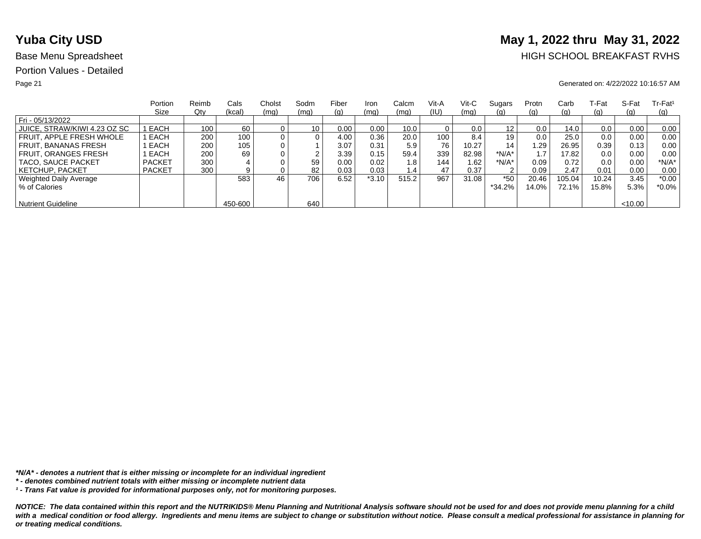# **Yuba City USD** May 1, 2022 thru May 31, 2022

## Base Menu Spreadsheet **HIGH SCHOOL BREAKFAST RVHS**

### Page 21 Generated on: 4/22/2022 10:16:57 AM

|                              | Portion       | Reimb | Cals    | Cholst | Sodm            | Fiber | Iron    | Calcm | Vit-A | Vit-C | Sugars   | Protn | Carb     | ⊺-Fat | S-Fat   | $Tr-Fat1$ |
|------------------------------|---------------|-------|---------|--------|-----------------|-------|---------|-------|-------|-------|----------|-------|----------|-------|---------|-----------|
|                              | Size          | Qty   | (kcal)  | (mq)   | (mq)            | (g)   | (mq)    | (mq)  | (IU)  | (mq)  | (g)      | (g)   | (g)      | (g)   | (q)     | (q)       |
| Fri - 05/13/2022             |               |       |         |        |                 |       |         |       |       |       |          |       |          |       |         |           |
| JUICE, STRAW/KIWI 4.23 OZ SC | I EACH        | 100   | 60      |        | 10 <sub>1</sub> | 0.00  | 0.00    | 10.0  |       | 0.0   | 12       | 0.0   | 14.0     | 0.0   | 0.00    | 0.00      |
| FRUIT. APPLE FRESH WHOLE     | EACH          | 200   | 100     |        | 0               | 4.00  | 0.36    | 20.0  | 100   | 8.4   | 19       | 0.0   | 25.0     | 0.0   | 0.00    | 0.00      |
| FRUIT. BANANAS FRESH         | EACH          | 200   | 105     |        |                 | 3.07  | 0.31    | 5.9   | 76    | 10.27 | 14       | .29   | 26.95    | 0.39  | 0.13    | 0.00      |
| <b>FRUIT, ORANGES FRESH</b>  | EACH          | 200   | 69      |        | ົ               | 3.39  | 0.15    | 59.4  | 339   | 82.98 | $*N/A*$  |       | 17.82    | 0.0   | 0.00    | 0.00      |
| TACO, SAUCE PACKET           | <b>PACKET</b> | 300   |         |        | 59              | 0.00  | 0.02    | 1.8   | 144   | 1.62  | *N/A*    | 0.09  | 0.72     | 0.0   | 0.00    | $*N/A*$   |
| <b>KETCHUP, PACKET</b>       | <b>PACKET</b> | 300   | 9       |        | 82              | 0.03  | 0.03    | 1.4   | 47    | 0.37  | 2        | 0.09  | 2.47     | 0.01  | 0.00    | 0.00      |
| Weighted Daily Average       |               |       | 583     | 46     | 706             | 6.52  | $*3.10$ | 515.2 | 967   | 31.08 | $*50$    | 20.46 | 105.04   | 10.24 | 3.45    | $*0.00$   |
| % of Calories                |               |       |         |        |                 |       |         |       |       |       | $*34.2%$ | 14.0% | $72.1\%$ | 15.8% | 5.3%    | $*0.0\%$  |
|                              |               |       |         |        |                 |       |         |       |       |       |          |       |          |       |         |           |
| <b>Nutrient Guideline</b>    |               |       | 450-600 |        | 640             |       |         |       |       |       |          |       |          |       | < 10.00 |           |

*\*N/A\* - denotes a nutrient that is either missing or incomplete for an individual ingredient*

*¹ - Trans Fat value is provided for informational purposes only, not for monitoring purposes.*

*<sup>\* -</sup> denotes combined nutrient totals with either missing or incomplete nutrient data*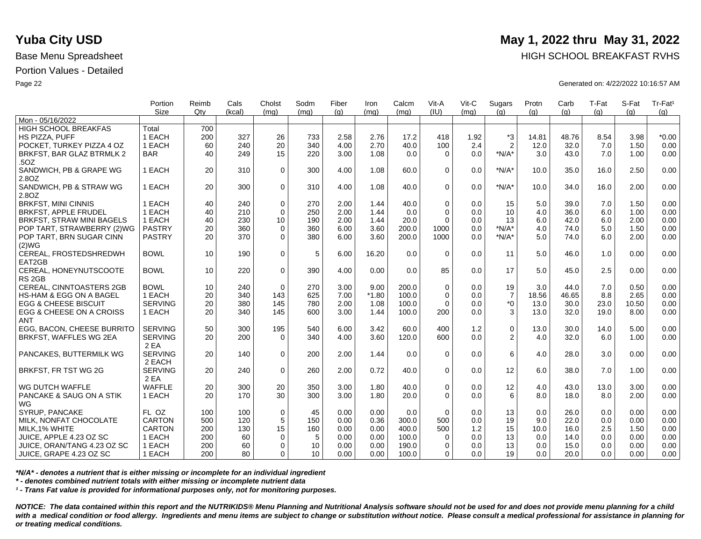|                                    | Portion        | Reimb | Cals   | Cholst      | Sodm | Fiber | Iron    | Calcm | Vit-A       | Vit-C | Sugars         | Protn | Carb  | T-Fat | S-Fat | Tr-Fat <sup>1</sup> |
|------------------------------------|----------------|-------|--------|-------------|------|-------|---------|-------|-------------|-------|----------------|-------|-------|-------|-------|---------------------|
|                                    | <b>Size</b>    | Qtv   | (kcal) | (mq)        | (ma) | (q)   | (mq)    | (mq)  | (IU)        | (mq)  | (q)            | (q)   | (q)   | (q)   | (a)   | (g)                 |
| Mon - 05/16/2022                   |                |       |        |             |      |       |         |       |             |       |                |       |       |       |       |                     |
| <b>HIGH SCHOOL BREAKFAS</b>        | Total          | 700   |        |             |      |       |         |       |             |       |                |       |       |       |       |                     |
| HS PIZZA, PUFF                     | 1 EACH         | 200   | 327    | 26          | 733  | 2.58  | 2.76    | 17.2  | 418         | 1.92  | $*3$           | 14.81 | 48.76 | 8.54  | 3.98  | $*0.00$             |
| POCKET, TURKEY PIZZA 4 OZ          | 1 EACH         | 60    | 240    | 20          | 340  | 4.00  | 2.70    | 40.0  | 100         | 2.4   | $\overline{2}$ | 12.0  | 32.0  | 7.0   | 1.50  | 0.00                |
| BRKFST, BAR GLAZ BTRMLK 2          | <b>BAR</b>     | 40    | 249    | 15          | 220  | 3.00  | 1.08    | 0.0   | $\Omega$    | 0.0   | $*N/A*$        | 3.0   | 43.0  | 7.0   | 1.00  | 0.00                |
| .50Z                               |                |       |        |             |      |       |         |       |             |       |                |       |       |       |       |                     |
| SANDWICH, PB & GRAPE WG            | 1 EACH         | 20    | 310    | $\mathbf 0$ | 300  | 4.00  | 1.08    | 60.0  | $\Omega$    | 0.0   | $*N/A*$        | 10.0  | 35.0  | 16.0  | 2.50  | 0.00                |
| 2.8OZ                              |                |       |        |             |      |       |         |       |             |       |                |       |       |       |       |                     |
| SANDWICH, PB & STRAW WG            | 1 EACH         | 20    | 300    | $\Omega$    | 310  | 4.00  | 1.08    | 40.0  | $\Omega$    | 0.0   | $*N/A*$        | 10.0  | 34.0  | 16.0  | 2.00  | 0.00                |
| 2.80Z                              |                |       |        |             |      |       |         |       |             |       |                |       |       |       |       |                     |
| <b>BRKFST, MINI CINNIS</b>         | 1 EACH         | 40    | 240    | $\mathbf 0$ | 270  | 2.00  | 1.44    | 40.0  | $\Omega$    | 0.0   | 15             | 5.0   | 39.0  | 7.0   | 1.50  | 0.00                |
| <b>BRKFST, APPLE FRUDEL</b>        | 1 EACH         | 40    | 210    | $\Omega$    | 250  | 2.00  | 1.44    | 0.0   | $\Omega$    | 0.0   | 10             | 4.0   | 36.0  | 6.0   | 1.00  | 0.00                |
| <b>BRKFST, STRAW MINI BAGELS</b>   | 1 EACH         | 40    | 230    | 10          | 190  | 2.00  | 1.44    | 20.0  | $\Omega$    | 0.0   | 13             | 6.0   | 42.0  | 6.0   | 2.00  | 0.00                |
| POP TART, STRAWBERRY (2)WG         | <b>PASTRY</b>  | 20    | 360    | $\mathbf 0$ | 360  | 6.00  | 3.60    | 200.0 | 1000        | 0.0   | $*N/A*$        | 4.0   | 74.0  | 5.0   | 1.50  | 0.00                |
| POP TART, BRN SUGAR CINN           | <b>PASTRY</b>  | 20    | 370    | $\Omega$    | 380  | 6.00  | 3.60    | 200.0 | 1000        | 0.0   | $*N/A*$        | 5.0   | 74.0  | 6.0   | 2.00  | 0.00                |
| (2)WG                              |                |       |        |             |      |       |         |       |             |       |                |       |       |       |       |                     |
| CEREAL, FROSTEDSHREDWH             | <b>BOWL</b>    | 10    | 190    | $\mathbf 0$ | 5    | 6.00  | 16.20   | 0.0   | $\Omega$    | 0.0   | 11             | 5.0   | 46.0  | 1.0   | 0.00  | 0.00                |
| EAT2GB                             |                |       |        |             |      |       |         |       |             |       |                |       |       |       |       |                     |
| CEREAL, HONEYNUTSCOOTE             | <b>BOWL</b>    | 10    | 220    | $\mathbf 0$ | 390  | 4.00  | 0.00    | 0.0   | 85          | 0.0   | 17             | 5.0   | 45.0  | 2.5   | 0.00  | 0.00                |
| RS <sub>2GB</sub>                  |                |       |        |             |      |       |         |       |             |       |                |       |       |       |       |                     |
| <b>CEREAL, CINNTOASTERS 2GB</b>    | <b>BOWL</b>    | 10    | 240    | $\Omega$    | 270  | 3.00  | 9.00    | 200.0 | $\Omega$    | 0.0   | 19             | 3.0   | 44.0  | 7.0   | 0.50  | 0.00                |
| <b>HS-HAM &amp; EGG ON A BAGEL</b> | 1 EACH         | 20    | 340    | 143         | 625  | 7.00  | $*1.80$ | 100.0 | $\mathbf 0$ | 0.0   | $\overline{7}$ | 18.56 | 46.65 | 8.8   | 2.65  | 0.00                |
| <b>EGG &amp; CHEESE BISCUIT</b>    | <b>SERVING</b> | 20    | 380    | 145         | 780  | 2.00  | 1.08    | 100.0 | $\Omega$    | 0.0   | $^*0$          | 13.0  | 30.0  | 23.0  | 10.50 | 0.00                |
| EGG & CHEESE ON A CROISS           | 1 EACH         | 20    | 340    | 145         | 600  | 3.00  | 1.44    | 100.0 | 200         | 0.0   | 3              | 13.0  | 32.0  | 19.0  | 8.00  | 0.00                |
| <b>ANT</b>                         |                |       |        |             |      |       |         |       |             |       |                |       |       |       |       |                     |
| EGG. BACON. CHEESE BURRITO         | <b>SERVING</b> | 50    | 300    | 195         | 540  | 6.00  | 3.42    | 60.0  | 400         | 1.2   | $\mathsf 0$    | 13.0  | 30.0  | 14.0  | 5.00  | 0.00                |
| BRKFST, WAFFLES WG 2EA             | <b>SERVING</b> | 20    | 200    | $\Omega$    | 340  | 4.00  | 3.60    | 120.0 | 600         | 0.0   | 2              | 4.0   | 32.0  | 6.0   | 1.00  | 0.00                |
|                                    | 2 EA           |       |        |             |      |       |         |       |             |       |                |       |       |       |       |                     |
| PANCAKES, BUTTERMILK WG            | <b>SERVING</b> | 20    | 140    | $\Omega$    | 200  | 2.00  | 1.44    | 0.0   | $\Omega$    | 0.0   | 6              | 4.0   | 28.0  | 3.0   | 0.00  | 0.00                |
|                                    | 2 EACH         |       |        |             |      |       |         |       |             |       |                |       |       |       |       |                     |
| BRKFST, FR TST WG 2G               | <b>SERVING</b> | 20    | 240    | $\mathbf 0$ | 260  | 2.00  | 0.72    | 40.0  | $\mathbf 0$ | 0.0   | 12             | 6.0   | 38.0  | 7.0   | 1.00  | 0.00                |
|                                    | 2 EA           |       |        |             |      |       |         |       |             |       |                |       |       |       |       |                     |
| WG DUTCH WAFFLE                    | <b>WAFFLE</b>  | 20    | 300    | 20          | 350  | 3.00  | 1.80    | 40.0  | $\mathbf 0$ | 0.0   | 12             | 4.0   | 43.0  | 13.0  | 3.00  | 0.00                |
| PANCAKE & SAUG ON A STIK           | 1 EACH         | 20    | 170    | 30          | 300  | 3.00  | 1.80    | 20.0  | $\Omega$    | 0.0   | 6              | 8.0   | 18.0  | 8.0   | 2.00  | 0.00                |
| WG                                 |                |       |        |             |      |       |         |       |             |       |                |       |       |       |       |                     |
| SYRUP, PANCAKE                     | FL OZ          | 100   | 100    | $\mathbf 0$ | 45   | 0.00  | 0.00    | 0.0   | $\Omega$    | 0.0   | 13             | 0.0   | 26.0  | 0.0   | 0.00  | 0.00                |
| MILK, NONFAT CHOCOLATE             | <b>CARTON</b>  | 500   | 120    | $\sqrt{5}$  | 150  | 0.00  | 0.36    | 300.0 | 500         | 0.0   | 19             | 9.0   | 22.0  | 0.0   | 0.00  | 0.00                |
| MILK, 1% WHITE                     | <b>CARTON</b>  | 200   | 130    | 15          | 160  | 0.00  | 0.00    | 400.0 | 500         | 1.2   | 15             | 10.0  | 16.0  | 2.5   | 1.50  | 0.00                |
| JUICE. APPLE 4.23 OZ SC            | 1 EACH         | 200   | 60     | 0           | 5    | 0.00  | 0.00    | 100.0 | $\Omega$    | 0.0   | 13             | 0.0   | 14.0  | 0.0   | 0.00  | 0.00                |
| JUICE, ORAN/TANG 4.23 OZ SC        | 1 EACH         | 200   | 60     | $\mathbf 0$ | 10   | 0.00  | 0.00    | 190.0 | $\Omega$    | 0.0   | 13             | 0.0   | 15.0  | 0.0   | 0.00  | 0.00                |
|                                    | 1 EACH         | 200   | 80     | 0           | 10   | 0.00  | 0.00    |       | $\Omega$    | 0.0   | 19             | 0.0   | 20.0  | 0.0   | 0.00  | 0.00                |
| ∣ JUICE, GRAPE 4.23 OZ SC          |                |       |        |             |      |       |         | 100.0 |             |       |                |       |       |       |       |                     |

*\*N/A\* - denotes a nutrient that is either missing or incomplete for an individual ingredient*

*\* - denotes combined nutrient totals with either missing or incomplete nutrient data*

*¹ - Trans Fat value is provided for informational purposes only, not for monitoring purposes.*

*NOTICE: The data contained within this report and the NUTRIKIDS® Menu Planning and Nutritional Analysis software should not be used for and does not provide menu planning for a child*  with a medical condition or food allergy. Ingredients and menu items are subject to change or substitution without notice. Please consult a medical professional for assistance in planning for *or treating medical conditions.*

## **Yuba City USD** May 1, 2022 thru May 31, 2022

Base Menu Spreadsheet **HIGH SCHOOL BREAKFAST RVHS** 

Page 22 Generated on: 4/22/2022 10:16:57 AM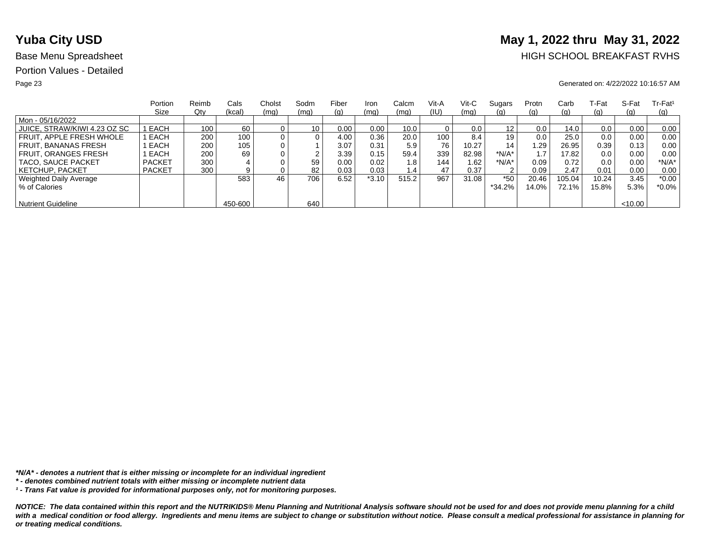# **Yuba City USD** May 1, 2022 thru May 31, 2022

## Base Menu Spreadsheet **HIGH SCHOOL BREAKFAST RVHS**

### Page 23 Generated on: 4/22/2022 10:16:57 AM

|                              | Portion       | Reimb | Cals    | Cholst | Sodm            | Fiber | Iron    | Calcm | Vit-A | Vit-C | Sugars   | Protn | Carb       | ⊺-Fat | S-Fat   | $Tr-Fat1$ |
|------------------------------|---------------|-------|---------|--------|-----------------|-------|---------|-------|-------|-------|----------|-------|------------|-------|---------|-----------|
|                              | Size          | Qty   | (kcal)  | (mq)   | (mq)            | (g)   | (mq)    | (mq)  | (IU)  | (mq)  | (g)      | (g)   | (g)        | (g)   | (q)     | (q)       |
| Mon - 05/16/2022             |               |       |         |        |                 |       |         |       |       |       |          |       |            |       |         |           |
| JUICE, STRAW/KIWI 4.23 OZ SC | I EACH        | 100   | 60      |        | 10 <sub>1</sub> | 0.00  | 0.00    | 10.0  |       | 0.0   | 12       | 0.0   | 14.0       | 0.0   | 0.00    | 0.00      |
| FRUIT. APPLE FRESH WHOLE     | EACH          | 200   | 100     |        | 0               | 4.00  | 0.36    | 20.0  | 100   | 8.4   | 19       | 0.0   | 25.0       | 0.0   | 0.00    | 0.00      |
| FRUIT. BANANAS FRESH         | EACH          | 200   | 105     |        |                 | 3.07  | 0.31    | 5.9   | 76    | 10.27 | 14       | .29   | 26.95      | 0.39  | 0.13    | 0.00      |
| <b>FRUIT, ORANGES FRESH</b>  | EACH          | 200   | 69      |        | ົ               | 3.39  | 0.15    | 59.4  | 339   | 82.98 | $*N/A*$  |       | 17.82      | 0.0   | 0.00    | 0.00      |
| TACO, SAUCE PACKET           | <b>PACKET</b> | 300   |         |        | 59              | 0.00  | 0.02    | 1.8   | 144   | 1.62  | *N/A*    | 0.09  | 0.72       | 0.0   | 0.00    | $*N/A*$   |
| <b>KETCHUP, PACKET</b>       | <b>PACKET</b> | 300   | 9       |        | 82              | 0.03  | 0.03    | 1.4   | 47    | 0.37  | 2        | 0.09  | 2.47       | 0.01  | 0.00    | 0.00      |
| Weighted Daily Average       |               |       | 583     | 46     | 706             | 6.52  | $*3.10$ | 515.2 | 967   | 31.08 | $*50$    | 20.46 | 105.04     | 10.24 | 3.45    | $*0.00$   |
| % of Calories                |               |       |         |        |                 |       |         |       |       |       | $*34.2%$ | 14.0% | $72.1\%$ . | 15.8% | 5.3%    | $*0.0\%$  |
|                              |               |       |         |        |                 |       |         |       |       |       |          |       |            |       |         |           |
| <b>Nutrient Guideline</b>    |               |       | 450-600 |        | 640             |       |         |       |       |       |          |       |            |       | < 10.00 |           |

*\*N/A\* - denotes a nutrient that is either missing or incomplete for an individual ingredient*

*¹ - Trans Fat value is provided for informational purposes only, not for monitoring purposes.*

*<sup>\* -</sup> denotes combined nutrient totals with either missing or incomplete nutrient data*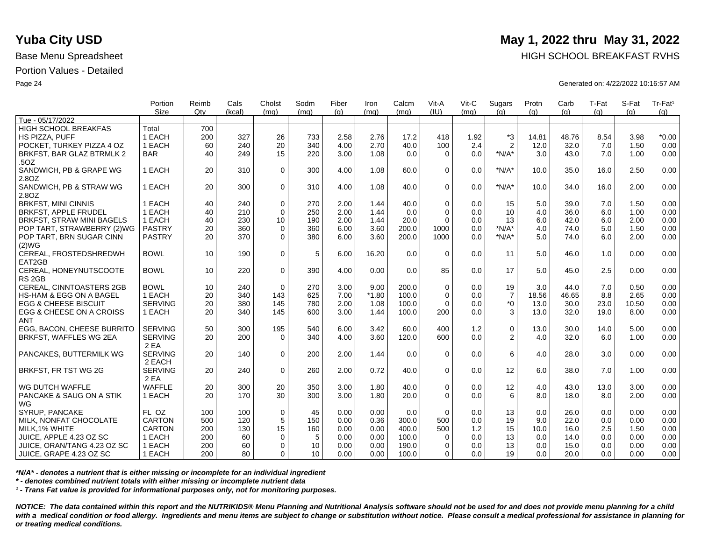|                                    | Portion        | Reimb | Cals   | Cholst      | Sodm | Fiber | Iron    | Calcm | Vit-A       | Vit-C | Sugars         | Protn | Carb  | T-Fat | S-Fat | Tr-Fat <sup>1</sup> |
|------------------------------------|----------------|-------|--------|-------------|------|-------|---------|-------|-------------|-------|----------------|-------|-------|-------|-------|---------------------|
| Tue - 05/17/2022                   | <b>Size</b>    | Qtv   | (kcal) | (mq)        | (mq) | (q)   | (mq)    | (mq)  | (IU)        | (mq)  | (q)            | (q)   | (q)   | (q)   | (a)   | (g)                 |
| <b>HIGH SCHOOL BREAKFAS</b>        | Total          | 700   |        |             |      |       |         |       |             |       |                |       |       |       |       |                     |
| HS PIZZA, PUFF                     | 1 EACH         | 200   | 327    | 26          | 733  | 2.58  | 2.76    | 17.2  | 418         | 1.92  | $*3$           | 14.81 | 48.76 | 8.54  | 3.98  | $*0.00$             |
|                                    |                |       |        |             |      |       |         |       |             |       |                |       |       |       |       |                     |
| POCKET, TURKEY PIZZA 4 OZ          | 1 EACH         | 60    | 240    | 20          | 340  | 4.00  | 2.70    | 40.0  | 100         | 2.4   | $\overline{2}$ | 12.0  | 32.0  | 7.0   | 1.50  | 0.00                |
| BRKFST, BAR GLAZ BTRMLK 2          | <b>BAR</b>     | 40    | 249    | 15          | 220  | 3.00  | 1.08    | 0.0   | $\Omega$    | 0.0   | $*N/A*$        | 3.0   | 43.0  | 7.0   | 1.00  | 0.00                |
| .50Z                               |                |       |        |             |      |       |         |       |             |       |                |       |       |       |       |                     |
| SANDWICH, PB & GRAPE WG            | 1 EACH         | 20    | 310    | $\mathbf 0$ | 300  | 4.00  | 1.08    | 60.0  | $\Omega$    | 0.0   | $*N/A*$        | 10.0  | 35.0  | 16.0  | 2.50  | 0.00                |
| 2.8OZ                              |                |       |        |             |      |       |         |       |             |       |                |       |       |       |       |                     |
| SANDWICH, PB & STRAW WG            | 1 EACH         | 20    | 300    | $\Omega$    | 310  | 4.00  | 1.08    | 40.0  | $\Omega$    | 0.0   | $*N/A*$        | 10.0  | 34.0  | 16.0  | 2.00  | 0.00                |
| 2.80Z                              |                |       |        |             |      |       |         |       |             |       |                |       |       |       |       |                     |
| <b>BRKFST, MINI CINNIS</b>         | 1 EACH         | 40    | 240    | $\mathbf 0$ | 270  | 2.00  | 1.44    | 40.0  | $\Omega$    | 0.0   | 15             | 5.0   | 39.0  | 7.0   | 1.50  | 0.00                |
| <b>BRKFST, APPLE FRUDEL</b>        | 1 EACH         | 40    | 210    | $\Omega$    | 250  | 2.00  | 1.44    | 0.0   | $\Omega$    | 0.0   | 10             | 4.0   | 36.0  | 6.0   | 1.00  | 0.00                |
| <b>BRKFST, STRAW MINI BAGELS</b>   | 1 EACH         | 40    | 230    | 10          | 190  | 2.00  | 1.44    | 20.0  | $\Omega$    | 0.0   | 13             | 6.0   | 42.0  | 6.0   | 2.00  | 0.00                |
| POP TART, STRAWBERRY (2)WG         | <b>PASTRY</b>  | 20    | 360    | $\mathbf 0$ | 360  | 6.00  | 3.60    | 200.0 | 1000        | 0.0   | $*N/A*$        | 4.0   | 74.0  | 5.0   | 1.50  | 0.00                |
| POP TART, BRN SUGAR CINN           | <b>PASTRY</b>  | 20    | 370    | $\Omega$    | 380  | 6.00  | 3.60    | 200.0 | 1000        | 0.0   | $*N/A*$        | 5.0   | 74.0  | 6.0   | 2.00  | 0.00                |
| (2)WG                              |                |       |        |             |      |       |         |       |             |       |                |       |       |       |       |                     |
| CEREAL, FROSTEDSHREDWH             | <b>BOWL</b>    | 10    | 190    | $\mathbf 0$ | 5    | 6.00  | 16.20   | 0.0   | $\Omega$    | 0.0   | 11             | 5.0   | 46.0  | 1.0   | 0.00  | 0.00                |
| EAT2GB                             |                |       |        |             |      |       |         |       |             |       |                |       |       |       |       |                     |
| CEREAL, HONEYNUTSCOOTE             | <b>BOWL</b>    | 10    | 220    | $\mathbf 0$ | 390  | 4.00  | 0.00    | 0.0   | 85          | 0.0   | 17             | 5.0   | 45.0  | 2.5   | 0.00  | 0.00                |
| RS <sub>2GB</sub>                  |                |       |        |             |      |       |         |       |             |       |                |       |       |       |       |                     |
| <b>CEREAL, CINNTOASTERS 2GB</b>    | <b>BOWL</b>    | 10    | 240    | $\Omega$    | 270  | 3.00  | 9.00    | 200.0 | $\Omega$    | 0.0   | 19             | 3.0   | 44.0  | 7.0   | 0.50  | 0.00                |
| <b>HS-HAM &amp; EGG ON A BAGEL</b> | 1 EACH         | 20    | 340    | 143         | 625  | 7.00  | $*1.80$ | 100.0 | $\mathbf 0$ | 0.0   | $\overline{7}$ | 18.56 | 46.65 | 8.8   | 2.65  | 0.00                |
| <b>EGG &amp; CHEESE BISCUIT</b>    | <b>SERVING</b> | 20    | 380    | 145         | 780  | 2.00  | 1.08    | 100.0 | $\Omega$    | 0.0   | $^*0$          | 13.0  | 30.0  | 23.0  | 10.50 | 0.00                |
| EGG & CHEESE ON A CROISS           | 1 EACH         | 20    | 340    | 145         | 600  | 3.00  | 1.44    | 100.0 | 200         | 0.0   | 3              | 13.0  | 32.0  | 19.0  | 8.00  | 0.00                |
| <b>ANT</b>                         |                |       |        |             |      |       |         |       |             |       |                |       |       |       |       |                     |
| EGG. BACON. CHEESE BURRITO         | <b>SERVING</b> | 50    | 300    | 195         | 540  | 6.00  | 3.42    | 60.0  | 400         | 1.2   | $\mathsf 0$    | 13.0  | 30.0  | 14.0  | 5.00  | 0.00                |
| BRKFST, WAFFLES WG 2EA             | <b>SERVING</b> | 20    | 200    | $\Omega$    | 340  | 4.00  | 3.60    | 120.0 | 600         | 0.0   | 2              | 4.0   | 32.0  | 6.0   | 1.00  | 0.00                |
|                                    | 2 EA           |       |        |             |      |       |         |       |             |       |                |       |       |       |       |                     |
| PANCAKES, BUTTERMILK WG            | <b>SERVING</b> | 20    | 140    | $\Omega$    | 200  | 2.00  | 1.44    | 0.0   | $\Omega$    | 0.0   | 6              | 4.0   | 28.0  | 3.0   | 0.00  | 0.00                |
|                                    | 2 EACH         |       |        |             |      |       |         |       |             |       |                |       |       |       |       |                     |
| BRKFST, FR TST WG 2G               | <b>SERVING</b> | 20    | 240    | $\mathbf 0$ | 260  | 2.00  | 0.72    | 40.0  | $\mathbf 0$ | 0.0   | 12             | 6.0   | 38.0  | 7.0   | 1.00  | 0.00                |
|                                    | 2 EA           |       |        |             |      |       |         |       |             |       |                |       |       |       |       |                     |
| WG DUTCH WAFFLE                    | <b>WAFFLE</b>  | 20    | 300    | 20          | 350  | 3.00  | 1.80    | 40.0  | $\mathbf 0$ | 0.0   | 12             | 4.0   | 43.0  | 13.0  | 3.00  | 0.00                |
| PANCAKE & SAUG ON A STIK           | 1 EACH         | 20    | 170    | 30          | 300  | 3.00  | 1.80    | 20.0  | $\Omega$    | 0.0   | 6              | 8.0   | 18.0  | 8.0   | 2.00  | 0.00                |
| WG                                 |                |       |        |             |      |       |         |       |             |       |                |       |       |       |       |                     |
| SYRUP, PANCAKE                     | FL OZ          | 100   | 100    | $\mathbf 0$ | 45   | 0.00  | 0.00    | 0.0   | $\Omega$    | 0.0   | 13             | 0.0   | 26.0  | 0.0   | 0.00  | 0.00                |
| MILK, NONFAT CHOCOLATE             | <b>CARTON</b>  | 500   | 120    | $\sqrt{5}$  | 150  | 0.00  | 0.36    | 300.0 | 500         | 0.0   | 19             | 9.0   | 22.0  | 0.0   | 0.00  | 0.00                |
|                                    | <b>CARTON</b>  |       |        |             |      |       | 0.00    | 400.0 |             |       | 15             |       | 16.0  |       |       |                     |
| MILK, 1% WHITE                     | 1 EACH         | 200   | 130    | 15          | 160  | 0.00  |         |       | 500         | 1.2   |                | 10.0  |       | 2.5   | 1.50  | 0.00                |
| JUICE, APPLE 4.23 OZ SC            |                | 200   | 60     | 0           | 5    | 0.00  | 0.00    | 100.0 | $\Omega$    | 0.0   | 13             | 0.0   | 14.0  | 0.0   | 0.00  | 0.00                |
| JUICE, ORAN/TANG 4.23 OZ SC        | 1 EACH         | 200   | 60     | $\mathbf 0$ | 10   | 0.00  | 0.00    | 190.0 | $\Omega$    | 0.0   | 13             | 0.0   | 15.0  | 0.0   | 0.00  | 0.00                |
| ∣ JUICE, GRAPE 4.23 OZ SC          | 1 EACH         | 200   | 80     | 0           | 10   | 0.00  | 0.00    | 100.0 | $\Omega$    | 0.0   | 19             | 0.0   | 20.0  | 0.0   | 0.00  | 0.00                |

*\*N/A\* - denotes a nutrient that is either missing or incomplete for an individual ingredient*

*\* - denotes combined nutrient totals with either missing or incomplete nutrient data*

*¹ - Trans Fat value is provided for informational purposes only, not for monitoring purposes.*

*NOTICE: The data contained within this report and the NUTRIKIDS® Menu Planning and Nutritional Analysis software should not be used for and does not provide menu planning for a child*  with a medical condition or food allergy. Ingredients and menu items are subject to change or substitution without notice. Please consult a medical professional for assistance in planning for *or treating medical conditions.*

## **Yuba City USD** May 1, 2022 thru May 31, 2022

Base Menu Spreadsheet **HIGH SCHOOL BREAKFAST RVHS** 

Page 24 Generated on: 4/22/2022 10:16:57 AM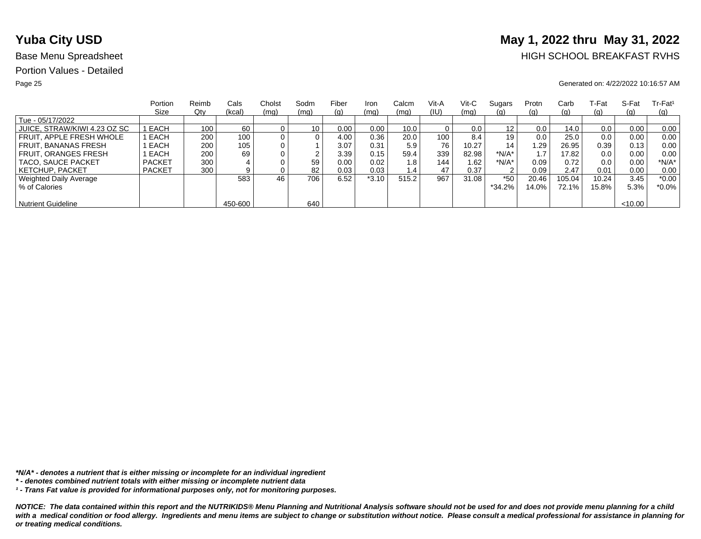# **Yuba City USD** May 1, 2022 thru May 31, 2022

## Base Menu Spreadsheet **HIGH SCHOOL BREAKFAST RVHS**

### Page 25 Generated on: 4/22/2022 10:16:57 AM

|                              | Portion       | Reimb | Cals    | Cholst | Sodm | Fiber | Iron    | Calcm | Vit-A | Vit-C | Sugars            | Protn | Carb     | T-Fat | S-Fat  | $Tr-Fat1$  |
|------------------------------|---------------|-------|---------|--------|------|-------|---------|-------|-------|-------|-------------------|-------|----------|-------|--------|------------|
|                              | Size          | Qty   | (kcal)  | (mq)   | (mq) | (g)   | (mq)    | (mq)  | (IU)  | (mq)  | <u>(g)</u>        | (q)   | (g)      | (g)   | (q)    | <u>(g)</u> |
| Tue - 05/17/2022             |               |       |         |        |      |       |         |       |       |       |                   |       |          |       |        |            |
| JUICE, STRAW/KIWI 4.23 OZ SC | EACH          | 100   | 60      |        | 10   | 0.00  | 0.00    | 10.0  |       | 0.0   | $12 \overline{ }$ | 0.0   | 14.0     | 0.0   | 0.00   | 0.00       |
| FRUIT. APPLE FRESH WHOLE     | EACH          | 200   | 100.    |        | 0    | 4.00  | 0.36    | 20.0  | 100   | 8.4   | 19                | 0.0   | 25.0     | 0.0   | 0.00   | 0.00       |
| <b>FRUIT, BANANAS FRESH</b>  | EACH          | 200   | 105     |        |      | 3.07  | 0.31    | 5.9   | 76    | 10.27 | 14                | 1.29  | 26.95    | 0.39  | 0.13   | 0.00       |
| <b>FRUIT, ORANGES FRESH</b>  | EACH          | 200   | 69      |        | ົ    | 3.39  | 0.15    | 59.4  | 339   | 82.98 | *N/A*             |       | 17.82    | 0.0   | 0.00   | 0.00       |
| TACO, SAUCE PACKET           | <b>PACKET</b> | 300   |         |        | 59   | 0.00  | 0.02    | 1.8   | 144   | 1.62  | *N/A*             | 0.09  | 0.72     | 0.0   | 0.00   | *N/A*      |
| <b>KETCHUP, PACKET</b>       | <b>PACKET</b> | 300   |         |        | 82   | 0.03  | 0.03    | 1.4   | 47    | 0.37  | $\sim$            | 0.09  | 2.47     | 0.01  | 0.00   | 0.00       |
| Weighted Daily Average       |               |       | 583     | 46     | 706  | 6.52  | $*3.10$ | 515.2 | 967   | 31.08 | $*50$             | 20.46 | 105.04   | 10.24 | 3.45   | $*0.00$    |
| % of Calories                |               |       |         |        |      |       |         |       |       |       | $*34.2\%$         | 14.0% | $72.1\%$ | 15.8% | 5.3%   | $*0.0\%$   |
|                              |               |       |         |        |      |       |         |       |       |       |                   |       |          |       |        |            |
| <b>Nutrient Guideline</b>    |               |       | 450-600 |        | 640  |       |         |       |       |       |                   |       |          |       | <10.00 |            |

*\*N/A\* - denotes a nutrient that is either missing or incomplete for an individual ingredient*

*¹ - Trans Fat value is provided for informational purposes only, not for monitoring purposes.*

*<sup>\* -</sup> denotes combined nutrient totals with either missing or incomplete nutrient data*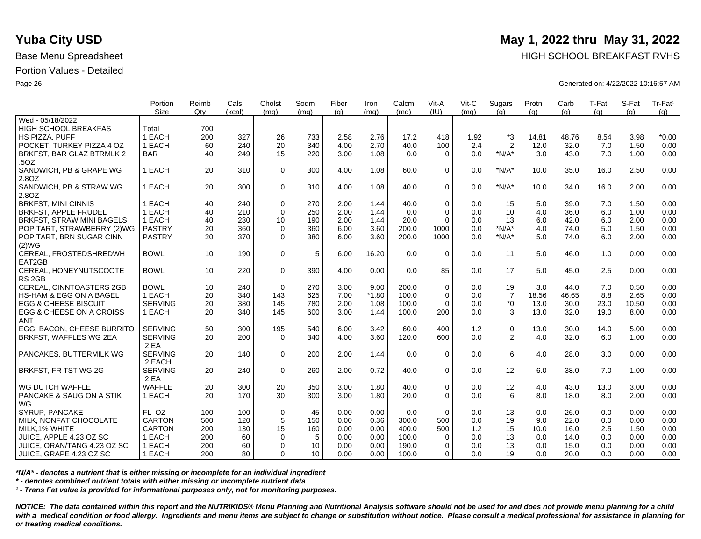|                                 | Portion        | Reimb | Cals   | Cholst      | Sodm | Fiber | Iron    | Calcm | Vit-A        | Vit-C | Sugars         | Protn | Carb  | T-Fat | S-Fat | Tr-Fat <sup>1</sup> |
|---------------------------------|----------------|-------|--------|-------------|------|-------|---------|-------|--------------|-------|----------------|-------|-------|-------|-------|---------------------|
|                                 | Size           | Qtv   | (kcal) | (mq)        | (mq) | (g)   | (mq)    | (mq)  | (III)        | (mq)  | (q)            | (q)   | (q)   | (q)   | (a)   | (g)                 |
| Wed - 05/18/2022                |                |       |        |             |      |       |         |       |              |       |                |       |       |       |       |                     |
| <b>HIGH SCHOOL BREAKFAS</b>     | Total          | 700   |        |             |      |       |         |       |              |       |                |       |       |       |       |                     |
| HS PIZZA. PUFF                  | 1 EACH         | 200   | 327    | 26          | 733  | 2.58  | 2.76    | 17.2  | 418          | 1.92  | *3             | 14.81 | 48.76 | 8.54  | 3.98  | $*0.00$             |
| POCKET. TURKEY PIZZA 4 OZ       | 1 EACH         | 60    | 240    | 20          | 340  | 4.00  | 2.70    | 40.0  | 100          | 2.4   | $\overline{2}$ | 12.0  | 32.0  | 7.0   | 1.50  | 0.00                |
| BRKFST, BAR GLAZ BTRMLK 2       | <b>BAR</b>     | 40    | 249    | 15          | 220  | 3.00  | 1.08    | 0.0   | $\Omega$     | 0.0   | $*N/A*$        | 3.0   | 43.0  | 7.0   | 1.00  | 0.00                |
| .50Z                            |                |       |        |             |      |       |         |       |              |       |                |       |       |       |       |                     |
| SANDWICH, PB & GRAPE WG         | 1 EACH         | 20    | 310    | $\mathbf 0$ | 300  | 4.00  | 1.08    | 60.0  | $\Omega$     | 0.0   | $*N/A*$        | 10.0  | 35.0  | 16.0  | 2.50  | 0.00                |
| 2.8OZ                           |                |       |        |             |      |       |         |       |              |       |                |       |       |       |       |                     |
| SANDWICH, PB & STRAW WG         | 1 EACH         | 20    | 300    | $\mathbf 0$ | 310  | 4.00  | 1.08    | 40.0  | $\Omega$     | 0.0   | $*N/A*$        | 10.0  | 34.0  | 16.0  | 2.00  | 0.00                |
| 2.8OZ                           |                |       |        |             |      |       |         |       |              |       |                |       |       |       |       |                     |
| <b>BRKFST, MINI CINNIS</b>      | 1 EACH         | 40    | 240    | $\mathbf 0$ | 270  | 2.00  | 1.44    | 40.0  | $\mathbf 0$  | 0.0   | 15             | 5.0   | 39.0  | 7.0   | 1.50  | 0.00                |
| <b>BRKFST, APPLE FRUDEL</b>     | 1 EACH         | 40    | 210    | $\Omega$    | 250  | 2.00  | 1.44    | 0.0   | $\Omega$     | 0.0   | 10             | 4.0   | 36.0  | 6.0   | 1.00  | 0.00                |
| BRKFST, STRAW MINI BAGELS       | 1 EACH         | 40    | 230    | 10          | 190  | 2.00  | 1.44    | 20.0  | $\Omega$     | 0.0   | 13             | 6.0   | 42.0  | 6.0   | 2.00  | 0.00                |
| POP TART, STRAWBERRY (2)WG      | <b>PASTRY</b>  | 20    | 360    | $\mathbf 0$ | 360  | 6.00  | 3.60    | 200.0 | 1000         | 0.0   | $*N/A*$        | 4.0   | 74.0  | 5.0   | 1.50  | 0.00                |
| POP TART, BRN SUGAR CINN        | <b>PASTRY</b>  | 20    | 370    | $\Omega$    | 380  | 6.00  | 3.60    | 200.0 | 1000         | 0.0   | $*N/A*$        | 5.0   | 74.0  | 6.0   | 2.00  | 0.00                |
| (2)WG                           |                |       |        |             |      |       |         |       |              |       |                |       |       |       |       |                     |
| CEREAL, FROSTEDSHREDWH          | <b>BOWL</b>    | 10    | 190    | $\mathbf 0$ | 5    | 6.00  | 16.20   | 0.0   | $\Omega$     | 0.0   | 11             | 5.0   | 46.0  | 1.0   | 0.00  | 0.00                |
| EAT2GB                          |                |       |        |             |      |       |         |       |              |       |                |       |       |       |       |                     |
| CEREAL, HONEYNUTSCOOTE          | <b>BOWL</b>    | 10    | 220    | $\mathbf 0$ | 390  | 4.00  | 0.00    | 0.0   | 85           | 0.0   | 17             | 5.0   | 45.0  | 2.5   | 0.00  | 0.00                |
| RS <sub>2GB</sub>               |                |       |        |             |      |       |         |       |              |       |                |       |       |       |       |                     |
| CEREAL, CINNTOASTERS 2GB        | <b>BOWL</b>    | 10    | 240    | $\Omega$    | 270  | 3.00  | 9.00    | 200.0 | $\mathbf 0$  | 0.0   | 19             | 3.0   | 44.0  | 7.0   | 0.50  | 0.00                |
| HS-HAM & EGG ON A BAGEL         | 1 EACH         | 20    | 340    | 143         | 625  | 7.00  | $*1.80$ | 100.0 | $\mathbf 0$  | 0.0   | $\overline{7}$ | 18.56 | 46.65 | 8.8   | 2.65  | 0.00                |
| <b>EGG &amp; CHEESE BISCUIT</b> | <b>SERVING</b> | 20    | 380    | 145         | 780  | 2.00  | 1.08    | 100.0 | $\Omega$     | 0.0   | $*_{0}$        | 13.0  | 30.0  | 23.0  | 10.50 | 0.00                |
| EGG & CHEESE ON A CROISS        | 1 EACH         | 20    | 340    | 145         | 600  | 3.00  | 1.44    | 100.0 | 200          | 0.0   | 3              | 13.0  | 32.0  | 19.0  | 8.00  | 0.00                |
| <b>ANT</b>                      |                |       |        |             |      |       |         |       |              |       |                |       |       |       |       |                     |
| EGG. BACON. CHEESE BURRITO      | <b>SERVING</b> | 50    | 300    | 195         | 540  | 6.00  | 3.42    | 60.0  | 400          | 1.2   | $\mathbf 0$    | 13.0  | 30.0  | 14.0  | 5.00  | 0.00                |
| BRKFST, WAFFLES WG 2EA          | <b>SERVING</b> | 20    | 200    | $\Omega$    | 340  | 4.00  | 3.60    | 120.0 | 600          | 0.0   | $\overline{2}$ | 4.0   | 32.0  | 6.0   | 1.00  | 0.00                |
|                                 | 2 EA           |       |        |             |      |       |         |       |              |       |                |       |       |       |       |                     |
| PANCAKES, BUTTERMILK WG         | <b>SERVING</b> | 20    | 140    | $\Omega$    | 200  | 2.00  | 1.44    | 0.0   | $\Omega$     | 0.0   | 6              | 4.0   | 28.0  | 3.0   | 0.00  | 0.00                |
|                                 | 2 EACH         |       |        |             |      |       |         |       |              |       |                |       |       |       |       |                     |
| BRKFST, FR TST WG 2G            | <b>SERVING</b> | 20    | 240    | $\mathbf 0$ | 260  | 2.00  | 0.72    | 40.0  | $\Omega$     | 0.0   | 12             | 6.0   | 38.0  | 7.0   | 1.00  | 0.00                |
|                                 | 2 EA           |       |        |             |      |       |         |       |              |       |                |       |       |       |       |                     |
| WG DUTCH WAFFLE                 | <b>WAFFLE</b>  | 20    | 300    | 20          | 350  | 3.00  | 1.80    | 40.0  | $\mathbf 0$  | 0.0   | 12             | 4.0   | 43.0  | 13.0  | 3.00  | 0.00                |
| PANCAKE & SAUG ON A STIK        | 1 EACH         | 20    | 170    | 30          | 300  | 3.00  | 1.80    | 20.0  | $\Omega$     | 0.0   | 6              | 8.0   | 18.0  | 8.0   | 2.00  | 0.00                |
| WG                              |                |       |        |             |      |       |         |       |              |       |                |       |       |       |       |                     |
| SYRUP, PANCAKE                  | FL OZ          | 100   | 100    | $\mathbf 0$ | 45   | 0.00  | 0.00    | 0.0   | $\Omega$     | 0.0   | 13             | 0.0   | 26.0  | 0.0   | 0.00  | 0.00                |
| MILK, NONFAT CHOCOLATE          | <b>CARTON</b>  | 500   | 120    | 5           | 150  | 0.00  | 0.36    | 300.0 | 500          | 0.0   | 19             | 9.0   | 22.0  | 0.0   | 0.00  | 0.00                |
| MILK, 1% WHITE                  | <b>CARTON</b>  | 200   | 130    | 15          | 160  | 0.00  | 0.00    | 400.0 | 500          | 1.2   | 15             | 10.0  | 16.0  | 2.5   | 1.50  | 0.00                |
| JUICE, APPLE 4.23 OZ SC         | 1 EACH         | 200   | 60     | 0           | 5    | 0.00  | 0.00    | 100.0 | $\mathbf{0}$ | 0.0   | 13             | 0.0   | 14.0  | 0.0   | 0.00  | 0.00                |
| JUICE, ORAN/TANG 4.23 OZ SC     | 1 EACH         | 200   | 60     | $\Omega$    | 10   | 0.00  | 0.00    | 190.0 | $\Omega$     | 0.0   | 13             | 0.0   | 15.0  | 0.0   | 0.00  | 0.00                |
| JUICE, GRAPE 4.23 OZ SC         | 1 EACH         | 200   | 80     | $\Omega$    | 10   | 0.00  | 0.00    | 100.0 | 0            | 0.0   | 19             | 0.0   | 20.0  | 0.0   | 0.00  | 0.00                |
|                                 |                |       |        |             |      |       |         |       |              |       |                |       |       |       |       |                     |

*\*N/A\* - denotes a nutrient that is either missing or incomplete for an individual ingredient*

*\* - denotes combined nutrient totals with either missing or incomplete nutrient data*

*¹ - Trans Fat value is provided for informational purposes only, not for monitoring purposes.*

*NOTICE: The data contained within this report and the NUTRIKIDS® Menu Planning and Nutritional Analysis software should not be used for and does not provide menu planning for a child*  with a medical condition or food allergy. Ingredients and menu items are subject to change or substitution without notice. Please consult a medical professional for assistance in planning for *or treating medical conditions.*

## **Yuba City USD** May 1, 2022 thru May 31, 2022

Base Menu Spreadsheet **HIGH SCHOOL BREAKFAST RVHS** 

Page 26 Generated on: 4/22/2022 10:16:57 AM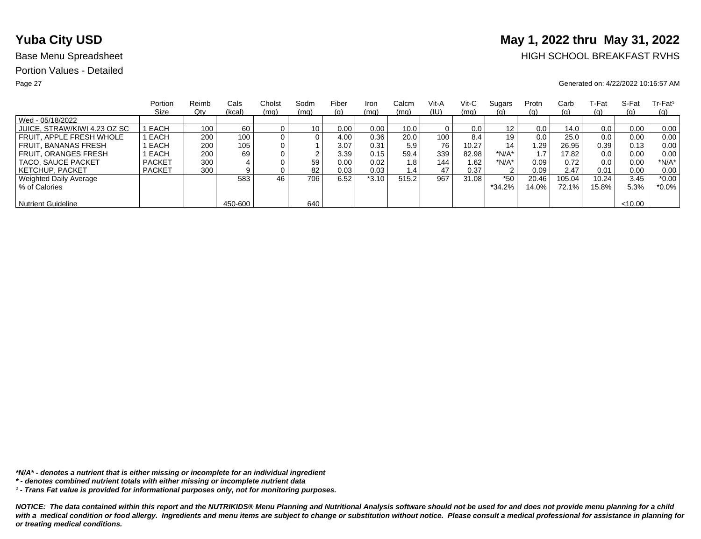# **Yuba City USD** May 1, 2022 thru May 31, 2022

## Base Menu Spreadsheet **HIGH SCHOOL BREAKFAST RVHS**

### Page 27 Generated on: 4/22/2022 10:16:57 AM

|                              | Portion       | Reimb | Cals    | Cholst | Sodm            | Fiber | Iron    | Calcm | Vit-A | Vit-C | Sugars   | Protn | Carb       | ⊺-Fat | S-Fat   | $Tr-Fat1$ |
|------------------------------|---------------|-------|---------|--------|-----------------|-------|---------|-------|-------|-------|----------|-------|------------|-------|---------|-----------|
|                              | Size          | Qty   | (kcal)  | (mq)   | (mq)            | (g)   | (mq)    | (mq)  | (IU)  | (mq)  | (g)      | (g)   | (g)        | (g)   | (q)     | (q)       |
| Wed - 05/18/2022             |               |       |         |        |                 |       |         |       |       |       |          |       |            |       |         |           |
| JUICE, STRAW/KIWI 4.23 OZ SC | I EACH        | 100   | 60      |        | 10 <sub>1</sub> | 0.00  | 0.00    | 10.0  |       | 0.0   | 12       | 0.0   | 14.0       | 0.0   | 0.00    | 0.00      |
| FRUIT. APPLE FRESH WHOLE     | EACH          | 200   | 100     |        | 0               | 4.00  | 0.36    | 20.0  | 100   | 8.4   | 19       | 0.0   | 25.0       | 0.0   | 0.00    | 0.00      |
| FRUIT. BANANAS FRESH         | EACH          | 200   | 105     |        |                 | 3.07  | 0.31    | 5.9   | 76    | 10.27 | 14       | .29   | 26.95      | 0.39  | 0.13    | 0.00      |
| <b>FRUIT, ORANGES FRESH</b>  | EACH          | 200   | 69      |        | ົ               | 3.39  | 0.15    | 59.4  | 339   | 82.98 | $*N/A*$  |       | 17.82      | 0.0   | 0.00    | 0.00      |
| TACO, SAUCE PACKET           | <b>PACKET</b> | 300   |         |        | 59              | 0.00  | 0.02    | 1.8   | 144   | 1.62  | *N/A*    | 0.09  | 0.72       | 0.0   | 0.00    | $*N/A*$   |
| <b>KETCHUP, PACKET</b>       | <b>PACKET</b> | 300   | 9       |        | 82              | 0.03  | 0.03    | 1.4   | 47    | 0.37  | 2        | 0.09  | 2.47       | 0.01  | 0.00    | 0.00      |
| Weighted Daily Average       |               |       | 583     | 46     | 706             | 6.52  | $*3.10$ | 515.2 | 967   | 31.08 | $*50$    | 20.46 | 105.04     | 10.24 | 3.45    | $*0.00$   |
| % of Calories                |               |       |         |        |                 |       |         |       |       |       | $*34.2%$ | 14.0% | $72.1\%$ . | 15.8% | 5.3%    | $*0.0\%$  |
|                              |               |       |         |        |                 |       |         |       |       |       |          |       |            |       |         |           |
| <b>Nutrient Guideline</b>    |               |       | 450-600 |        | 640             |       |         |       |       |       |          |       |            |       | < 10.00 |           |

*\*N/A\* - denotes a nutrient that is either missing or incomplete for an individual ingredient*

*¹ - Trans Fat value is provided for informational purposes only, not for monitoring purposes.*

*<sup>\* -</sup> denotes combined nutrient totals with either missing or incomplete nutrient data*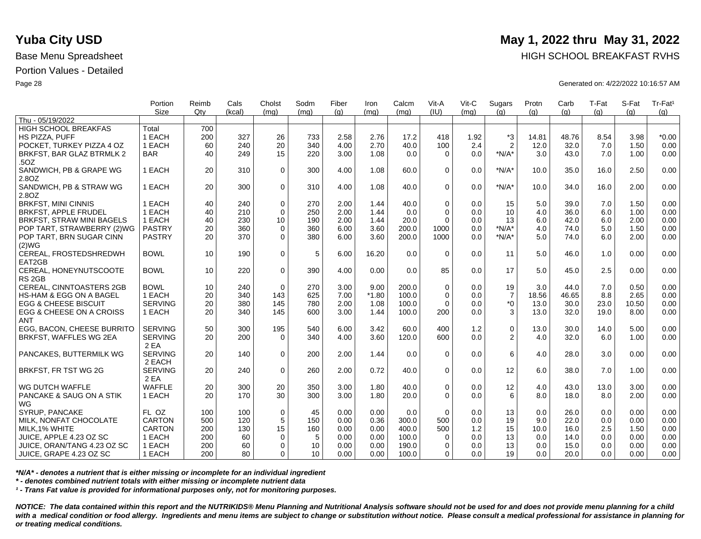|                                             | Portion<br><b>Size</b> | Reimb<br>Qtv | Cals<br>(kcal) | Cholst<br>(ma) | Sodm<br>(mq) | Fiber<br>(q) | Iron<br>(mq) | Calcm<br>(mq) | Vit-A<br>(IU) | Vit-C<br>(mq) | Sugars<br>(q)    | Protn<br>(q) | Carb<br>(q) | T-Fat<br>(q) | S-Fat<br>(q) | Tr-Fat <sup>1</sup><br>(g) |
|---------------------------------------------|------------------------|--------------|----------------|----------------|--------------|--------------|--------------|---------------|---------------|---------------|------------------|--------------|-------------|--------------|--------------|----------------------------|
| Thu - 05/19/2022                            |                        |              |                |                |              |              |              |               |               |               |                  |              |             |              |              |                            |
| <b>HIGH SCHOOL BREAKFAS</b>                 | Total                  | 700          |                |                |              |              |              |               |               |               |                  |              |             |              |              |                            |
| HS PIZZA, PUFF                              | 1 EACH                 | 200          | 327            | 26             | 733          | 2.58         | 2.76         | 17.2          | 418           | 1.92          | *3               | 14.81        | 48.76       | 8.54         | 3.98         | $*0.00$                    |
| POCKET. TURKEY PIZZA 4 OZ                   | 1 EACH                 | 60           | 240            | 20             | 340          | 4.00         | 2.70         | 40.0          | 100           | 2.4           | $\overline{2}$   | 12.0         | 32.0        | 7.0          | 1.50         | 0.00                       |
| BRKFST, BAR GLAZ BTRMLK 2                   | <b>BAR</b>             | 40           | 249            | 15             | 220          | 3.00         | 1.08         | 0.0           | $\Omega$      | 0.0           | $*N/A*$          | 3.0          | 43.0        | 7.0          | 1.00         | 0.00                       |
| .50Z                                        |                        |              |                |                |              |              |              |               |               |               |                  |              |             |              |              |                            |
| SANDWICH, PB & GRAPE WG                     | 1 EACH                 | 20           | 310            | $\mathbf 0$    | 300          | 4.00         | 1.08         | 60.0          | $\Omega$      | 0.0           | $*N/A*$          | 10.0         | 35.0        | 16.0         | 2.50         | 0.00                       |
| 2.8OZ                                       |                        |              |                |                |              |              |              |               |               |               |                  |              |             |              |              |                            |
| SANDWICH, PB & STRAW WG                     | 1 EACH                 | 20           | 300            | $\mathbf 0$    | 310          | 4.00         | 1.08         | 40.0          | $\Omega$      | 0.0           | $*N/A*$          | 10.0         | 34.0        | 16.0         | 2.00         | 0.00                       |
| 2.80Z                                       |                        |              |                |                |              |              |              |               |               |               |                  |              |             |              |              |                            |
| <b>BRKFST, MINI CINNIS</b>                  | 1 EACH                 | 40           | 240            | $\mathbf 0$    | 270          | 2.00         | 1.44         | 40.0          | $\Omega$      | 0.0           | 15               | 5.0          | 39.0        | 7.0          | 1.50         | 0.00                       |
| BRKFST, APPLE FRUDEL                        | 1 EACH                 | 40           | 210            | $\mathbf 0$    | 250          | 2.00         | 1.44         | 0.0           | $\Omega$      | 0.0           | 10               | 4.0          | 36.0        | 6.0          | 1.00         | 0.00                       |
| BRKFST, STRAW MINI BAGELS                   | 1 EACH                 | 40           | 230            | 10             | 190          | 2.00         | 1.44         | 20.0          | $\Omega$      | 0.0           | 13               | 6.0          | 42.0        | 6.0          | 2.00         | 0.00                       |
| POP TART, STRAWBERRY (2)WG                  | <b>PASTRY</b>          | 20           | 360            | 0              | 360          | 6.00         | 3.60         | 200.0         | 1000          | 0.0           | $*N/A*$          | 4.0          | 74.0        | 5.0          | 1.50         | 0.00                       |
| POP TART, BRN SUGAR CINN                    | <b>PASTRY</b>          | 20           | 370            | $\Omega$       | 380          | 6.00         | 3.60         | 200.0         | 1000          | 0.0           | $*N/A*$          | 5.0          | 74.0        | 6.0          | 2.00         | 0.00                       |
| (2)WG                                       |                        |              |                |                |              |              |              |               |               |               |                  |              |             |              |              |                            |
| CEREAL, FROSTEDSHREDWH<br>EAT2GB            | <b>BOWL</b>            | 10           | 190            | 0              | 5            | 6.00         | 16.20        | 0.0           | $\Omega$      | 0.0           | 11               | 5.0          | 46.0        | 1.0          | 0.00         | 0.00                       |
| CEREAL, HONEYNUTSCOOTE<br>RS <sub>2GB</sub> | <b>BOWL</b>            | 10           | 220            | $\mathbf 0$    | 390          | 4.00         | 0.00         | 0.0           | 85            | 0.0           | 17               | 5.0          | 45.0        | 2.5          | 0.00         | 0.00                       |
| CEREAL, CINNTOASTERS 2GB                    | <b>BOWL</b>            | 10           | 240            | $\mathbf 0$    | 270          | 3.00         | 9.00         | 200.0         | $\mathbf 0$   | 0.0           | 19               | 3.0          | 44.0        | 7.0          | 0.50         | 0.00                       |
| <b>HS-HAM &amp; EGG ON A BAGEL</b>          | 1 EACH                 | 20           | 340            | 143            | 625          | 7.00         | $*1.80$      | 100.0         | $\Omega$      | 0.0           | $\boldsymbol{7}$ | 18.56        | 46.65       | 8.8          | 2.65         | 0.00                       |
| <b>EGG &amp; CHEESE BISCUIT</b>             | <b>SERVING</b>         | 20           | 380            | 145            | 780          | 2.00         | 1.08         | 100.0         | $\Omega$      | 0.0           | $*_{0}$          | 13.0         | 30.0        | 23.0         | 10.50        | 0.00                       |
| EGG & CHEESE ON A CROISS                    | 1 EACH                 | 20           | 340            | 145            | 600          | 3.00         | 1.44         | 100.0         | 200           | 0.0           | 3                | 13.0         | 32.0        | 19.0         | 8.00         | 0.00                       |
| ANT                                         |                        |              |                |                |              |              |              |               |               |               |                  |              |             |              |              |                            |
| EGG, BACON, CHEESE BURRITO                  | <b>SERVING</b>         | 50           | 300            | 195            | 540          | 6.00         | 3.42         | 60.0          | 400           | 1.2           | $\pmb{0}$        | 13.0         | 30.0        | 14.0         | 5.00         | 0.00                       |
| BRKFST, WAFFLES WG 2EA                      | <b>SERVING</b>         | 20           | 200            | $\Omega$       | 340          | 4.00         | 3.60         | 120.0         | 600           | 0.0           | 2                | 4.0          | 32.0        | 6.0          | 1.00         | 0.00                       |
|                                             | 2 EA                   |              |                |                |              |              |              |               |               |               |                  |              |             |              |              |                            |
| PANCAKES, BUTTERMILK WG                     | <b>SERVING</b>         | 20           | 140            | $\mathbf 0$    | 200          | 2.00         | 1.44         | 0.0           | $\Omega$      | 0.0           | 6                | 4.0          | 28.0        | 3.0          | 0.00         | 0.00                       |
|                                             | 2 EACH                 |              |                |                |              |              |              |               |               |               |                  |              |             |              |              |                            |
| BRKFST, FR TST WG 2G                        | <b>SERVING</b>         | 20           | 240            | $\mathbf 0$    | 260          | 2.00         | 0.72         | 40.0          | $\Omega$      | 0.0           | 12               | 6.0          | 38.0        | 7.0          | 1.00         | 0.00                       |
|                                             | 2 EA                   |              |                |                |              |              |              |               |               |               |                  |              |             |              |              |                            |
| WG DUTCH WAFFLE                             | <b>WAFFLE</b>          | 20           | 300            | 20             | 350          | 3.00         | 1.80         | 40.0          | $\mathbf 0$   | 0.0           | 12               | 4.0          | 43.0        | 13.0         | 3.00         | 0.00                       |
| PANCAKE & SAUG ON A STIK                    | 1 EACH                 | 20           | 170            | 30             | 300          | 3.00         | 1.80         | 20.0          | $\Omega$      | 0.0           | 6                | 8.0          | 18.0        | 8.0          | 2.00         | 0.00                       |
| <b>WG</b>                                   |                        |              |                |                |              |              |              |               |               |               |                  |              |             |              |              |                            |
| SYRUP, PANCAKE                              | FL OZ                  | 100          | 100            | 0              | 45           | 0.00         | 0.00         | 0.0           | $\Omega$      | 0.0           | 13               | 0.0          | 26.0        | 0.0          | 0.00         | 0.00                       |
| MILK, NONFAT CHOCOLATE                      | <b>CARTON</b>          | 500          | 120            | $\sqrt{5}$     | 150          | 0.00         | 0.36         | 300.0         | 500           | 0.0           | 19               | 9.0          | 22.0        | 0.0          | 0.00         | 0.00                       |
| MILK, 1% WHITE                              | <b>CARTON</b>          | 200          | 130            | 15             | 160          | 0.00         | 0.00         | 400.0         | 500           | 1.2           | 15               | 10.0         | 16.0        | 2.5          | 1.50         | 0.00                       |
| JUICE. APPLE 4.23 OZ SC                     | 1 EACH                 | 200          | 60             | $\mathbf 0$    | 5            | 0.00         | 0.00         | 100.0         | $\Omega$      | 0.0           | 13               | 0.0          | 14.0        | 0.0          | 0.00         | 0.00                       |
| JUICE, ORAN/TANG 4.23 OZ SC                 | 1 EACH                 | 200          | 60             | $\mathbf 0$    | 10           | 0.00         | 0.00         | 190.0         | $\Omega$      | 0.0           | 13               | 0.0          | 15.0        | 0.0          | 0.00         | 0.00                       |
| JUICE, GRAPE 4.23 OZ SC                     | 1 EACH                 | 200          | 80             | $\Omega$       | 10           | 0.00         | 0.00         | 100.0         | $\Omega$      | 0.0           | 19               | 0.0          | 20.0        | 0.0          | 0.00         | 0.00                       |

*\*N/A\* - denotes a nutrient that is either missing or incomplete for an individual ingredient*

*\* - denotes combined nutrient totals with either missing or incomplete nutrient data*

*¹ - Trans Fat value is provided for informational purposes only, not for monitoring purposes.*

*NOTICE: The data contained within this report and the NUTRIKIDS® Menu Planning and Nutritional Analysis software should not be used for and does not provide menu planning for a child*  with a medical condition or food allergy. Ingredients and menu items are subject to change or substitution without notice. Please consult a medical professional for assistance in planning for *or treating medical conditions.*

## **Yuba City USD** May 1, 2022 thru May 31, 2022

Base Menu Spreadsheet **HIGH SCHOOL BREAKFAST RVHS** 

Page 28 Generated on: 4/22/2022 10:16:57 AM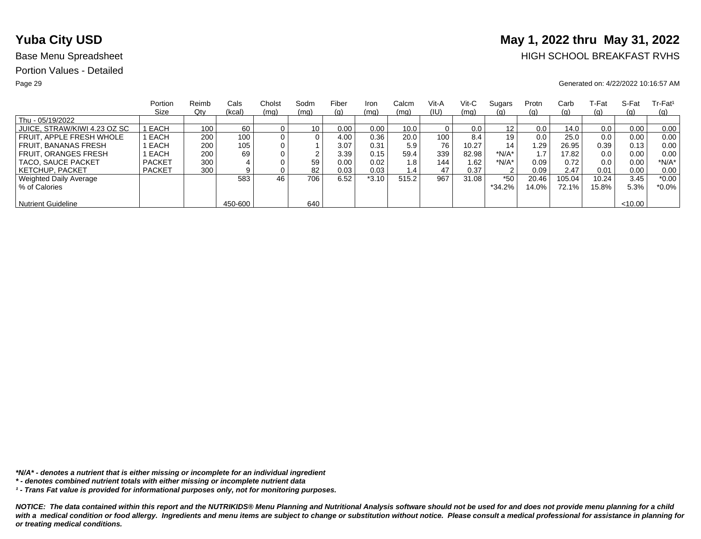# **Yuba City USD** May 1, 2022 thru May 31, 2022

## Base Menu Spreadsheet **HIGH SCHOOL BREAKFAST RVHS**

### Page 29 Generated on: 4/22/2022 10:16:57 AM

|                              | Portion       | Reimb | Cals    | Cholst | Sodm            | Fiber | Iron    | Calcm | Vit-A | Vit-C | Sugars   | Protn | Carb     | ⊺-Fat | S-Fat   | $Tr-Fat1$ |
|------------------------------|---------------|-------|---------|--------|-----------------|-------|---------|-------|-------|-------|----------|-------|----------|-------|---------|-----------|
|                              | Size          | Qty   | (kcal)  | (mq)   | (mq)            | (g)   | (mq)    | (mq)  | (IU)  | (mq)  | (g)      | (g)   | (g)      | (g)   | (q)     | (q)       |
| Thu - 05/19/2022             |               |       |         |        |                 |       |         |       |       |       |          |       |          |       |         |           |
| JUICE, STRAW/KIWI 4.23 OZ SC | I EACH        | 100   | 60      |        | 10 <sub>1</sub> | 0.00  | 0.00    | 10.0  |       | 0.0   | 12       | 0.0   | 14.0     | 0.0   | 0.00    | 0.00      |
| FRUIT. APPLE FRESH WHOLE     | EACH          | 200   | 100     |        | 0               | 4.00  | 0.36    | 20.0  | 100   | 8.4   | 19       | 0.0   | 25.0     | 0.0   | 0.00    | 0.00      |
| FRUIT. BANANAS FRESH         | EACH          | 200   | 105     |        |                 | 3.07  | 0.31    | 5.9   | 76    | 10.27 | 14       | .29   | 26.95    | 0.39  | 0.13    | 0.00      |
| <b>FRUIT, ORANGES FRESH</b>  | EACH          | 200   | 69      |        | ົ               | 3.39  | 0.15    | 59.4  | 339   | 82.98 | $*N/A*$  |       | 17.82    | 0.0   | 0.00    | 0.00      |
| TACO, SAUCE PACKET           | <b>PACKET</b> | 300   |         |        | 59              | 0.00  | 0.02    | 1.8   | 144   | 1.62  | *N/A*    | 0.09  | 0.72     | 0.0   | 0.00    | $*N/A*$   |
| <b>KETCHUP, PACKET</b>       | <b>PACKET</b> | 300   | 9       |        | 82              | 0.03  | 0.03    | 1.4   | 47    | 0.37  | 2        | 0.09  | 2.47     | 0.01  | 0.00    | 0.00      |
| Weighted Daily Average       |               |       | 583     | 46     | 706             | 6.52  | $*3.10$ | 515.2 | 967   | 31.08 | $*50$    | 20.46 | 105.04   | 10.24 | 3.45    | $*0.00$   |
| % of Calories                |               |       |         |        |                 |       |         |       |       |       | $*34.2%$ | 14.0% | $72.1\%$ | 15.8% | 5.3%    | $*0.0\%$  |
|                              |               |       |         |        |                 |       |         |       |       |       |          |       |          |       |         |           |
| <b>Nutrient Guideline</b>    |               |       | 450-600 |        | 640             |       |         |       |       |       |          |       |          |       | < 10.00 |           |

*\*N/A\* - denotes a nutrient that is either missing or incomplete for an individual ingredient*

*¹ - Trans Fat value is provided for informational purposes only, not for monitoring purposes.*

*<sup>\* -</sup> denotes combined nutrient totals with either missing or incomplete nutrient data*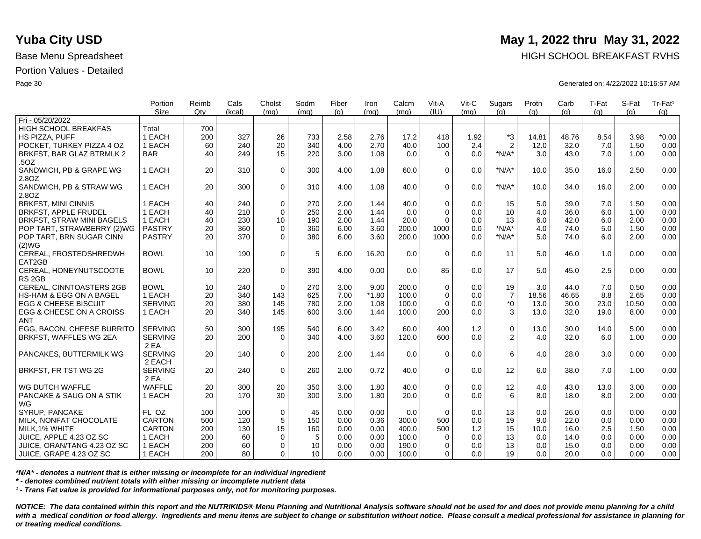|                                 | Portion<br><b>Size</b> | Reimb<br>Qty | Cals<br>(kcal) | Cholst      | Sodm            | Fiber | Iron    | Calcm<br>(mq) | Vit-A<br>(IU) | Vit-C<br>(mq) | Sugars           | Protn | Carb  | T-Fat | S-Fat | Tr-Fat <sup>1</sup> |
|---------------------------------|------------------------|--------------|----------------|-------------|-----------------|-------|---------|---------------|---------------|---------------|------------------|-------|-------|-------|-------|---------------------|
| Fri - 05/20/2022                |                        |              |                | (mq)        | (mq)            | (q)   | (mq)    |               |               |               | (q)              | (q)   | (q)   | (q)   | (q)   | (g)                 |
| <b>HIGH SCHOOL BREAKFAS</b>     | Total                  | 700          |                |             |                 |       |         |               |               |               |                  |       |       |       |       |                     |
| HS PIZZA, PUFF                  | 1 EACH                 | 200          | 327            | 26          | 733             | 2.58  | 2.76    | 17.2          | 418           | 1.92          | *3               | 14.81 | 48.76 | 8.54  | 3.98  | $*0.00$             |
| POCKET. TURKEY PIZZA 4 OZ       | 1 EACH                 | 60           | 240            | 20          | 340             | 4.00  | 2.70    | 40.0          | 100           | 2.4           | $\overline{2}$   | 12.0  | 32.0  | 7.0   | 1.50  | 0.00                |
| BRKFST, BAR GLAZ BTRMLK 2       | <b>BAR</b>             | 40           | 249            | 15          | 220             | 3.00  | 1.08    | 0.0           | $\Omega$      | 0.0           | $*N/A*$          | 3.0   | 43.0  | 7.0   | 1.00  | 0.00                |
| .50Z                            |                        |              |                |             |                 |       |         |               |               |               |                  |       |       |       |       |                     |
| SANDWICH, PB & GRAPE WG         | 1 EACH                 | 20           | 310            | $\mathbf 0$ | 300             | 4.00  | 1.08    | 60.0          | $\Omega$      | 0.0           | $*N/A*$          | 10.0  | 35.0  | 16.0  | 2.50  | 0.00                |
| 2.8OZ                           |                        |              |                |             |                 |       |         |               |               |               |                  |       |       |       |       |                     |
| SANDWICH, PB & STRAW WG         | 1 EACH                 | 20           | 300            | $\mathbf 0$ | 310             | 4.00  | 1.08    | 40.0          | $\Omega$      | 0.0           | $*N/A*$          | 10.0  | 34.0  | 16.0  | 2.00  | 0.00                |
| 2.8OZ                           |                        |              |                |             |                 |       |         |               |               |               |                  |       |       |       |       |                     |
| <b>BRKFST, MINI CINNIS</b>      | 1 EACH                 | 40           | 240            | $\mathbf 0$ | 270             | 2.00  | 1.44    | 40.0          | $\mathbf 0$   | 0.0           | 15               | 5.0   | 39.0  | 7.0   | 1.50  | 0.00                |
| <b>BRKFST, APPLE FRUDEL</b>     | 1 EACH                 | 40           | 210            | $\mathbf 0$ | 250             | 2.00  | 1.44    | 0.0           | $\Omega$      | 0.0           | 10               | 4.0   | 36.0  | 6.0   | 1.00  | 0.00                |
| BRKFST, STRAW MINI BAGELS       | 1 EACH                 | 40           | 230            | 10          | 190             | 2.00  | 1.44    | 20.0          | $\Omega$      | 0.0           | 13               | 6.0   | 42.0  | 6.0   | 2.00  | 0.00                |
| POP TART, STRAWBERRY (2)WG      | <b>PASTRY</b>          | 20           | 360            | $\mathbf 0$ | 360             | 6.00  | 3.60    | 200.0         | 1000          | 0.0           | $*N/A*$          | 4.0   | 74.0  | 5.0   | 1.50  | 0.00                |
| POP TART, BRN SUGAR CINN        | <b>PASTRY</b>          | 20           | 370            | $\mathbf 0$ | 380             | 6.00  | 3.60    | 200.0         | 1000          | 0.0           | $*N/A*$          | 5.0   | 74.0  | 6.0   | 2.00  | 0.00                |
| (2)WG                           |                        |              |                |             |                 |       |         |               |               |               |                  |       |       |       |       |                     |
| CEREAL, FROSTEDSHREDWH          | <b>BOWL</b>            | 10           | 190            | $\mathbf 0$ | 5               | 6.00  | 16.20   | 0.0           | $\Omega$      | 0.0           | 11               | 5.0   | 46.0  | 1.0   | 0.00  | 0.00                |
| EAT2GB                          |                        |              |                |             |                 |       |         |               |               |               |                  |       |       |       |       |                     |
| CEREAL, HONEYNUTSCOOTE          | <b>BOWL</b>            | 10           | 220            | $\Omega$    | 390             | 4.00  | 0.00    | 0.0           | 85            | 0.0           | 17               | 5.0   | 45.0  | 2.5   | 0.00  | 0.00                |
| RS <sub>2GB</sub>               |                        |              |                |             |                 |       |         |               |               |               |                  |       |       |       |       |                     |
| CEREAL, CINNTOASTERS 2GB        | <b>BOWL</b>            | 10           | 240            | $\mathbf 0$ | 270             | 3.00  | 9.00    | 200.0         | $\mathbf 0$   | 0.0           | 19               | 3.0   | 44.0  | 7.0   | 0.50  | 0.00                |
| HS-HAM & EGG ON A BAGEL         | 1 EACH                 | 20           | 340            | 143         | 625             | 7.00  | $*1.80$ | 100.0         | $\Omega$      | 0.0           | $\boldsymbol{7}$ | 18.56 | 46.65 | 8.8   | 2.65  | 0.00                |
| <b>EGG &amp; CHEESE BISCUIT</b> | <b>SERVING</b>         | 20           | 380            | 145         | 780             | 2.00  | 1.08    | 100.0         | $\Omega$      | 0.0           | $*_{0}$          | 13.0  | 30.0  | 23.0  | 10.50 | 0.00                |
| EGG & CHEESE ON A CROISS        | 1 EACH                 | 20           | 340            | 145         | 600             | 3.00  | 1.44    | 100.0         | 200           | 0.0           | 3                | 13.0  | 32.0  | 19.0  | 8.00  | 0.00                |
| <b>ANT</b>                      |                        |              |                |             |                 |       |         |               |               |               |                  |       |       |       |       |                     |
| EGG, BACON, CHEESE BURRITO      | <b>SERVING</b>         | 50           | 300            | 195         | 540             | 6.00  | 3.42    | 60.0          | 400           | 1.2           | $\pmb{0}$        | 13.0  | 30.0  | 14.0  | 5.00  | 0.00                |
| BRKFST, WAFFLES WG 2EA          | <b>SERVING</b>         | 20           | 200            | $\Omega$    | 340             | 4.00  | 3.60    | 120.0         | 600           | 0.0           | 2                | 4.0   | 32.0  | 6.0   | 1.00  | 0.00                |
|                                 | 2 EA                   |              |                |             |                 |       |         |               |               |               |                  |       |       |       |       |                     |
| PANCAKES, BUTTERMILK WG         | <b>SERVING</b>         | 20           | 140            | $\mathbf 0$ | 200             | 2.00  | 1.44    | 0.0           | $\Omega$      | 0.0           | 6                | 4.0   | 28.0  | 3.0   | 0.00  | 0.00                |
|                                 | 2 EACH                 |              |                |             |                 |       |         |               |               |               |                  |       |       |       |       |                     |
| BRKFST, FR TST WG 2G            | <b>SERVING</b>         | 20           | 240            | $\mathbf 0$ | 260             | 2.00  | 0.72    | 40.0          | $\Omega$      | 0.0           | 12               | 6.0   | 38.0  | 7.0   | 1.00  | 0.00                |
|                                 | 2 EA                   |              |                |             |                 |       |         |               |               |               |                  |       |       |       |       |                     |
| WG DUTCH WAFFLE                 | <b>WAFFLE</b>          | 20           | 300            | 20          | 350             | 3.00  | 1.80    | 40.0          | $\mathbf 0$   | 0.0           | 12               | 4.0   | 43.0  | 13.0  | 3.00  | 0.00                |
| PANCAKE & SAUG ON A STIK        | 1 EACH                 | 20           | 170            | 30          | 300             | 3.00  | 1.80    | 20.0          | $\Omega$      | 0.0           | 6                | 8.0   | 18.0  | 8.0   | 2.00  | 0.00                |
| WG                              |                        |              |                |             |                 |       |         |               |               |               |                  |       |       |       |       |                     |
| SYRUP, PANCAKE                  | FL OZ                  | 100          | 100            | $\mathbf 0$ | 45              | 0.00  | 0.00    | 0.0           | $\Omega$      | 0.0           | 13               | 0.0   | 26.0  | 0.0   | 0.00  | 0.00                |
| MILK, NONFAT CHOCOLATE          | <b>CARTON</b>          | 500          | 120            | 5           | 150             | 0.00  | 0.36    | 300.0         | 500           | 0.0           | 19               | 9.0   | 22.0  | 0.0   | 0.00  | 0.00                |
| MILK.1% WHITE                   | <b>CARTON</b>          | 200          | 130            | 15          | 160             | 0.00  | 0.00    | 400.0         | 500           | 1.2           | 15               | 10.0  | 16.0  | 2.5   | 1.50  | 0.00                |
| JUICE, APPLE 4.23 OZ SC         | 1 EACH                 | 200          | 60             | 0           | 5               | 0.00  | 0.00    | 100.0         | 0             | 0.0           | 13               | 0.0   | 14.0  | 0.0   | 0.00  | 0.00                |
| JUICE, ORAN/TANG 4.23 OZ SC     | 1 EACH                 | 200          | 60             | $\mathbf 0$ | 10              | 0.00  | 0.00    | 190.0         | $\Omega$      | 0.0           | 13               | 0.0   | 15.0  | 0.0   | 0.00  | 0.00                |
| JUICE, GRAPE 4.23 OZ SC         | 1 EACH                 | 200          | 80             | $\Omega$    | 10 <sup>1</sup> | 0.00  | 0.00    | 100.0         | 0             | 0.0           | 19               | 0.0   | 20.0  | 0.0   | 0.00  | 0.00                |
|                                 |                        |              |                |             |                 |       |         |               |               |               |                  |       |       |       |       |                     |

*\*N/A\* - denotes a nutrient that is either missing or incomplete for an individual ingredient*

*\* - denotes combined nutrient totals with either missing or incomplete nutrient data*

*¹ - Trans Fat value is provided for informational purposes only, not for monitoring purposes.*

*NOTICE: The data contained within this report and the NUTRIKIDS® Menu Planning and Nutritional Analysis software should not be used for and does not provide menu planning for a child*  with a medical condition or food allergy. Ingredients and menu items are subject to change or substitution without notice. Please consult a medical professional for assistance in planning for *or treating medical conditions.*

## **Yuba City USD** May 1, 2022 thru May 31, 2022

Base Menu Spreadsheet **HIGH SCHOOL BREAKFAST RVHS** 

Page 30 Generated on: 4/22/2022 10:16:57 AM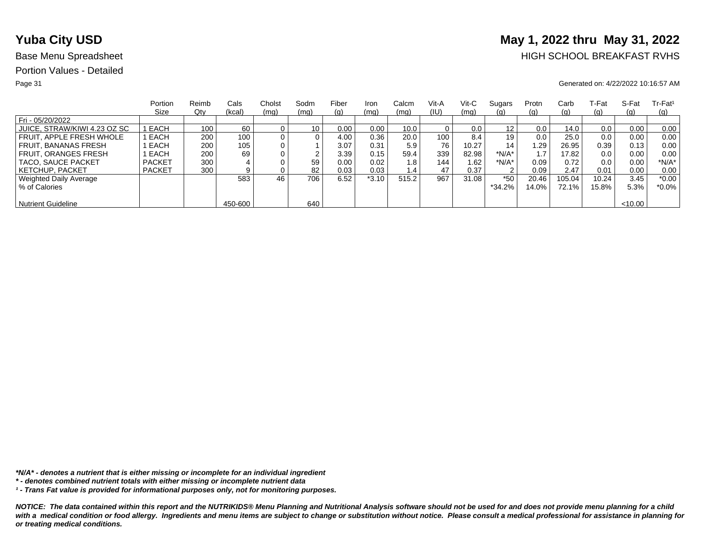# **Yuba City USD** May 1, 2022 thru May 31, 2022

## Base Menu Spreadsheet **HIGH SCHOOL BREAKFAST RVHS**

### Page 31 Generated on: 4/22/2022 10:16:57 AM

|                              | Portion       | Reimb | Cals    | Cholst         | Sodm | Fiber | Iron    | Calcm         | Vit-A            | Vit-C | Sugars  | Protn | Carb     | ⊺-Fat | S-Fat  | $Tr-Fat1$  |
|------------------------------|---------------|-------|---------|----------------|------|-------|---------|---------------|------------------|-------|---------|-------|----------|-------|--------|------------|
|                              | Size          | Qty   | (kcal)  | (mq)           | (mq) | (g)   | (mq)    | (mq)          | (IU)             | (mq)  | (g)     | (q)   | (g)      | (g)   | (q)    | <u>(g)</u> |
| Fri - 05/20/2022             |               |       |         |                |      |       |         |               |                  |       |         |       |          |       |        |            |
| JUICE, STRAW/KIWI 4.23 OZ SC | EACH          | 100   | 60      |                | 10   | 0.00  | 0.00    | 10.0          |                  | 0.0   | 12      | 0.0   | 14.0     | 0.0   | 0.00   | 0.00       |
| FRUIT. APPLE FRESH WHOLE     | EACH          | 200   | 100     | 0 <sub>1</sub> | 0    | 4.00  | 0.36    | 20.0          | 100 <sub>1</sub> | 8.4   | 19      | 0.0   | 25.0     | 0.0   | 0.00   | 0.00       |
| <b>FRUIT, BANANAS FRESH</b>  | EACH          | 200   | 105     |                |      | 3.07  | 0.31    | 5.9           | 76               | 10.27 | 14      | 29. ا | 26.95    | 0.39  | 0.13   | 0.00       |
| <b>FRUIT, ORANGES FRESH</b>  | EACH          | 200   | 69      |                |      | 3.39  | 0.15    | 59.4          | 339              | 82.98 | $*N/A*$ |       | 17.82    | 0.0   | 0.00   | 0.00       |
| TACO, SAUCE PACKET           | <b>PACKET</b> | 300   |         |                | 59   | 0.00  | 0.02    | 1.8           | 144              | 1.62  | $*N/A*$ | 0.09  | 0.72     | 0.0   | 0.00   | $*N/A*$    |
| KETCHUP. PACKET              | <b>PACKET</b> | 300   |         |                | 82   | 0.03  | 0.03    | $1.4^{\circ}$ | 47               | 0.37  | っ       | 0.09  | 2.47     | 0.01  | 0.00   | 0.00       |
| Weighted Daily Average       |               |       | 583     | 46             | 706  | 6.52  | $*3.10$ | 515.2         | 967              | 31.08 | $*50$   | 20.46 | 105.04   | 10.24 | 3.45   | $*0.00$    |
| % of Calories                |               |       |         |                |      |       |         |               |                  |       | *34.2%  | 14.0% | $72.1\%$ | 15.8% | 5.3%   | *0.0%      |
|                              |               |       |         |                |      |       |         |               |                  |       |         |       |          |       |        |            |
| <b>Nutrient Guideline</b>    |               |       | 450-600 |                | 640  |       |         |               |                  |       |         |       |          |       | <10.00 |            |

*\*N/A\* - denotes a nutrient that is either missing or incomplete for an individual ingredient*

*¹ - Trans Fat value is provided for informational purposes only, not for monitoring purposes.*

*<sup>\* -</sup> denotes combined nutrient totals with either missing or incomplete nutrient data*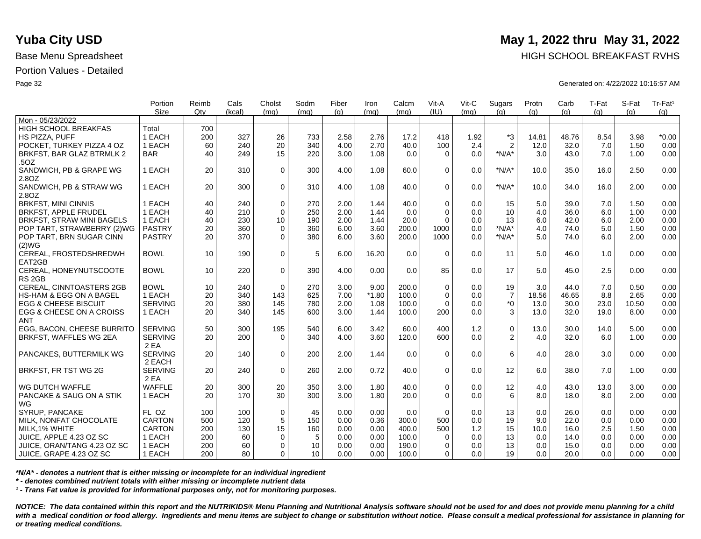|                                    | Portion        | Reimb | Cals   | Cholst      | Sodm | Fiber | Iron    | Calcm | Vit-A       | Vit-C | Sugars         | Protn | Carb  | T-Fat | S-Fat | Tr-Fat <sup>1</sup> |
|------------------------------------|----------------|-------|--------|-------------|------|-------|---------|-------|-------------|-------|----------------|-------|-------|-------|-------|---------------------|
| Mon - 05/23/2022                   | <b>Size</b>    | Qtv   | (kcal) | (mq)        | (mq) | (q)   | (mq)    | (mq)  | (IU)        | (mq)  | (q)            | (q)   | (q)   | (q)   | (a)   | (g)                 |
| <b>HIGH SCHOOL BREAKFAS</b>        | Total          | 700   |        |             |      |       |         |       |             |       |                |       |       |       |       |                     |
|                                    | 1 EACH         |       |        |             |      |       | 2.76    |       | 418         |       | $*3$           |       | 48.76 | 8.54  |       | $*0.00$             |
| HS PIZZA, PUFF                     |                | 200   | 327    | 26          | 733  | 2.58  |         | 17.2  |             | 1.92  |                | 14.81 |       |       | 3.98  |                     |
| POCKET, TURKEY PIZZA 4 OZ          | 1 EACH         | 60    | 240    | 20          | 340  | 4.00  | 2.70    | 40.0  | 100         | 2.4   | $\overline{2}$ | 12.0  | 32.0  | 7.0   | 1.50  | 0.00                |
| BRKFST, BAR GLAZ BTRMLK 2          | <b>BAR</b>     | 40    | 249    | 15          | 220  | 3.00  | 1.08    | 0.0   | $\Omega$    | 0.0   | $*N/A*$        | 3.0   | 43.0  | 7.0   | 1.00  | 0.00                |
| .50Z                               |                |       |        |             |      |       |         |       |             |       |                |       |       |       |       |                     |
| SANDWICH, PB & GRAPE WG            | 1 EACH         | 20    | 310    | $\mathbf 0$ | 300  | 4.00  | 1.08    | 60.0  | $\Omega$    | 0.0   | $*N/A*$        | 10.0  | 35.0  | 16.0  | 2.50  | 0.00                |
| 2.8OZ                              |                |       |        |             |      |       |         |       |             |       |                |       |       |       |       |                     |
| SANDWICH, PB & STRAW WG            | 1 EACH         | 20    | 300    | $\Omega$    | 310  | 4.00  | 1.08    | 40.0  | $\Omega$    | 0.0   | $*N/A*$        | 10.0  | 34.0  | 16.0  | 2.00  | 0.00                |
| 2.80Z                              |                |       |        |             |      |       |         |       |             |       |                |       |       |       |       |                     |
| <b>BRKFST, MINI CINNIS</b>         | 1 EACH         | 40    | 240    | $\mathbf 0$ | 270  | 2.00  | 1.44    | 40.0  | $\Omega$    | 0.0   | 15             | 5.0   | 39.0  | 7.0   | 1.50  | 0.00                |
| <b>BRKFST, APPLE FRUDEL</b>        | 1 EACH         | 40    | 210    | $\Omega$    | 250  | 2.00  | 1.44    | 0.0   | $\Omega$    | 0.0   | 10             | 4.0   | 36.0  | 6.0   | 1.00  | 0.00                |
| <b>BRKFST, STRAW MINI BAGELS</b>   | 1 EACH         | 40    | 230    | 10          | 190  | 2.00  | 1.44    | 20.0  | $\Omega$    | 0.0   | 13             | 6.0   | 42.0  | 6.0   | 2.00  | 0.00                |
| POP TART, STRAWBERRY (2)WG         | <b>PASTRY</b>  | 20    | 360    | $\mathbf 0$ | 360  | 6.00  | 3.60    | 200.0 | 1000        | 0.0   | $*N/A*$        | 4.0   | 74.0  | 5.0   | 1.50  | 0.00                |
| POP TART, BRN SUGAR CINN           | <b>PASTRY</b>  | 20    | 370    | $\Omega$    | 380  | 6.00  | 3.60    | 200.0 | 1000        | 0.0   | $*N/A*$        | 5.0   | 74.0  | 6.0   | 2.00  | 0.00                |
| (2)WG                              |                |       |        |             |      |       |         |       |             |       |                |       |       |       |       |                     |
| CEREAL, FROSTEDSHREDWH             | <b>BOWL</b>    | 10    | 190    | $\mathbf 0$ | 5    | 6.00  | 16.20   | 0.0   | $\Omega$    | 0.0   | 11             | 5.0   | 46.0  | 1.0   | 0.00  | 0.00                |
| EAT2GB                             |                |       |        |             |      |       |         |       |             |       |                |       |       |       |       |                     |
| CEREAL, HONEYNUTSCOOTE             | <b>BOWL</b>    | 10    | 220    | $\mathbf 0$ | 390  | 4.00  | 0.00    | 0.0   | 85          | 0.0   | 17             | 5.0   | 45.0  | 2.5   | 0.00  | 0.00                |
| RS <sub>2GB</sub>                  |                |       |        |             |      |       |         |       |             |       |                |       |       |       |       |                     |
| <b>CEREAL, CINNTOASTERS 2GB</b>    | <b>BOWL</b>    | 10    | 240    | $\Omega$    | 270  | 3.00  | 9.00    | 200.0 | $\Omega$    | 0.0   | 19             | 3.0   | 44.0  | 7.0   | 0.50  | 0.00                |
| <b>HS-HAM &amp; EGG ON A BAGEL</b> | 1 EACH         | 20    | 340    | 143         | 625  | 7.00  | $*1.80$ | 100.0 | $\mathbf 0$ | 0.0   | $\overline{7}$ | 18.56 | 46.65 | 8.8   | 2.65  | 0.00                |
| <b>EGG &amp; CHEESE BISCUIT</b>    | <b>SERVING</b> | 20    | 380    | 145         | 780  | 2.00  | 1.08    | 100.0 | $\Omega$    | 0.0   | $^*0$          | 13.0  | 30.0  | 23.0  | 10.50 | 0.00                |
| EGG & CHEESE ON A CROISS           | 1 EACH         | 20    | 340    | 145         | 600  | 3.00  | 1.44    | 100.0 | 200         | 0.0   | 3              | 13.0  | 32.0  | 19.0  | 8.00  | 0.00                |
| <b>ANT</b>                         |                |       |        |             |      |       |         |       |             |       |                |       |       |       |       |                     |
| EGG. BACON. CHEESE BURRITO         | <b>SERVING</b> | 50    | 300    | 195         | 540  | 6.00  | 3.42    | 60.0  | 400         | 1.2   | $\mathsf 0$    | 13.0  | 30.0  | 14.0  | 5.00  | 0.00                |
| BRKFST, WAFFLES WG 2EA             | <b>SERVING</b> | 20    | 200    | $\Omega$    | 340  | 4.00  | 3.60    | 120.0 | 600         | 0.0   | 2              | 4.0   | 32.0  | 6.0   | 1.00  | 0.00                |
|                                    | 2 EA           |       |        |             |      |       |         |       |             |       |                |       |       |       |       |                     |
| PANCAKES, BUTTERMILK WG            | <b>SERVING</b> | 20    | 140    | $\Omega$    | 200  | 2.00  | 1.44    | 0.0   | $\Omega$    | 0.0   | 6              | 4.0   | 28.0  | 3.0   | 0.00  | 0.00                |
|                                    | 2 EACH         |       |        |             |      |       |         |       |             |       |                |       |       |       |       |                     |
| BRKFST, FR TST WG 2G               | <b>SERVING</b> | 20    | 240    | $\mathbf 0$ | 260  | 2.00  | 0.72    | 40.0  | $\mathbf 0$ | 0.0   | 12             | 6.0   | 38.0  | 7.0   | 1.00  | 0.00                |
|                                    | 2 EA           |       |        |             |      |       |         |       |             |       |                |       |       |       |       |                     |
| WG DUTCH WAFFLE                    | <b>WAFFLE</b>  | 20    | 300    | 20          | 350  | 3.00  | 1.80    | 40.0  | $\mathbf 0$ | 0.0   | 12             | 4.0   | 43.0  | 13.0  | 3.00  | 0.00                |
| PANCAKE & SAUG ON A STIK           | 1 EACH         | 20    | 170    | 30          | 300  | 3.00  | 1.80    | 20.0  | $\Omega$    | 0.0   | 6              | 8.0   | 18.0  | 8.0   | 2.00  | 0.00                |
| WG                                 |                |       |        |             |      |       |         |       |             |       |                |       |       |       |       |                     |
| SYRUP, PANCAKE                     | FL OZ          | 100   | 100    | $\mathbf 0$ | 45   | 0.00  | 0.00    | 0.0   | $\Omega$    | 0.0   | 13             | 0.0   | 26.0  | 0.0   | 0.00  | 0.00                |
| MILK, NONFAT CHOCOLATE             | <b>CARTON</b>  | 500   | 120    | $\sqrt{5}$  | 150  | 0.00  | 0.36    | 300.0 | 500         | 0.0   | 19             | 9.0   | 22.0  | 0.0   | 0.00  | 0.00                |
| MILK, 1% WHITE                     | <b>CARTON</b>  | 200   | 130    | 15          | 160  | 0.00  | 0.00    | 400.0 | 500         | 1.2   | 15             | 10.0  | 16.0  | 2.5   | 1.50  | 0.00                |
| JUICE, APPLE 4.23 OZ SC            | 1 EACH         | 200   | 60     | 0           | 5    | 0.00  | 0.00    | 100.0 | $\Omega$    | 0.0   | 13             | 0.0   | 14.0  | 0.0   | 0.00  | 0.00                |
| JUICE, ORAN/TANG 4.23 OZ SC        | 1 EACH         | 200   | 60     | $\mathbf 0$ | 10   | 0.00  | 0.00    | 190.0 | $\Omega$    | 0.0   | 13             | 0.0   | 15.0  | 0.0   | 0.00  | 0.00                |
|                                    | 1 EACH         | 200   | 80     | 0           | 10   | 0.00  | 0.00    |       | $\Omega$    | 0.0   | 19             | 0.0   | 20.0  | 0.0   | 0.00  | 0.00                |
| ∣ JUICE, GRAPE 4.23 OZ SC          |                |       |        |             |      |       |         | 100.0 |             |       |                |       |       |       |       |                     |

*\*N/A\* - denotes a nutrient that is either missing or incomplete for an individual ingredient*

*\* - denotes combined nutrient totals with either missing or incomplete nutrient data*

*¹ - Trans Fat value is provided for informational purposes only, not for monitoring purposes.*

*NOTICE: The data contained within this report and the NUTRIKIDS® Menu Planning and Nutritional Analysis software should not be used for and does not provide menu planning for a child*  with a medical condition or food allergy. Ingredients and menu items are subject to change or substitution without notice. Please consult a medical professional for assistance in planning for *or treating medical conditions.*

## **Yuba City USD** May 1, 2022 thru May 31, 2022

Base Menu Spreadsheet **HIGH SCHOOL BREAKFAST RVHS** 

Page 32 Generated on: 4/22/2022 10:16:57 AM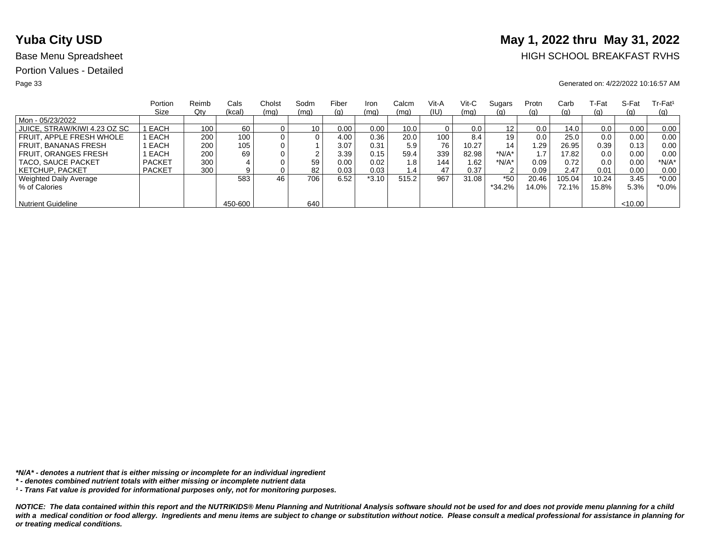# **Yuba City USD** May 1, 2022 thru May 31, 2022

## Base Menu Spreadsheet **HIGH SCHOOL BREAKFAST RVHS**

### Page 33 Generated on: 4/22/2022 10:16:57 AM

|                              | Portion       | Reimb | Cals    | Cholst | Sodm | Fiber | Iron    | Calcm | Vit-A | Vit-C | Sugars            | Protn | Carb     | T-Fat | S-Fat  | $Tr-Fat1$  |
|------------------------------|---------------|-------|---------|--------|------|-------|---------|-------|-------|-------|-------------------|-------|----------|-------|--------|------------|
|                              | Size          | Qty   | (kcal)  | (mq)   | (mq) | (g)   | (mq)    | (mq)  | (IU)  | (mq)  | <u>(g)</u>        | (q)   | (g)      | (g)   | (q)    | <u>(g)</u> |
| Mon - 05/23/2022             |               |       |         |        |      |       |         |       |       |       |                   |       |          |       |        |            |
| JUICE, STRAW/KIWI 4.23 OZ SC | EACH          | 100   | 60      |        | 10   | 0.00  | 0.00    | 10.0  |       | 0.0   | $12 \overline{ }$ | 0.0   | 14.0     | 0.0   | 0.00   | 0.00       |
| FRUIT. APPLE FRESH WHOLE     | EACH          | 200   | 100.    |        | 0    | 4.00  | 0.36    | 20.0  | 100   | 8.4   | 19                | 0.0   | 25.0     | 0.0   | 0.00   | 0.00       |
| <b>FRUIT, BANANAS FRESH</b>  | EACH          | 200   | 105     |        |      | 3.07  | 0.31    | 5.9   | 76    | 10.27 | 14                | 1.29  | 26.95    | 0.39  | 0.13   | 0.00       |
| <b>FRUIT, ORANGES FRESH</b>  | EACH          | 200   | 69      |        | ົ    | 3.39  | 0.15    | 59.4  | 339   | 82.98 | *N/A*             |       | 17.82    | 0.0   | 0.00   | 0.00       |
| TACO, SAUCE PACKET           | <b>PACKET</b> | 300   |         |        | 59   | 0.00  | 0.02    | 1.8   | 144   | 1.62  | *N/A*             | 0.09  | 0.72     | 0.0   | 0.00   | *N/A*      |
| <b>KETCHUP, PACKET</b>       | <b>PACKET</b> | 300   |         |        | 82   | 0.03  | 0.03    | 1.4   | 47    | 0.37  | $\sim$            | 0.09  | 2.47     | 0.01  | 0.00   | 0.00       |
| Weighted Daily Average       |               |       | 583     | 46     | 706  | 6.52  | $*3.10$ | 515.2 | 967   | 31.08 | $*50$             | 20.46 | 105.04   | 10.24 | 3.45   | $*0.00$    |
| % of Calories                |               |       |         |        |      |       |         |       |       |       | $*34.2%$          | 14.0% | $72.1\%$ | 15.8% | 5.3%   | $*0.0\%$   |
|                              |               |       |         |        |      |       |         |       |       |       |                   |       |          |       |        |            |
| <b>Nutrient Guideline</b>    |               |       | 450-600 |        | 640  |       |         |       |       |       |                   |       |          |       | <10.00 |            |

*\*N/A\* - denotes a nutrient that is either missing or incomplete for an individual ingredient*

*¹ - Trans Fat value is provided for informational purposes only, not for monitoring purposes.*

*<sup>\* -</sup> denotes combined nutrient totals with either missing or incomplete nutrient data*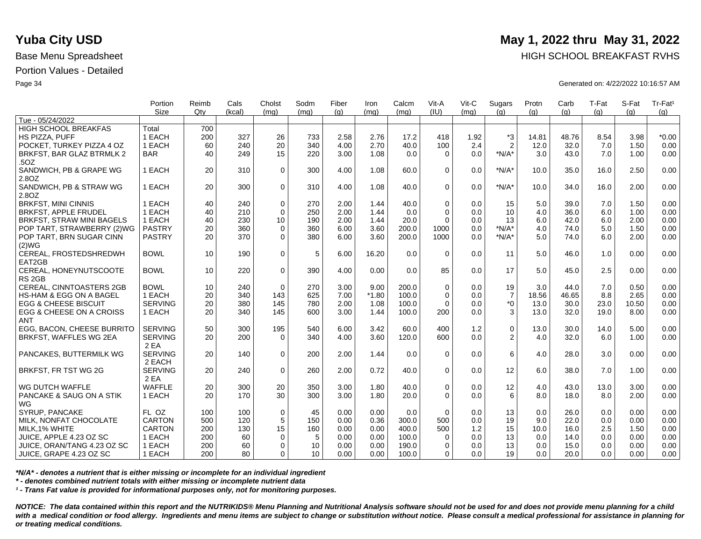|                                    | Portion<br><b>Size</b> | Reimb<br>Qtv | Cals<br>(kcal) | Cholst<br>(mq)   | Sodm<br>(ma) | Fiber<br>(q) | Iron<br>(mq) | Calcm<br>(mq) | Vit-A<br>(IU) | Vit-C<br>(ma) | Sugars<br>(g)    | Protn<br>(q) | Carb<br>(q) | T-Fat<br>(g) | S-Fat<br>(q) | Tr-Fat <sup>1</sup><br>(g) |
|------------------------------------|------------------------|--------------|----------------|------------------|--------------|--------------|--------------|---------------|---------------|---------------|------------------|--------------|-------------|--------------|--------------|----------------------------|
| Tue - 05/24/2022                   |                        |              |                |                  |              |              |              |               |               |               |                  |              |             |              |              |                            |
| <b>HIGH SCHOOL BREAKFAS</b>        | Total                  | 700          |                |                  |              |              |              |               |               |               |                  |              |             |              |              |                            |
| HS PIZZA, PUFF                     | 1 EACH                 | 200          | 327            | 26               | 733          | 2.58         | 2.76         | 17.2          | 418           | 1.92          | $^{\ast}3$       | 14.81        | 48.76       | 8.54         | 3.98         | $*0.00$                    |
| POCKET. TURKEY PIZZA 4 OZ          | 1 EACH                 | 60           | 240            | 20               | 340          | 4.00         | 2.70         | 40.0          | 100           | 2.4           | $\overline{2}$   | 12.0         | 32.0        | 7.0          | 1.50         | 0.00                       |
| BRKFST, BAR GLAZ BTRMLK 2          | <b>BAR</b>             | 40           | 249            | 15               | 220          | 3.00         | 1.08         | 0.0           | $\Omega$      | 0.0           | $*N/A*$          | 3.0          | 43.0        | 7.0          | 1.00         | 0.00                       |
| .50Z                               |                        |              |                |                  |              |              |              |               |               |               |                  |              |             |              |              |                            |
| SANDWICH, PB & GRAPE WG            | 1 EACH                 | 20           | 310            | $\Omega$         | 300          | 4.00         | 1.08         | 60.0          | $\Omega$      | 0.0           | $*N/A*$          | 10.0         | 35.0        | 16.0         | 2.50         | 0.00                       |
| 2.8OZ                              |                        |              |                |                  |              |              |              |               |               |               |                  |              |             |              |              |                            |
| SANDWICH, PB & STRAW WG            | 1 EACH                 | 20           | 300            | $\Omega$         | 310          | 4.00         | 1.08         | 40.0          | $\Omega$      | 0.0           | $*N/A*$          | 10.0         | 34.0        | 16.0         | 2.00         | 0.00                       |
| 2.80Z                              |                        |              |                |                  |              |              |              |               |               |               |                  |              |             |              |              |                            |
| <b>BRKFST, MINI CINNIS</b>         | 1 EACH                 | 40           | 240            | $\mathbf 0$      | 270          | 2.00         | 1.44         | 40.0          | $\mathbf 0$   | 0.0           | 15               | 5.0          | 39.0        | 7.0          | 1.50         | 0.00                       |
| <b>BRKFST, APPLE FRUDEL</b>        | 1 EACH                 | 40           | 210            | $\Omega$         | 250          | 2.00         | 1.44         | 0.0           | $\Omega$      | 0.0           | 10               | 4.0          | 36.0        | 6.0          | 1.00         | 0.00                       |
| <b>BRKFST, STRAW MINI BAGELS</b>   | 1 EACH                 | 40           | 230            | 10 <sup>10</sup> | 190          | 2.00         | 1.44         | 20.0          | $\Omega$      | 0.0           | 13               | 6.0          | 42.0        | 6.0          | 2.00         | 0.00                       |
|                                    | <b>PASTRY</b>          |              |                |                  |              |              |              |               |               |               | $*N/A*$          |              |             |              |              |                            |
| POP TART, STRAWBERRY (2)WG         |                        | 20           | 360            | $\mathbf 0$      | 360          | 6.00         | 3.60         | 200.0         | 1000          | 0.0           |                  | 4.0          | 74.0        | 5.0          | 1.50         | 0.00                       |
| POP TART, BRN SUGAR CINN           | <b>PASTRY</b>          | 20           | 370            | $\Omega$         | 380          | 6.00         | 3.60         | 200.0         | 1000          | 0.0           | $*N/A*$          | 5.0          | 74.0        | 6.0          | 2.00         | 0.00                       |
| (2)WG                              |                        |              |                |                  |              |              |              |               |               |               |                  |              |             |              |              |                            |
| CEREAL, FROSTEDSHREDWH<br>EAT2GB   | <b>BOWL</b>            | 10           | 190            | $\Omega$         | 5            | 6.00         | 16.20        | 0.0           | $\Omega$      | 0.0           | 11               | 5.0          | 46.0        | 1.0          | 0.00         | 0.00                       |
| CEREAL, HONEYNUTSCOOTE             | <b>BOWL</b>            | 10           | 220            | $\Omega$         | 390          | 4.00         | 0.00         | 0.0           | 85            | 0.0           | 17               | 5.0          | 45.0        | 2.5          | 0.00         | 0.00                       |
| RS <sub>2GB</sub>                  |                        |              |                |                  |              |              |              |               |               |               |                  |              |             |              |              |                            |
| <b>CEREAL, CINNTOASTERS 2GB</b>    | <b>BOWL</b>            | 10           | 240            | $\Omega$         | 270          | 3.00         | 9.00         | 200.0         | $\Omega$      | 0.0           | 19               | 3.0          | 44.0        | 7.0          | 0.50         | 0.00                       |
| <b>HS-HAM &amp; EGG ON A BAGEL</b> | 1 EACH                 | 20           | 340            | 143              | 625          | 7.00         | $*1.80$      | 100.0         | $\Omega$      | 0.0           | $\overline{7}$   | 18.56        | 46.65       | 8.8          | 2.65         | 0.00                       |
| <b>EGG &amp; CHEESE BISCUIT</b>    | <b>SERVING</b>         | 20           | 380            | 145              | 780          | 2.00         | 1.08         | 100.0         | $\Omega$      | 0.0           | $^*0$            | 13.0         | 30.0        | 23.0         | 10.50        | 0.00                       |
| EGG & CHEESE ON A CROISS           | 1 EACH                 | 20           | 340            | 145              | 600          | 3.00         | 1.44         | 100.0         | 200           | 0.0           | 3                | 13.0         | 32.0        | 19.0         | 8.00         | 0.00                       |
| <b>ANT</b>                         |                        |              |                |                  |              |              |              |               |               |               |                  |              |             |              |              |                            |
| EGG. BACON. CHEESE BURRITO         | <b>SERVING</b>         | 50           | 300            | 195              | 540          | 6.00         | 3.42         | 60.0          | 400           | 1.2           | $\boldsymbol{0}$ | 13.0         | 30.0        | 14.0         | 5.00         | 0.00                       |
| BRKFST, WAFFLES WG 2EA             | <b>SERVING</b>         | 20           | 200            | $\Omega$         | 340          | 4.00         | 3.60         | 120.0         | 600           | 0.0           | 2                | 4.0          | 32.0        | 6.0          | 1.00         | 0.00                       |
|                                    | 2 EA                   |              |                |                  |              |              |              |               |               |               |                  |              |             |              |              |                            |
| PANCAKES, BUTTERMILK WG            | <b>SERVING</b>         | 20           | 140            | $\Omega$         | 200          | 2.00         | 1.44         | 0.0           | $\Omega$      | 0.0           | 6                | 4.0          | 28.0        | 3.0          | 0.00         | 0.00                       |
|                                    | 2 EACH                 |              |                |                  |              |              |              |               |               |               |                  |              |             |              |              |                            |
| BRKFST, FR TST WG 2G               | <b>SERVING</b>         | 20           | 240            | $\mathbf 0$      | 260          | 2.00         | 0.72         | 40.0          | $\mathbf 0$   | 0.0           | 12               | 6.0          | 38.0        | 7.0          | 1.00         | 0.00                       |
|                                    | 2 EA                   |              |                |                  |              |              |              |               |               |               |                  |              |             |              |              |                            |
| WG DUTCH WAFFLE                    | <b>WAFFLE</b>          | 20           | 300            | 20               | 350          | 3.00         | 1.80         | 40.0          | $\mathbf 0$   | 0.0           | 12               | 4.0          | 43.0        | 13.0         | 3.00         | 0.00                       |
| PANCAKE & SAUG ON A STIK           | 1 EACH                 | 20           | 170            | 30               | 300          | 3.00         | 1.80         | 20.0          | $\Omega$      | 0.0           | 6                | 8.0          | 18.0        | 8.0          | 2.00         | 0.00                       |
| WG                                 |                        |              |                |                  |              |              |              |               |               |               |                  |              |             |              |              |                            |
| SYRUP, PANCAKE                     | FL OZ                  | 100          | 100            | 0                | 45           | 0.00         | 0.00         | 0.0           | $\Omega$      | 0.0           | 13               | 0.0          | 26.0        | 0.0          | 0.00         | 0.00                       |
| MILK, NONFAT CHOCOLATE             | CARTON                 | 500          | 120            | $\sqrt{5}$       | 150          | 0.00         | 0.36         | 300.0         | 500           | 0.0           | 19               | 9.0          | 22.0        | 0.0          | 0.00         | 0.00                       |
| MILK, 1% WHITE                     | <b>CARTON</b>          | 200          | 130            | 15               | 160          | 0.00         | 0.00         | 400.0         | 500           | 1.2           | 15               | 10.0         | 16.0        | 2.5          | 1.50         | 0.00                       |
| JUICE. APPLE 4.23 OZ SC            | 1 EACH                 | 200          | 60             | 0                | 5            | 0.00         | 0.00         | 100.0         | $\Omega$      | 0.0           | 13               | 0.0          | 14.0        | 0.0          | 0.00         | 0.00                       |
| JUICE, ORAN/TANG 4.23 OZ SC        | 1 EACH                 | 200          | 60             | $\mathbf 0$      | 10           | 0.00         | 0.00         | 190.0         | $\Omega$      | 0.0           | 13               | 0.0          | 15.0        | 0.0          | 0.00         | 0.00                       |
|                                    | 1 EACH                 | 200          | 80             | $\Omega$         | 10           | 0.00         | 0.00         | 100.0         | 0             | 0.0           | 19               | 0.0          | 20.0        | 0.0          | 0.00         | 0.00                       |
| ∣ JUICE, GRAPE 4.23 OZ SC          |                        |              |                |                  |              |              |              |               |               |               |                  |              |             |              |              |                            |

*\*N/A\* - denotes a nutrient that is either missing or incomplete for an individual ingredient*

*\* - denotes combined nutrient totals with either missing or incomplete nutrient data*

*¹ - Trans Fat value is provided for informational purposes only, not for monitoring purposes.*

*NOTICE: The data contained within this report and the NUTRIKIDS® Menu Planning and Nutritional Analysis software should not be used for and does not provide menu planning for a child*  with a medical condition or food allergy. Ingredients and menu items are subject to change or substitution without notice. Please consult a medical professional for assistance in planning for *or treating medical conditions.*

## **Yuba City USD** May 1, 2022 thru May 31, 2022

Base Menu Spreadsheet **HIGH SCHOOL BREAKFAST RVHS** 

Page 34 Generated on: 4/22/2022 10:16:57 AM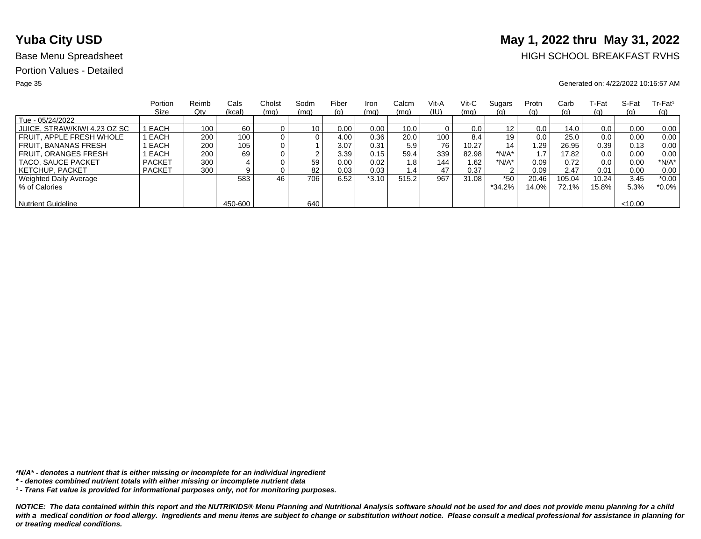# **Yuba City USD** May 1, 2022 thru May 31, 2022

## Base Menu Spreadsheet **HIGH SCHOOL BREAKFAST RVHS**

### Page 35 Generated on: 4/22/2022 10:16:57 AM

|                              | Portion       | Reimb | Cals    | Cholst | Sodm            | Fiber | Iron    | Calcm | Vit-A | Vit-C | Sugars   | Protn | Carb     | ⊺-Fat | S-Fat   | $Tr-Fat1$ |
|------------------------------|---------------|-------|---------|--------|-----------------|-------|---------|-------|-------|-------|----------|-------|----------|-------|---------|-----------|
|                              | Size          | Qty   | (kcal)  | (mq)   | (mq)            | (g)   | (mq)    | (mq)  | (IU)  | (mq)  | (g)      | (g)   | (g)      | (g)   | (q)     | (q)       |
| Tue - 05/24/2022             |               |       |         |        |                 |       |         |       |       |       |          |       |          |       |         |           |
| JUICE, STRAW/KIWI 4.23 OZ SC | I EACH        | 100   | 60      |        | 10 <sub>1</sub> | 0.00  | 0.00    | 10.0  |       | 0.0   | 12       | 0.0   | 14.0     | 0.0   | 0.00    | 0.00      |
| FRUIT. APPLE FRESH WHOLE     | EACH          | 200   | 100     |        | 0               | 4.00  | 0.36    | 20.0  | 100   | 8.4   | 19       | 0.0   | 25.0     | 0.0   | 0.00    | 0.00      |
| FRUIT. BANANAS FRESH         | EACH          | 200   | 105     |        |                 | 3.07  | 0.31    | 5.9   | 76    | 10.27 | 14       | .29   | 26.95    | 0.39  | 0.13    | 0.00      |
| <b>FRUIT, ORANGES FRESH</b>  | EACH          | 200   | 69      |        | ົ               | 3.39  | 0.15    | 59.4  | 339   | 82.98 | $*N/A*$  |       | 17.82    | 0.0   | 0.00    | 0.00      |
| TACO, SAUCE PACKET           | <b>PACKET</b> | 300   |         |        | 59              | 0.00  | 0.02    | 1.8   | 144   | 1.62  | *N/A*    | 0.09  | 0.72     | 0.0   | 0.00    | $*N/A*$   |
| <b>KETCHUP, PACKET</b>       | <b>PACKET</b> | 300   | 9       |        | 82              | 0.03  | 0.03    | 1.4   | 47    | 0.37  | 2        | 0.09  | 2.47     | 0.01  | 0.00    | 0.00      |
| Weighted Daily Average       |               |       | 583     | 46     | 706             | 6.52  | $*3.10$ | 515.2 | 967   | 31.08 | $*50$    | 20.46 | 105.04   | 10.24 | 3.45    | $*0.00$   |
| % of Calories                |               |       |         |        |                 |       |         |       |       |       | $*34.2%$ | 14.0% | $72.1\%$ | 15.8% | 5.3%    | $*0.0\%$  |
|                              |               |       |         |        |                 |       |         |       |       |       |          |       |          |       |         |           |
| <b>Nutrient Guideline</b>    |               |       | 450-600 |        | 640             |       |         |       |       |       |          |       |          |       | < 10.00 |           |

*\*N/A\* - denotes a nutrient that is either missing or incomplete for an individual ingredient*

*¹ - Trans Fat value is provided for informational purposes only, not for monitoring purposes.*

*<sup>\* -</sup> denotes combined nutrient totals with either missing or incomplete nutrient data*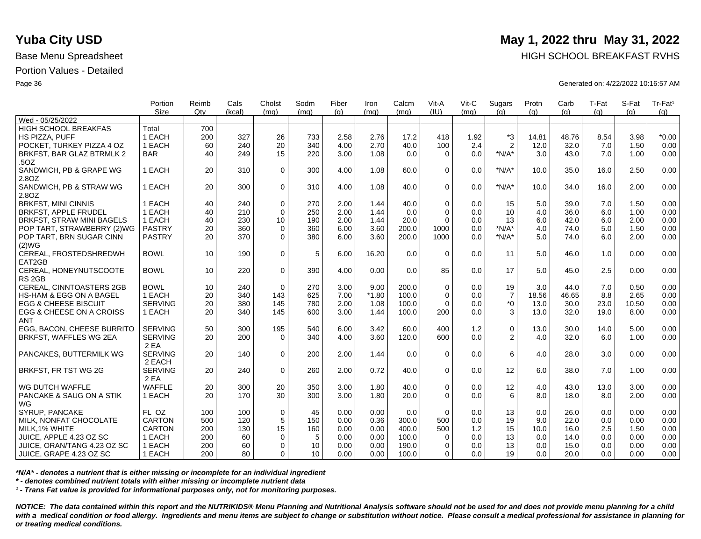|                                    | Portion<br><b>Size</b> | Reimb<br>Qtv | Cals<br>(kcal) | Cholst<br>(mq) | Sodm<br>(mq)    | Fiber<br>(q) | Iron<br>(mq) | Calcm<br>(mq) | Vit-A<br>(IU) | Vit-C<br>(mq) | Sugars<br>(q)  | Protn<br>(q) | Carb<br>(q) | T-Fat<br>(q) | S-Fat<br>(a) | Tr-Fat <sup>1</sup><br>(g) |
|------------------------------------|------------------------|--------------|----------------|----------------|-----------------|--------------|--------------|---------------|---------------|---------------|----------------|--------------|-------------|--------------|--------------|----------------------------|
| Wed - 05/25/2022                   |                        |              |                |                |                 |              |              |               |               |               |                |              |             |              |              |                            |
| HIGH SCHOOL BREAKFAS               | Total                  | 700          |                |                |                 |              |              |               |               |               |                |              |             |              |              |                            |
| HS PIZZA, PUFF                     | 1 EACH                 | 200          | 327            | 26             | 733             | 2.58         | 2.76         | 17.2          | 418           | 1.92          | *3             | 14.81        | 48.76       | 8.54         | 3.98         | $*0.00$                    |
| POCKET. TURKEY PIZZA 4 OZ          | 1 EACH                 | 60           | 240            | 20             | 340             | 4.00         | 2.70         | 40.0          | 100           | 2.4           | $\overline{2}$ | 12.0         | 32.0        | 7.0          | 1.50         | 0.00                       |
| BRKFST, BAR GLAZ BTRMLK 2          | <b>BAR</b>             | 40           | 249            | 15             | 220             | 3.00         | 1.08         | 0.0           | $\Omega$      | 0.0           | $*N/A*$        | 3.0          | 43.0        | 7.0          | 1.00         | 0.00                       |
| .50Z                               |                        |              |                |                |                 |              |              |               |               |               |                |              |             |              |              |                            |
| SANDWICH, PB & GRAPE WG            | 1 EACH                 | 20           | 310            | $\mathbf 0$    | 300             | 4.00         | 1.08         | 60.0          | $\Omega$      | 0.0           | $*N/A*$        | 10.0         | 35.0        | 16.0         | 2.50         | 0.00                       |
| 2.8OZ                              |                        |              |                |                |                 |              |              |               |               |               |                |              |             |              |              |                            |
| SANDWICH, PB & STRAW WG            | 1 EACH                 | 20           | 300            | $\Omega$       | 310             | 4.00         | 1.08         | 40.0          | $\Omega$      | 0.0           | $*N/A*$        | 10.0         | 34.0        | 16.0         | 2.00         | 0.00                       |
| 2.80Z                              |                        |              |                |                |                 |              |              |               |               |               |                |              |             |              |              |                            |
| <b>BRKFST, MINI CINNIS</b>         | 1 EACH                 | 40           | 240            | $\mathbf 0$    | 270             | 2.00         | 1.44         | 40.0          | $\Omega$      | 0.0           | 15             | 5.0          | 39.0        | 7.0          | 1.50         | 0.00                       |
| <b>BRKFST, APPLE FRUDEL</b>        | 1 EACH                 | 40           | 210            | $\Omega$       | 250             | 2.00         | 1.44         | 0.0           | $\Omega$      | 0.0           | 10             | 4.0          | 36.0        | 6.0          | 1.00         | 0.00                       |
| <b>BRKFST, STRAW MINI BAGELS</b>   | 1 EACH                 | 40           | 230            | 10             | 190             | 2.00         | 1.44         | 20.0          | $\Omega$      | 0.0           | 13             | 6.0          | 42.0        | 6.0          | 2.00         | 0.00                       |
| POP TART, STRAWBERRY (2)WG         | <b>PASTRY</b>          | 20           | 360            | $\mathbf 0$    | 360             | 6.00         | 3.60         | 200.0         | 1000          | 0.0           | $*N/A*$        | 4.0          | 74.0        | 5.0          | 1.50         | 0.00                       |
| POP TART, BRN SUGAR CINN           | <b>PASTRY</b>          | 20           | 370            | $\Omega$       | 380             | 6.00         | 3.60         | 200.0         | 1000          | 0.0           | $*N/A*$        | 5.0          | 74.0        | 6.0          | 2.00         | 0.00                       |
| (2)WG                              |                        |              |                |                |                 |              |              |               |               |               |                |              |             |              |              |                            |
| CEREAL, FROSTEDSHREDWH             | <b>BOWL</b>            | 10           | 190            | $\mathbf 0$    | 5               | 6.00         | 16.20        | 0.0           | $\Omega$      | 0.0           | 11             | 5.0          | 46.0        | 1.0          | 0.00         | 0.00                       |
| EAT2GB                             |                        |              |                |                |                 |              |              |               |               |               |                |              |             |              |              |                            |
| CEREAL, HONEYNUTSCOOTE             | <b>BOWL</b>            | 10           | 220            | $\mathbf 0$    | 390             | 4.00         | 0.00         | 0.0           | 85            | 0.0           | 17             | 5.0          | 45.0        | 2.5          | 0.00         | 0.00                       |
| RS <sub>2GB</sub>                  |                        |              |                |                |                 |              |              |               |               |               |                |              |             |              |              |                            |
| CEREAL, CINNTOASTERS 2GB           | <b>BOWL</b>            | 10           | 240            | $\Omega$       | 270             | 3.00         | 9.00         | 200.0         | $\Omega$      | 0.0           | 19             | 3.0          | 44.0        | 7.0          | 0.50         | 0.00                       |
| <b>HS-HAM &amp; EGG ON A BAGEL</b> | 1 EACH                 | 20           | 340            | 143            | 625             | 7.00         | $*1.80$      | 100.0         | $\Omega$      | 0.0           | $\overline{7}$ | 18.56        | 46.65       | 8.8          | 2.65         | 0.00                       |
| <b>EGG &amp; CHEESE BISCUIT</b>    | <b>SERVING</b>         | 20           | 380            | 145            | 780             | 2.00         | 1.08         | 100.0         | $\Omega$      | 0.0           | $*_{0}$        | 13.0         | 30.0        | 23.0         | 10.50        | 0.00                       |
| EGG & CHEESE ON A CROISS           | 1 EACH                 | 20           | 340            | 145            | 600             | 3.00         | 1.44         | 100.0         | 200           | 0.0           | 3              | 13.0         | 32.0        | 19.0         | 8.00         | 0.00                       |
| <b>ANT</b>                         |                        |              |                |                |                 |              |              |               |               |               |                |              |             |              |              |                            |
| <b>EGG. BACON. CHEESE BURRITO</b>  | <b>SERVING</b>         | 50           | 300            | 195            | 540             | 6.00         | 3.42         | 60.0          | 400           | 1.2           | $\pmb{0}$      | 13.0         | 30.0        | 14.0         | 5.00         | 0.00                       |
| BRKFST, WAFFLES WG 2EA             | <b>SERVING</b>         | 20           | 200            | $\Omega$       | 340             | 4.00         | 3.60         | 120.0         | 600           | 0.0           | 2              | 4.0          | 32.0        | 6.0          | 1.00         | 0.00                       |
|                                    | 2 EA                   |              |                |                |                 |              |              |               |               |               |                |              |             |              |              |                            |
| PANCAKES, BUTTERMILK WG            | <b>SERVING</b>         | 20           | 140            | $\Omega$       | 200             | 2.00         | 1.44         | 0.0           | $\Omega$      | 0.0           | 6              | 4.0          | 28.0        | 3.0          | 0.00         | 0.00                       |
|                                    | 2 EACH                 |              |                |                |                 |              |              |               |               |               |                |              |             |              |              |                            |
| BRKFST, FR TST WG 2G               | <b>SERVING</b>         | 20           | 240            | $\mathbf 0$    | 260             | 2.00         | 0.72         | 40.0          | $\mathbf 0$   | 0.0           | 12             | 6.0          | 38.0        | 7.0          | 1.00         | 0.00                       |
|                                    | 2 EA                   |              |                |                |                 |              |              |               |               |               |                |              |             |              |              |                            |
| WG DUTCH WAFFLE                    | <b>WAFFLE</b>          | 20           | 300            | 20             | 350             | 3.00         | 1.80         | 40.0          | $\mathbf 0$   | 0.0           | 12             | 4.0          | 43.0        | 13.0         | 3.00         | 0.00                       |
| PANCAKE & SAUG ON A STIK           | 1 EACH                 | 20           | 170            | 30             | 300             | 3.00         | 1.80         | 20.0          | $\Omega$      | 0.0           | 6              | 8.0          | 18.0        | 8.0          | 2.00         | 0.00                       |
| WG                                 |                        |              |                |                |                 |              |              |               |               |               |                |              |             |              |              |                            |
| SYRUP, PANCAKE                     | FL OZ                  | 100          | 100            | $\mathbf 0$    | 45              | 0.00         | 0.00         | 0.0           | $\Omega$      | 0.0           | 13             | 0.0          | 26.0        | 0.0          | 0.00         | 0.00                       |
| MILK, NONFAT CHOCOLATE             | CARTON                 | 500          | 120            | 5              | 150             | 0.00         | 0.36         | 300.0         | 500           | 0.0           | 19             | 9.0          | 22.0        | 0.0          | 0.00         | 0.00                       |
| MILK, 1% WHITE                     | <b>CARTON</b>          | 200          | 130            | 15             | 160             | 0.00         | 0.00         | 400.0         | 500           | 1.2           | 15             | 10.0         | 16.0        | 2.5          | 1.50         | 0.00                       |
| JUICE, APPLE 4.23 OZ SC            | 1 EACH                 | 200          | 60             | $\Omega$       | 5               | 0.00         | 0.00         | 100.0         | $\Omega$      | 0.0           | 13             | 0.0          | 14.0        | 0.0          | 0.00         | 0.00                       |
| JUICE, ORAN/TANG 4.23 OZ SC        | 1 EACH                 | 200          | 60             | $\mathbf 0$    | 10              | 0.00         | 0.00         | 190.0         | $\Omega$      | 0.0           | 13             | 0.0          | 15.0        | 0.0          | 0.00         | 0.00                       |
| JUICE, GRAPE 4.23 OZ SC            | 1 EACH                 | 200          | 80             | $\Omega$       | 10 <sup>1</sup> | 0.00         | 0.00         | 100.0         | 0             | 0.0           | 19             | 0.0          | 20.0        | 0.0          | 0.00         | 0.00                       |

*\*N/A\* - denotes a nutrient that is either missing or incomplete for an individual ingredient*

*\* - denotes combined nutrient totals with either missing or incomplete nutrient data*

*¹ - Trans Fat value is provided for informational purposes only, not for monitoring purposes.*

*NOTICE: The data contained within this report and the NUTRIKIDS® Menu Planning and Nutritional Analysis software should not be used for and does not provide menu planning for a child*  with a medical condition or food allergy. Ingredients and menu items are subject to change or substitution without notice. Please consult a medical professional for assistance in planning for *or treating medical conditions.*

## **Yuba City USD** May 1, 2022 thru May 31, 2022

Base Menu Spreadsheet **HIGH SCHOOL BREAKFAST RVHS** 

Page 36 Generated on: 4/22/2022 10:16:57 AM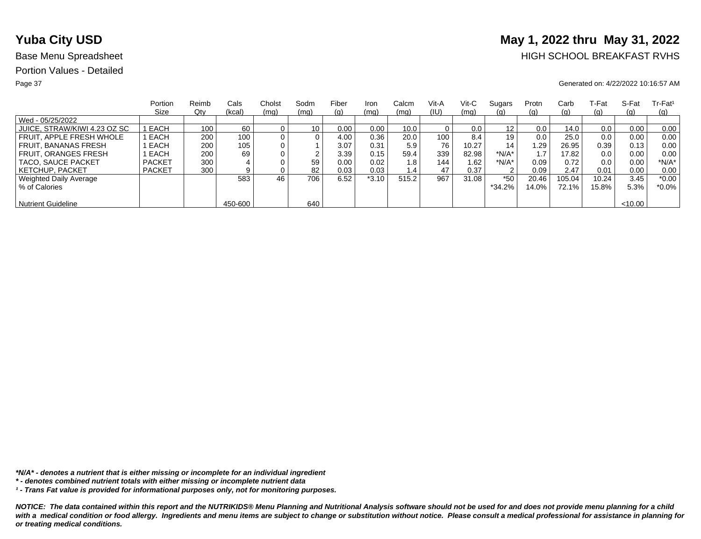# **Yuba City USD** May 1, 2022 thru May 31, 2022

## Base Menu Spreadsheet **HIGH SCHOOL BREAKFAST RVHS**

### Page 37 Generated on: 4/22/2022 10:16:57 AM

|                              | Portion       | Reimb | Cals    | Cholst         | Sodm | Fiber | Iron    | Calcm         | Vit-A            | Vit-C | Sugars  | Protn | Carb     | ⊺-Fat | S-Fat   | $Tr-Fat1$  |
|------------------------------|---------------|-------|---------|----------------|------|-------|---------|---------------|------------------|-------|---------|-------|----------|-------|---------|------------|
|                              | Size          | Qty   | (kcal)  | (mq)           | (mq) | (g)   | (mq)    | (mq)          | (IU)             | (mq)  | (g)     | (q)   | (g)      | (g)   | (q)     | <u>(g)</u> |
| Wed - 05/25/2022             |               |       |         |                |      |       |         |               |                  |       |         |       |          |       |         |            |
| JUICE, STRAW/KIWI 4.23 OZ SC | EACH          | 100   | 60      |                | 10   | 0.00  | 0.00    | 10.0          |                  | 0.0   | 12      | 0.0   | 14.0     | 0.0   | 0.00    | 0.00       |
| FRUIT. APPLE FRESH WHOLE     | EACH          | 200   | 100     | $\overline{0}$ | 0    | 4.00  | 0.36    | 20.0          | 100 <sub>1</sub> | 8.4   | 19      | 0.0   | 25.0     | 0.0   | 0.00    | 0.00       |
| <b>FRUIT, BANANAS FRESH</b>  | EACH          | 200   | 105     |                |      | 3.07  | 0.31    | 5.9           | 76               | 10.27 | 14      | 29. ا | 26.95    | 0.39  | 0.13    | 0.00       |
| <b>FRUIT, ORANGES FRESH</b>  | EACH          | 200   | 69      |                |      | 3.39  | 0.15    | 59.4          | 339              | 82.98 | $*N/A*$ |       | 17.82    | 0.0   | 0.00    | 0.00       |
| TACO, SAUCE PACKET           | <b>PACKET</b> | 300   |         |                | 59   | 0.00  | 0.02    | 1.8           | 144              | 1.62  | $*N/A*$ | 0.09  | 0.72     | 0.0   | 0.00    | $*N/A*$    |
| <b>KETCHUP, PACKET</b>       | <b>PACKET</b> | 300   |         |                | 82   | 0.03  | 0.03    | $1.4^{\circ}$ | 47               | 0.37  | っ       | 0.09  | 2.47     | 0.01  | 0.00    | 0.00       |
| Weighted Daily Average       |               |       | 583     | 46             | 706  | 6.52  | $*3.10$ | 515.2         | 967              | 31.08 | $*50$   | 20.46 | 105.04   | 10.24 | 3.45    | $*0.00$    |
| % of Calories                |               |       |         |                |      |       |         |               |                  |       | *34.2%  | 14.0% | $72.1\%$ | 15.8% | 5.3%    | *0.0%      |
|                              |               |       |         |                |      |       |         |               |                  |       |         |       |          |       |         |            |
| <b>Nutrient Guideline</b>    |               |       | 450-600 |                | 640  |       |         |               |                  |       |         |       |          |       | < 10.00 |            |

*\*N/A\* - denotes a nutrient that is either missing or incomplete for an individual ingredient*

*¹ - Trans Fat value is provided for informational purposes only, not for monitoring purposes.*

*<sup>\* -</sup> denotes combined nutrient totals with either missing or incomplete nutrient data*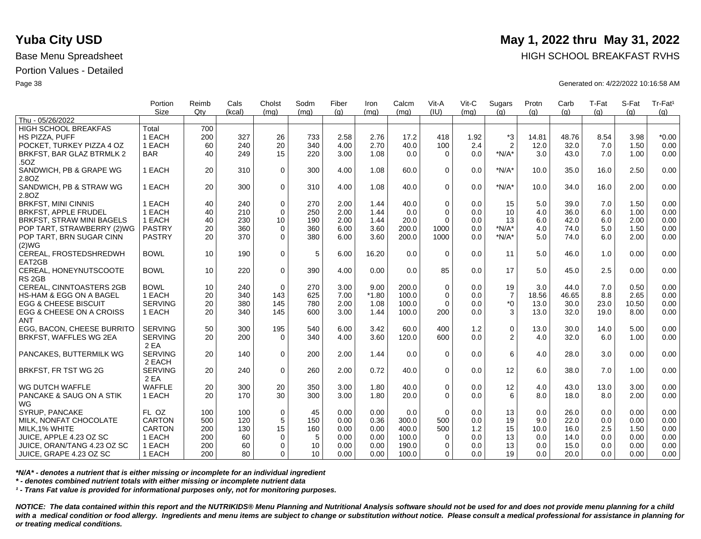|                                    | Portion        | Reimb | Cals   | Cholst      | Sodm | Fiber | Iron    | Calcm | Vit-A       | Vit-C | Sugars         | Protn | Carb  | T-Fat | S-Fat | Tr-Fat <sup>1</sup> |
|------------------------------------|----------------|-------|--------|-------------|------|-------|---------|-------|-------------|-------|----------------|-------|-------|-------|-------|---------------------|
|                                    | <b>Size</b>    | Qtv   | (kcal) | (mq)        | (ma) | (q)   | (mq)    | (mq)  | (IU)        | (mq)  | (q)            | (q)   | (q)   | (q)   | (a)   | (g)                 |
| Thu - 05/26/2022                   |                |       |        |             |      |       |         |       |             |       |                |       |       |       |       |                     |
| HIGH SCHOOL BREAKFAS               | Total          | 700   |        |             |      |       |         |       |             |       |                |       |       |       |       |                     |
| HS PIZZA, PUFF                     | 1 EACH         | 200   | 327    | 26          | 733  | 2.58  | 2.76    | 17.2  | 418         | 1.92  | $*3$           | 14.81 | 48.76 | 8.54  | 3.98  | $*0.00$             |
| POCKET, TURKEY PIZZA 4 OZ          | 1 EACH         | 60    | 240    | 20          | 340  | 4.00  | 2.70    | 40.0  | 100         | 2.4   | $\overline{2}$ | 12.0  | 32.0  | 7.0   | 1.50  | 0.00                |
| BRKFST, BAR GLAZ BTRMLK 2          | <b>BAR</b>     | 40    | 249    | 15          | 220  | 3.00  | 1.08    | 0.0   | $\Omega$    | 0.0   | $*N/A*$        | 3.0   | 43.0  | 7.0   | 1.00  | 0.00                |
| .50Z                               |                |       |        |             |      |       |         |       |             |       |                |       |       |       |       |                     |
| SANDWICH, PB & GRAPE WG            | 1 EACH         | 20    | 310    | $\mathbf 0$ | 300  | 4.00  | 1.08    | 60.0  | $\Omega$    | 0.0   | $*N/A*$        | 10.0  | 35.0  | 16.0  | 2.50  | 0.00                |
| 2.8OZ                              |                |       |        |             |      |       |         |       |             |       |                |       |       |       |       |                     |
| SANDWICH, PB & STRAW WG            | 1 EACH         | 20    | 300    | $\Omega$    | 310  | 4.00  | 1.08    | 40.0  | $\Omega$    | 0.0   | $*N/A*$        | 10.0  | 34.0  | 16.0  | 2.00  | 0.00                |
| 2.80Z                              |                |       |        |             |      |       |         |       |             |       |                |       |       |       |       |                     |
| <b>BRKFST, MINI CINNIS</b>         | 1 EACH         | 40    | 240    | $\mathbf 0$ | 270  | 2.00  | 1.44    | 40.0  | $\Omega$    | 0.0   | 15             | 5.0   | 39.0  | 7.0   | 1.50  | 0.00                |
| <b>BRKFST, APPLE FRUDEL</b>        | 1 EACH         | 40    | 210    | $\Omega$    | 250  | 2.00  | 1.44    | 0.0   | $\Omega$    | 0.0   | 10             | 4.0   | 36.0  | 6.0   | 1.00  | 0.00                |
| <b>BRKFST, STRAW MINI BAGELS</b>   | 1 EACH         | 40    | 230    | 10          | 190  | 2.00  | 1.44    | 20.0  | $\Omega$    | 0.0   | 13             | 6.0   | 42.0  | 6.0   | 2.00  | 0.00                |
| POP TART, STRAWBERRY (2)WG         | <b>PASTRY</b>  | 20    | 360    | $\mathbf 0$ | 360  | 6.00  | 3.60    | 200.0 | 1000        | 0.0   | $*N/A*$        | 4.0   | 74.0  | 5.0   | 1.50  | 0.00                |
| POP TART, BRN SUGAR CINN           | <b>PASTRY</b>  | 20    | 370    | $\Omega$    | 380  | 6.00  | 3.60    | 200.0 | 1000        | 0.0   | $*N/A*$        | 5.0   | 74.0  | 6.0   | 2.00  | 0.00                |
| (2)WG                              |                |       |        |             |      |       |         |       |             |       |                |       |       |       |       |                     |
| CEREAL, FROSTEDSHREDWH             | <b>BOWL</b>    | 10    | 190    | $\mathbf 0$ | 5    | 6.00  | 16.20   | 0.0   | $\Omega$    | 0.0   | 11             | 5.0   | 46.0  | 1.0   | 0.00  | 0.00                |
| EAT2GB                             |                |       |        |             |      |       |         |       |             |       |                |       |       |       |       |                     |
| CEREAL, HONEYNUTSCOOTE             | <b>BOWL</b>    | 10    | 220    | $\mathbf 0$ | 390  | 4.00  | 0.00    | 0.0   | 85          | 0.0   | 17             | 5.0   | 45.0  | 2.5   | 0.00  | 0.00                |
| RS <sub>2GB</sub>                  |                |       |        |             |      |       |         |       |             |       |                |       |       |       |       |                     |
| <b>CEREAL, CINNTOASTERS 2GB</b>    | <b>BOWL</b>    | 10    | 240    | $\Omega$    | 270  | 3.00  | 9.00    | 200.0 | $\Omega$    | 0.0   | 19             | 3.0   | 44.0  | 7.0   | 0.50  | 0.00                |
| <b>HS-HAM &amp; EGG ON A BAGEL</b> | 1 EACH         | 20    | 340    | 143         | 625  | 7.00  | $*1.80$ | 100.0 | $\mathbf 0$ | 0.0   | $\overline{7}$ | 18.56 | 46.65 | 8.8   | 2.65  | 0.00                |
| <b>EGG &amp; CHEESE BISCUIT</b>    | <b>SERVING</b> | 20    | 380    | 145         | 780  | 2.00  | 1.08    | 100.0 | $\Omega$    | 0.0   | $^*0$          | 13.0  | 30.0  | 23.0  | 10.50 | 0.00                |
| EGG & CHEESE ON A CROISS           | 1 EACH         | 20    | 340    | 145         | 600  | 3.00  | 1.44    | 100.0 | 200         | 0.0   | 3              | 13.0  | 32.0  | 19.0  | 8.00  | 0.00                |
| <b>ANT</b>                         |                |       |        |             |      |       |         |       |             |       |                |       |       |       |       |                     |
| EGG. BACON. CHEESE BURRITO         | <b>SERVING</b> | 50    | 300    | 195         | 540  | 6.00  | 3.42    | 60.0  | 400         | 1.2   | $\mathsf 0$    | 13.0  | 30.0  | 14.0  | 5.00  | 0.00                |
| BRKFST, WAFFLES WG 2EA             | <b>SERVING</b> | 20    | 200    | $\Omega$    | 340  | 4.00  | 3.60    | 120.0 | 600         | 0.0   | 2              | 4.0   | 32.0  | 6.0   | 1.00  | 0.00                |
|                                    | 2 EA           |       |        |             |      |       |         |       |             |       |                |       |       |       |       |                     |
| PANCAKES, BUTTERMILK WG            | <b>SERVING</b> | 20    | 140    | $\Omega$    | 200  | 2.00  | 1.44    | 0.0   | $\Omega$    | 0.0   | 6              | 4.0   | 28.0  | 3.0   | 0.00  | 0.00                |
|                                    | 2 EACH         |       |        |             |      |       |         |       |             |       |                |       |       |       |       |                     |
| BRKFST, FR TST WG 2G               | <b>SERVING</b> | 20    | 240    | $\mathbf 0$ | 260  | 2.00  | 0.72    | 40.0  | $\mathbf 0$ | 0.0   | 12             | 6.0   | 38.0  | 7.0   | 1.00  | 0.00                |
|                                    | 2 EA           |       |        |             |      |       |         |       |             |       |                |       |       |       |       |                     |
| WG DUTCH WAFFLE                    | <b>WAFFLE</b>  | 20    | 300    | 20          | 350  | 3.00  | 1.80    | 40.0  | $\mathbf 0$ | 0.0   | 12             | 4.0   | 43.0  | 13.0  | 3.00  | 0.00                |
| PANCAKE & SAUG ON A STIK           | 1 EACH         | 20    | 170    | 30          | 300  | 3.00  | 1.80    | 20.0  | $\Omega$    | 0.0   | 6              | 8.0   | 18.0  | 8.0   | 2.00  | 0.00                |
| WG                                 |                |       |        |             |      |       |         |       |             |       |                |       |       |       |       |                     |
| SYRUP, PANCAKE                     | FL OZ          | 100   | 100    | $\mathbf 0$ | 45   | 0.00  | 0.00    | 0.0   | $\Omega$    | 0.0   | 13             | 0.0   | 26.0  | 0.0   | 0.00  | 0.00                |
| MILK, NONFAT CHOCOLATE             | <b>CARTON</b>  | 500   | 120    | $\sqrt{5}$  | 150  | 0.00  | 0.36    | 300.0 | 500         | 0.0   | 19             | 9.0   | 22.0  | 0.0   | 0.00  | 0.00                |
| MILK, 1% WHITE                     | <b>CARTON</b>  | 200   | 130    | 15          | 160  | 0.00  | 0.00    | 400.0 | 500         | 1.2   | 15             | 10.0  | 16.0  | 2.5   | 1.50  | 0.00                |
| JUICE, APPLE 4.23 OZ SC            | 1 EACH         | 200   | 60     |             | 5    | 0.00  | 0.00    | 100.0 | $\Omega$    | 0.0   | 13             | 0.0   | 14.0  | 0.0   | 0.00  | 0.00                |
|                                    |                |       |        | 0           |      |       |         |       |             |       |                |       |       |       |       |                     |
| JUICE, ORAN/TANG 4.23 OZ SC        | 1 EACH         | 200   | 60     | $\mathbf 0$ | 10   | 0.00  | 0.00    | 190.0 | $\Omega$    | 0.0   | 13             | 0.0   | 15.0  | 0.0   | 0.00  | 0.00                |
| ∣ JUICE, GRAPE 4.23 OZ SC          | 1 EACH         | 200   | 80     | 0           | 10   | 0.00  | 0.00    | 100.0 | $\Omega$    | 0.0   | 19             | 0.0   | 20.0  | 0.0   | 0.00  | 0.00                |

*\*N/A\* - denotes a nutrient that is either missing or incomplete for an individual ingredient*

*\* - denotes combined nutrient totals with either missing or incomplete nutrient data*

*¹ - Trans Fat value is provided for informational purposes only, not for monitoring purposes.*

*NOTICE: The data contained within this report and the NUTRIKIDS® Menu Planning and Nutritional Analysis software should not be used for and does not provide menu planning for a child*  with a medical condition or food allergy. Ingredients and menu items are subject to change or substitution without notice. Please consult a medical professional for assistance in planning for *or treating medical conditions.*

## **Yuba City USD** May 1, 2022 thru May 31, 2022

Base Menu Spreadsheet **HIGH SCHOOL BREAKFAST RVHS** 

Page 38 Generated on: 4/22/2022 10:16:58 AM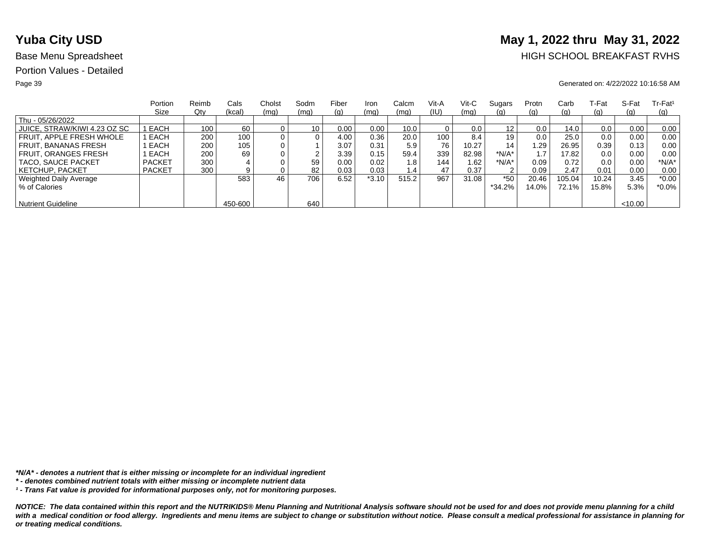# **Yuba City USD** May 1, 2022 thru May 31, 2022

## Base Menu Spreadsheet **HIGH SCHOOL BREAKFAST RVHS**

### Page 39 Generated on: 4/22/2022 10:16:58 AM

|                              | Portion       | Reimb | Cals    | Cholst | Sodm | Fiber | Iron    | Calcm | Vit-A | Vit-C | Sugars            | Protn | Carb     | T-Fat | S-Fat  | $Tr-Fat1$  |
|------------------------------|---------------|-------|---------|--------|------|-------|---------|-------|-------|-------|-------------------|-------|----------|-------|--------|------------|
|                              | Size          | Qty   | (kcal)  | (mq)   | (mq) | (g)   | (mq)    | (mq)  | (IU)  | (mq)  | <u>(g)</u>        | (q)   | (g)      | (g)   | (q)    | <u>(g)</u> |
| Thu - 05/26/2022             |               |       |         |        |      |       |         |       |       |       |                   |       |          |       |        |            |
| JUICE, STRAW/KIWI 4.23 OZ SC | EACH          | 100   | 60      |        | 10   | 0.00  | 0.00    | 10.0  |       | 0.0   | $12 \overline{ }$ | 0.0   | 14.0     | 0.0   | 0.00   | 0.00       |
| FRUIT. APPLE FRESH WHOLE     | EACH          | 200   | 100.    |        | 0    | 4.00  | 0.36    | 20.0  | 100   | 8.4   | 19                | 0.0   | 25.0     | 0.0   | 0.00   | 0.00       |
| <b>FRUIT, BANANAS FRESH</b>  | EACH          | 200   | 105     |        |      | 3.07  | 0.31    | 5.9   | 76    | 10.27 | 14                | 1.29  | 26.95    | 0.39  | 0.13   | 0.00       |
| <b>FRUIT, ORANGES FRESH</b>  | EACH          | 200   | 69      |        | ົ    | 3.39  | 0.15    | 59.4  | 339   | 82.98 | *N/A*             |       | 17.82    | 0.0   | 0.00   | 0.00       |
| TACO, SAUCE PACKET           | <b>PACKET</b> | 300   |         |        | 59   | 0.00  | 0.02    | 1.8   | 144   | 1.62  | *N/A*             | 0.09  | 0.72     | 0.0   | 0.00   | *N/A*      |
| <b>KETCHUP, PACKET</b>       | <b>PACKET</b> | 300   |         |        | 82   | 0.03  | 0.03    | 1.4   | 47    | 0.37  | $\sim$            | 0.09  | 2.47     | 0.01  | 0.00   | 0.00       |
| Weighted Daily Average       |               |       | 583     | 46     | 706  | 6.52  | $*3.10$ | 515.2 | 967   | 31.08 | $*50$             | 20.46 | 105.04   | 10.24 | 3.45   | $*0.00$    |
| % of Calories                |               |       |         |        |      |       |         |       |       |       | $*34.2\%$         | 14.0% | $72.1\%$ | 15.8% | 5.3%   | $*0.0\%$   |
|                              |               |       |         |        |      |       |         |       |       |       |                   |       |          |       |        |            |
| <b>Nutrient Guideline</b>    |               |       | 450-600 |        | 640  |       |         |       |       |       |                   |       |          |       | <10.00 |            |

*\*N/A\* - denotes a nutrient that is either missing or incomplete for an individual ingredient*

*¹ - Trans Fat value is provided for informational purposes only, not for monitoring purposes.*

*<sup>\* -</sup> denotes combined nutrient totals with either missing or incomplete nutrient data*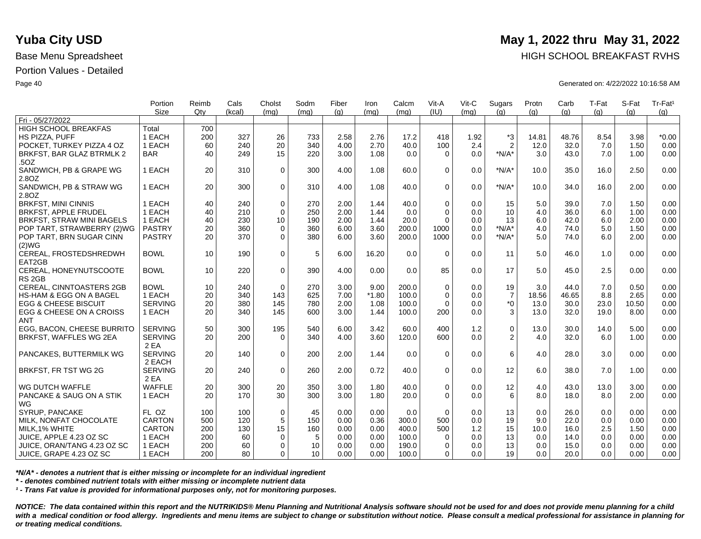|                                    | Portion        | Reimb | Cals   | Cholst      | Sodm | Fiber | Iron    | Calcm | Vit-A       | Vit-C | Sugars         | Protn | Carb  | T-Fat | S-Fat | Tr-Fat <sup>1</sup> |
|------------------------------------|----------------|-------|--------|-------------|------|-------|---------|-------|-------------|-------|----------------|-------|-------|-------|-------|---------------------|
| Fri - 05/27/2022                   | <b>Size</b>    | Qtv   | (kcal) | (mq)        | (ma) | (q)   | (mq)    | (mq)  | (IU)        | (mq)  | (q)            | (q)   | (q)   | (q)   | (a)   | (g)                 |
|                                    |                |       |        |             |      |       |         |       |             |       |                |       |       |       |       |                     |
| HIGH SCHOOL BREAKFAS               | Total          | 700   |        |             |      |       |         |       |             |       |                |       |       |       |       |                     |
| HS PIZZA, PUFF                     | 1 EACH         | 200   | 327    | 26          | 733  | 2.58  | 2.76    | 17.2  | 418         | 1.92  | $*3$           | 14.81 | 48.76 | 8.54  | 3.98  | $*0.00$             |
| POCKET. TURKEY PIZZA 4 OZ          | 1 EACH         | 60    | 240    | 20          | 340  | 4.00  | 2.70    | 40.0  | 100         | 2.4   | $\overline{2}$ | 12.0  | 32.0  | 7.0   | 1.50  | 0.00                |
| BRKFST, BAR GLAZ BTRMLK 2          | <b>BAR</b>     | 40    | 249    | 15          | 220  | 3.00  | 1.08    | 0.0   | $\Omega$    | 0.0   | $*N/A*$        | 3.0   | 43.0  | 7.0   | 1.00  | 0.00                |
| .50Z                               |                |       |        |             |      |       |         |       |             |       |                |       |       |       |       |                     |
| SANDWICH, PB & GRAPE WG            | 1 EACH         | 20    | 310    | $\mathbf 0$ | 300  | 4.00  | 1.08    | 60.0  | $\Omega$    | 0.0   | $*N/A*$        | 10.0  | 35.0  | 16.0  | 2.50  | 0.00                |
| 2.8OZ                              |                |       |        |             |      |       |         |       |             |       |                |       |       |       |       |                     |
| SANDWICH, PB & STRAW WG            | 1 EACH         | 20    | 300    | $\Omega$    | 310  | 4.00  | 1.08    | 40.0  | $\Omega$    | 0.0   | $*N/A*$        | 10.0  | 34.0  | 16.0  | 2.00  | 0.00                |
| 2.80Z                              |                |       |        |             |      |       |         |       |             |       |                |       |       |       |       |                     |
| <b>BRKFST, MINI CINNIS</b>         | 1 EACH         | 40    | 240    | $\mathbf 0$ | 270  | 2.00  | 1.44    | 40.0  | $\Omega$    | 0.0   | 15             | 5.0   | 39.0  | 7.0   | 1.50  | 0.00                |
| <b>BRKFST, APPLE FRUDEL</b>        | 1 EACH         | 40    | 210    | $\Omega$    | 250  | 2.00  | 1.44    | 0.0   | $\Omega$    | 0.0   | 10             | 4.0   | 36.0  | 6.0   | 1.00  | 0.00                |
| <b>BRKFST, STRAW MINI BAGELS</b>   | 1 EACH         | 40    | 230    | 10          | 190  | 2.00  | 1.44    | 20.0  | $\Omega$    | 0.0   | 13             | 6.0   | 42.0  | 6.0   | 2.00  | 0.00                |
| POP TART, STRAWBERRY (2)WG         | <b>PASTRY</b>  | 20    | 360    | $\mathbf 0$ | 360  | 6.00  | 3.60    | 200.0 | 1000        | 0.0   | $*N/A*$        | 4.0   | 74.0  | 5.0   | 1.50  | 0.00                |
| POP TART, BRN SUGAR CINN           | <b>PASTRY</b>  | 20    | 370    | $\Omega$    | 380  | 6.00  | 3.60    | 200.0 | 1000        | 0.0   | $*N/A*$        | 5.0   | 74.0  | 6.0   | 2.00  | 0.00                |
| (2)WG                              |                |       |        |             |      |       |         |       |             |       |                |       |       |       |       |                     |
| CEREAL, FROSTEDSHREDWH             | <b>BOWL</b>    | 10    | 190    | $\mathbf 0$ | 5    | 6.00  | 16.20   | 0.0   | $\Omega$    | 0.0   | 11             | 5.0   | 46.0  | 1.0   | 0.00  | 0.00                |
| EAT2GB                             |                |       |        |             |      |       |         |       |             |       |                |       |       |       |       |                     |
| CEREAL, HONEYNUTSCOOTE             | <b>BOWL</b>    | 10    | 220    | $\mathbf 0$ | 390  | 4.00  | 0.00    | 0.0   | 85          | 0.0   | 17             | 5.0   | 45.0  | 2.5   | 0.00  | 0.00                |
| RS <sub>2GB</sub>                  |                |       |        |             |      |       |         |       |             |       |                |       |       |       |       |                     |
| <b>CEREAL, CINNTOASTERS 2GB</b>    | <b>BOWL</b>    | 10    | 240    | $\Omega$    | 270  | 3.00  | 9.00    | 200.0 | $\Omega$    | 0.0   | 19             | 3.0   | 44.0  | 7.0   | 0.50  | 0.00                |
| <b>HS-HAM &amp; EGG ON A BAGEL</b> | 1 EACH         | 20    | 340    | 143         | 625  | 7.00  | $*1.80$ | 100.0 | $\mathbf 0$ | 0.0   | $\overline{7}$ | 18.56 | 46.65 | 8.8   | 2.65  | 0.00                |
| <b>EGG &amp; CHEESE BISCUIT</b>    | <b>SERVING</b> | 20    | 380    | 145         | 780  | 2.00  | 1.08    | 100.0 | $\Omega$    | 0.0   | $^*0$          | 13.0  | 30.0  | 23.0  | 10.50 | 0.00                |
| EGG & CHEESE ON A CROISS           | 1 EACH         | 20    | 340    | 145         | 600  | 3.00  | 1.44    | 100.0 | 200         | 0.0   | 3              | 13.0  | 32.0  | 19.0  | 8.00  | 0.00                |
| <b>ANT</b>                         |                |       |        |             |      |       |         |       |             |       |                |       |       |       |       |                     |
| EGG. BACON. CHEESE BURRITO         | <b>SERVING</b> | 50    | 300    | 195         | 540  | 6.00  | 3.42    | 60.0  | 400         | 1.2   | $\mathsf 0$    | 13.0  | 30.0  | 14.0  | 5.00  | 0.00                |
| BRKFST, WAFFLES WG 2EA             | <b>SERVING</b> | 20    | 200    | $\Omega$    | 340  | 4.00  | 3.60    | 120.0 | 600         | 0.0   | 2              | 4.0   | 32.0  | 6.0   | 1.00  | 0.00                |
|                                    | 2 EA           |       |        |             |      |       |         |       |             |       |                |       |       |       |       |                     |
| PANCAKES, BUTTERMILK WG            | <b>SERVING</b> | 20    | 140    | $\Omega$    | 200  | 2.00  | 1.44    | 0.0   | $\Omega$    | 0.0   | 6              | 4.0   | 28.0  | 3.0   | 0.00  | 0.00                |
|                                    | 2 EACH         |       |        |             |      |       |         |       |             |       |                |       |       |       |       |                     |
| BRKFST, FR TST WG 2G               | <b>SERVING</b> | 20    | 240    | $\mathbf 0$ | 260  | 2.00  | 0.72    | 40.0  | $\mathbf 0$ | 0.0   | 12             | 6.0   | 38.0  | 7.0   | 1.00  | 0.00                |
|                                    | 2 EA           |       |        |             |      |       |         |       |             |       |                |       |       |       |       |                     |
| WG DUTCH WAFFLE                    | <b>WAFFLE</b>  | 20    | 300    | 20          | 350  | 3.00  | 1.80    | 40.0  | $\mathbf 0$ | 0.0   | 12             | 4.0   | 43.0  | 13.0  | 3.00  | 0.00                |
| PANCAKE & SAUG ON A STIK           | 1 EACH         | 20    | 170    | 30          | 300  | 3.00  | 1.80    | 20.0  | $\Omega$    | 0.0   | 6              | 8.0   | 18.0  | 8.0   | 2.00  | 0.00                |
| WG                                 |                |       |        |             |      |       |         |       |             |       |                |       |       |       |       |                     |
| SYRUP, PANCAKE                     | FL OZ          | 100   | 100    | $\mathbf 0$ | 45   | 0.00  | 0.00    | 0.0   | $\Omega$    | 0.0   | 13             | 0.0   | 26.0  | 0.0   | 0.00  | 0.00                |
| MILK, NONFAT CHOCOLATE             | <b>CARTON</b>  | 500   | 120    | $\sqrt{5}$  | 150  | 0.00  | 0.36    | 300.0 | 500         | 0.0   | 19             | 9.0   | 22.0  | 0.0   | 0.00  | 0.00                |
| MILK, 1% WHITE                     | <b>CARTON</b>  | 200   | 130    | 15          | 160  | 0.00  | 0.00    | 400.0 | 500         | 1.2   | 15             | 10.0  | 16.0  | 2.5   | 1.50  | 0.00                |
| JUICE. APPLE 4.23 OZ SC            | 1 EACH         | 200   | 60     | 0           | 5    | 0.00  | 0.00    | 100.0 | $\Omega$    | 0.0   | 13             | 0.0   | 14.0  | 0.0   | 0.00  | 0.00                |
| JUICE, ORAN/TANG 4.23 OZ SC        | 1 EACH         | 200   | 60     | $\mathbf 0$ | 10   | 0.00  | 0.00    | 190.0 | $\Omega$    | 0.0   | 13             | 0.0   | 15.0  | 0.0   | 0.00  | 0.00                |
| ∣ JUICE, GRAPE 4.23 OZ SC          | 1 EACH         | 200   | 80     | 0           | 10   | 0.00  | 0.00    | 100.0 | $\Omega$    | 0.0   | 19             | 0.0   | 20.0  | 0.0   | 0.00  | 0.00                |
|                                    |                |       |        |             |      |       |         |       |             |       |                |       |       |       |       |                     |

*\*N/A\* - denotes a nutrient that is either missing or incomplete for an individual ingredient*

*\* - denotes combined nutrient totals with either missing or incomplete nutrient data*

*¹ - Trans Fat value is provided for informational purposes only, not for monitoring purposes.*

*NOTICE: The data contained within this report and the NUTRIKIDS® Menu Planning and Nutritional Analysis software should not be used for and does not provide menu planning for a child*  with a medical condition or food allergy. Ingredients and menu items are subject to change or substitution without notice. Please consult a medical professional for assistance in planning for *or treating medical conditions.*

## **Yuba City USD** May 1, 2022 thru May 31, 2022

Base Menu Spreadsheet **HIGH SCHOOL BREAKFAST RVHS** 

Page 40 Generated on: 4/22/2022 10:16:58 AM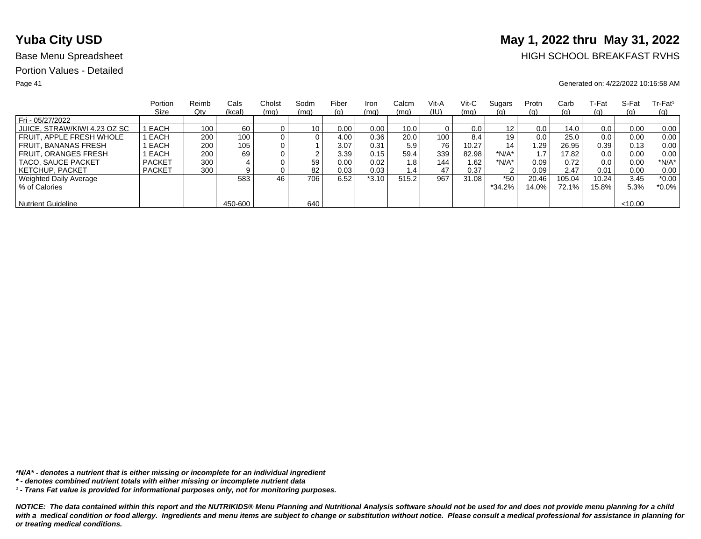# **Yuba City USD** May 1, 2022 thru May 31, 2022

## Base Menu Spreadsheet **HIGH SCHOOL BREAKFAST RVHS**

### Page 41 Generated on: 4/22/2022 10:16:58 AM

|                              | Portion       | Reimb | Cals    | Cholst | Sodm            | Fiber | Iron    | Calcm | Vit-A | Vit-C | Sugars   | Protn | Carb     | ⊺-Fat | S-Fat   | $Tr-Fat1$ |
|------------------------------|---------------|-------|---------|--------|-----------------|-------|---------|-------|-------|-------|----------|-------|----------|-------|---------|-----------|
|                              | Size          | Qty   | (kcal)  | (mq)   | (mq)            | (g)   | (mq)    | (mq)  | (IU)  | (mq)  | (g)      | (g)   | (g)      | (g)   | (q)     | (q)       |
| Fri - 05/27/2022             |               |       |         |        |                 |       |         |       |       |       |          |       |          |       |         |           |
| JUICE, STRAW/KIWI 4.23 OZ SC | I EACH        | 100   | 60      |        | 10 <sub>1</sub> | 0.00  | 0.00    | 10.0  |       | 0.0   | 12       | 0.0   | 14.0     | 0.0   | 0.00    | 0.00      |
| FRUIT. APPLE FRESH WHOLE     | EACH          | 200   | 100     |        | 0               | 4.00  | 0.36    | 20.0  | 100   | 8.4   | 19       | 0.0   | 25.0     | 0.0   | 0.00    | 0.00      |
| FRUIT. BANANAS FRESH         | EACH          | 200   | 105     |        |                 | 3.07  | 0.31    | 5.9   | 76    | 10.27 | 14       | .29   | 26.95    | 0.39  | 0.13    | 0.00      |
| <b>FRUIT, ORANGES FRESH</b>  | EACH          | 200   | 69      |        | ົ               | 3.39  | 0.15    | 59.4  | 339   | 82.98 | $*N/A*$  |       | 17.82    | 0.0   | 0.00    | 0.00      |
| TACO, SAUCE PACKET           | <b>PACKET</b> | 300   |         |        | 59              | 0.00  | 0.02    | 1.8   | 144   | 1.62  | *N/A*    | 0.09  | 0.72     | 0.0   | 0.00    | $*N/A*$   |
| <b>KETCHUP, PACKET</b>       | <b>PACKET</b> | 300   | 9       |        | 82              | 0.03  | 0.03    | 1.4   | 47    | 0.37  | 2        | 0.09  | 2.47     | 0.01  | 0.00    | 0.00      |
| Weighted Daily Average       |               |       | 583     | 46     | 706             | 6.52  | $*3.10$ | 515.2 | 967   | 31.08 | $*50$    | 20.46 | 105.04   | 10.24 | 3.45    | $*0.00$   |
| % of Calories                |               |       |         |        |                 |       |         |       |       |       | $*34.2%$ | 14.0% | $72.1\%$ | 15.8% | 5.3%    | $*0.0\%$  |
|                              |               |       |         |        |                 |       |         |       |       |       |          |       |          |       |         |           |
| <b>Nutrient Guideline</b>    |               |       | 450-600 |        | 640             |       |         |       |       |       |          |       |          |       | < 10.00 |           |

*\*N/A\* - denotes a nutrient that is either missing or incomplete for an individual ingredient*

*¹ - Trans Fat value is provided for informational purposes only, not for monitoring purposes.*

*<sup>\* -</sup> denotes combined nutrient totals with either missing or incomplete nutrient data*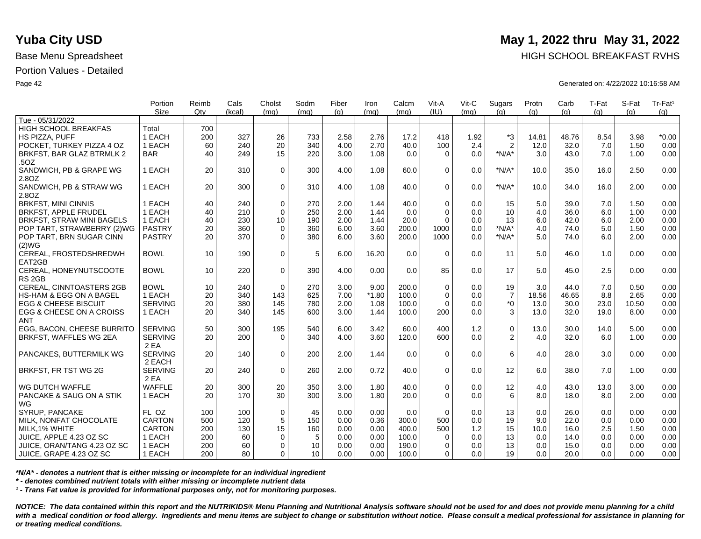|                                  | Portion        | Reimb | Cals   | Cholst      | Sodm | Fiber | Iron    | Calcm | Vit-A       | Vit-C | Sugars         | Protn | Carb  | T-Fat | S-Fat | Tr-Fat <sup>1</sup> |
|----------------------------------|----------------|-------|--------|-------------|------|-------|---------|-------|-------------|-------|----------------|-------|-------|-------|-------|---------------------|
|                                  | <b>Size</b>    | Qtv   | (kcal) | (mq)        | (mq) | (q)   | (mq)    | (mq)  | (IU)        | (mq)  | (q)            | (q)   | (q)   | (q)   | (a)   | (g)                 |
| Tue - 05/31/2022                 |                |       |        |             |      |       |         |       |             |       |                |       |       |       |       |                     |
| <b>HIGH SCHOOL BREAKFAS</b>      | Total          | 700   |        |             |      |       |         |       |             |       |                |       |       |       |       |                     |
| HS PIZZA, PUFF                   | 1 EACH         | 200   | 327    | 26          | 733  | 2.58  | 2.76    | 17.2  | 418         | 1.92  | *3             | 14.81 | 48.76 | 8.54  | 3.98  | $*0.00$             |
| POCKET. TURKEY PIZZA 4 OZ        | 1 EACH         | 60    | 240    | 20          | 340  | 4.00  | 2.70    | 40.0  | 100         | 2.4   | $\overline{2}$ | 12.0  | 32.0  | 7.0   | 1.50  | 0.00                |
| BRKFST, BAR GLAZ BTRMLK 2        | <b>BAR</b>     | 40    | 249    | 15          | 220  | 3.00  | 1.08    | 0.0   | $\Omega$    | 0.0   | $*N/A*$        | 3.0   | 43.0  | 7.0   | 1.00  | 0.00                |
| .50Z                             |                |       |        |             |      |       |         |       |             |       |                |       |       |       |       |                     |
| SANDWICH, PB & GRAPE WG          | 1 EACH         | 20    | 310    | $\mathbf 0$ | 300  | 4.00  | 1.08    | 60.0  | $\Omega$    | 0.0   | $*N/A*$        | 10.0  | 35.0  | 16.0  | 2.50  | 0.00                |
| 2.8OZ                            |                |       |        |             |      |       |         |       |             |       |                |       |       |       |       |                     |
| SANDWICH, PB & STRAW WG          | 1 EACH         | 20    | 300    | $\mathbf 0$ | 310  | 4.00  | 1.08    | 40.0  | $\Omega$    | 0.0   | $*N/A*$        | 10.0  | 34.0  | 16.0  | 2.00  | 0.00                |
| 2.8OZ                            |                |       |        |             |      |       |         |       |             |       |                |       |       |       |       |                     |
| <b>BRKFST, MINI CINNIS</b>       | 1 EACH         | 40    | 240    | $\mathbf 0$ | 270  | 2.00  | 1.44    | 40.0  | $\mathbf 0$ | 0.0   | 15             | 5.0   | 39.0  | 7.0   | 1.50  | 0.00                |
| <b>BRKFST, APPLE FRUDEL</b>      | 1 EACH         | 40    | 210    | $\Omega$    | 250  | 2.00  | 1.44    | 0.0   | $\Omega$    | 0.0   | 10             | 4.0   | 36.0  | 6.0   | 1.00  | 0.00                |
| <b>BRKFST, STRAW MINI BAGELS</b> | 1 EACH         | 40    | 230    | 10          | 190  | 2.00  | 1.44    | 20.0  | $\Omega$    | 0.0   | 13             | 6.0   | 42.0  | 6.0   | 2.00  | 0.00                |
| POP TART, STRAWBERRY (2)WG       | <b>PASTRY</b>  | 20    | 360    | $\mathbf 0$ | 360  | 6.00  | 3.60    | 200.0 | 1000        | 0.0   | $*N/A*$        | 4.0   | 74.0  | 5.0   | 1.50  | 0.00                |
| POP TART, BRN SUGAR CINN         | <b>PASTRY</b>  | 20    | 370    | $\mathbf 0$ | 380  | 6.00  | 3.60    | 200.0 | 1000        | 0.0   | $*N/A*$        | 5.0   | 74.0  | 6.0   | 2.00  | 0.00                |
| (2)WG                            |                |       |        |             |      |       |         |       |             |       |                |       |       |       |       |                     |
| CEREAL, FROSTEDSHREDWH           | <b>BOWL</b>    | 10    | 190    | $\mathbf 0$ | 5    | 6.00  | 16.20   | 0.0   | $\Omega$    | 0.0   | 11             | 5.0   | 46.0  | 1.0   | 0.00  | 0.00                |
| EAT2GB                           |                |       |        |             |      |       |         |       |             |       |                |       |       |       |       |                     |
| CEREAL, HONEYNUTSCOOTE           | <b>BOWL</b>    | 10    | 220    | $\Omega$    | 390  | 4.00  | 0.00    | 0.0   | 85          | 0.0   | 17             | 5.0   | 45.0  | 2.5   | 0.00  | 0.00                |
| RS <sub>2GB</sub>                |                |       |        |             |      |       |         |       |             |       |                |       |       |       |       |                     |
| CEREAL, CINNTOASTERS 2GB         | <b>BOWL</b>    | 10    | 240    | $\mathbf 0$ | 270  | 3.00  | 9.00    | 200.0 | $\mathbf 0$ | 0.0   | 19             | 3.0   | 44.0  | 7.0   | 0.50  | 0.00                |
| HS-HAM & EGG ON A BAGEL          | 1 EACH         | 20    | 340    | 143         | 625  | 7.00  | $*1.80$ | 100.0 | $\Omega$    | 0.0   | $\overline{7}$ | 18.56 | 46.65 | 8.8   | 2.65  | 0.00                |
| <b>EGG &amp; CHEESE BISCUIT</b>  | <b>SERVING</b> | 20    | 380    | 145         | 780  | 2.00  | 1.08    | 100.0 | $\Omega$    | 0.0   | $^*0$          | 13.0  | 30.0  | 23.0  | 10.50 | 0.00                |
| EGG & CHEESE ON A CROISS         | 1 EACH         | 20    | 340    | 145         | 600  | 3.00  | 1.44    | 100.0 | 200         | 0.0   | 3              | 13.0  | 32.0  | 19.0  | 8.00  | 0.00                |
| <b>ANT</b>                       |                |       |        |             |      |       |         |       |             |       |                |       |       |       |       |                     |
| EGG, BACON, CHEESE BURRITO       | <b>SERVING</b> | 50    | 300    | 195         | 540  | 6.00  | 3.42    | 60.0  | 400         | 1.2   | $\pmb{0}$      | 13.0  | 30.0  | 14.0  | 5.00  | 0.00                |
| BRKFST, WAFFLES WG 2EA           | <b>SERVING</b> | 20    | 200    | $\Omega$    | 340  | 4.00  | 3.60    | 120.0 | 600         | 0.0   | 2              | 4.0   | 32.0  | 6.0   | 1.00  | 0.00                |
|                                  | 2 EA           |       |        |             |      |       |         |       |             |       |                |       |       |       |       |                     |
| PANCAKES, BUTTERMILK WG          | <b>SERVING</b> | 20    | 140    | $\mathbf 0$ | 200  | 2.00  | 1.44    | 0.0   | $\Omega$    | 0.0   | 6              | 4.0   | 28.0  | 3.0   | 0.00  | 0.00                |
|                                  | 2 EACH         |       |        |             |      |       |         |       |             |       |                |       |       |       |       |                     |
| BRKFST, FR TST WG 2G             | <b>SERVING</b> | 20    | 240    | $\mathbf 0$ | 260  | 2.00  | 0.72    | 40.0  | $\Omega$    | 0.0   | 12             | 6.0   | 38.0  | 7.0   | 1.00  | 0.00                |
|                                  | 2 EA           |       |        |             |      |       |         |       |             |       |                |       |       |       |       |                     |
| WG DUTCH WAFFLE                  | <b>WAFFLE</b>  | 20    | 300    | 20          | 350  | 3.00  | 1.80    | 40.0  | $\mathbf 0$ | 0.0   | 12             | 4.0   | 43.0  | 13.0  | 3.00  | 0.00                |
| PANCAKE & SAUG ON A STIK         | 1 EACH         | 20    | 170    | 30          | 300  | 3.00  | 1.80    | 20.0  | $\Omega$    | 0.0   | 6              | 8.0   | 18.0  | 8.0   | 2.00  | 0.00                |
| WG                               |                |       |        |             |      |       |         |       |             |       |                |       |       |       |       |                     |
| SYRUP, PANCAKE                   | FL OZ          | 100   | 100    | $\mathbf 0$ | 45   | 0.00  | 0.00    | 0.0   | $\Omega$    | 0.0   | 13             | 0.0   | 26.0  | 0.0   | 0.00  | 0.00                |
| MILK, NONFAT CHOCOLATE           | <b>CARTON</b>  | 500   | 120    | $\sqrt{5}$  | 150  | 0.00  | 0.36    | 300.0 | 500         | 0.0   | 19             | 9.0   | 22.0  | 0.0   | 0.00  | 0.00                |
| MILK, 1% WHITE                   | <b>CARTON</b>  | 200   | 130    | 15          | 160  | 0.00  | 0.00    | 400.0 | 500         | 1.2   | 15             | 10.0  | 16.0  | 2.5   | 1.50  | 0.00                |
| JUICE, APPLE 4.23 OZ SC          | 1 EACH         | 200   | 60     | $\mathbf 0$ | 5    | 0.00  | 0.00    | 100.0 | $\Omega$    | 0.0   | 13             | 0.0   | 14.0  | 0.0   | 0.00  | 0.00                |
|                                  | 1 EACH         | 200   | 60     |             | 10   | 0.00  | 0.00    |       | $\Omega$    |       | 13             |       |       | 0.0   |       | 0.00                |
| JUICE, ORAN/TANG 4.23 OZ SC      |                |       | 80     | 0           | 10   |       |         | 190.0 | $\Omega$    | 0.0   | 19             | 0.0   | 15.0  | 0.0   | 0.00  |                     |
| JUICE, GRAPE 4.23 OZ SC          | 1 EACH         | 200   |        | 0           |      | 0.00  | 0.00    | 100.0 |             | 0.0   |                | 0.0   | 20.0  |       | 0.00  | 0.00                |

*\*N/A\* - denotes a nutrient that is either missing or incomplete for an individual ingredient*

*\* - denotes combined nutrient totals with either missing or incomplete nutrient data*

*¹ - Trans Fat value is provided for informational purposes only, not for monitoring purposes.*

*NOTICE: The data contained within this report and the NUTRIKIDS® Menu Planning and Nutritional Analysis software should not be used for and does not provide menu planning for a child*  with a medical condition or food allergy. Ingredients and menu items are subject to change or substitution without notice. Please consult a medical professional for assistance in planning for *or treating medical conditions.*

## **Yuba City USD** May 1, 2022 thru May 31, 2022

Base Menu Spreadsheet **HIGH SCHOOL BREAKFAST RVHS** 

Page 42 Generated on: 4/22/2022 10:16:58 AM